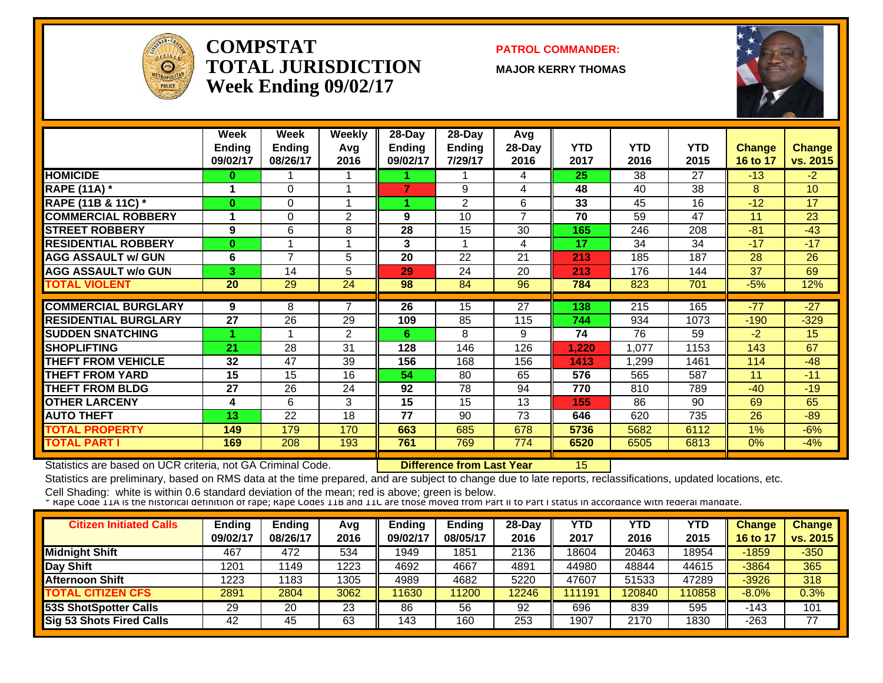

#### **COMPSTATTOTAL JURISDICTIONWeek Ending 09/02/17**

**PATROL COMMANDER:**

**MAJOR KERRY THOMAS**



|                             | Week<br><b>Ending</b><br>09/02/17 | Week<br><b>Ending</b><br>08/26/17 | <b>Weekly</b><br>Avg<br>2016 | $28-Day$<br><b>Ending</b><br>09/02/17 | 28-Day<br><b>Ending</b><br>7/29/17 | Avg<br>28-Day<br>2016 | <b>YTD</b><br>2017 | <b>YTD</b><br>2016 | <b>YTD</b><br>2015 | <b>Change</b><br>16 to 17 | <b>Change</b><br>vs. 2015 |
|-----------------------------|-----------------------------------|-----------------------------------|------------------------------|---------------------------------------|------------------------------------|-----------------------|--------------------|--------------------|--------------------|---------------------------|---------------------------|
| <b>HOMICIDE</b>             | 0                                 |                                   |                              |                                       |                                    | 4                     | 25                 | 38                 | 27                 | $-13$                     | $-2$                      |
| <b>RAPE (11A) *</b>         | 1                                 | $\Omega$                          | 1                            | $\overline{7}$                        | 9                                  | 4                     | 48                 | 40                 | 38                 | 8                         | 10 <sup>1</sup>           |
| RAPE (11B & 11C) *          | $\bf{0}$                          | 0                                 | 1                            |                                       | 2                                  | 6                     | 33                 | 45                 | 16                 | $-12$                     | 17                        |
| <b>COMMERCIAL ROBBERY</b>   |                                   | $\Omega$                          | 2                            | 9                                     | 10                                 | $\overline{7}$        | 70                 | 59                 | 47                 | 11                        | 23                        |
| <b>STREET ROBBERY</b>       | 9                                 | 6                                 | 8                            | 28                                    | 15                                 | 30                    | 165                | 246                | 208                | $-81$                     | $-43$                     |
| <b>RESIDENTIAL ROBBERY</b>  | $\bf{0}$                          |                                   | 1                            | 3                                     | $\overline{\mathbf{A}}$            | 4                     | 17                 | 34                 | 34                 | $-17$                     | $-17$                     |
| <b>AGG ASSAULT w/ GUN</b>   | 6                                 | $\overline{ }$                    | 5                            | 20                                    | $\overline{22}$                    | 21                    | 213                | 185                | 187                | 28                        | 26                        |
| <b>AGG ASSAULT w/o GUN</b>  | 3                                 | 14                                | 5                            | 29                                    | 24                                 | 20                    | 213                | 176                | 144                | 37                        | 69                        |
| <b>TOTAL VIOLENT</b>        | 20                                | 29                                | 24                           | 98                                    | 84                                 | 96                    | 784                | 823                | 701                | $-5%$                     | 12%                       |
|                             |                                   |                                   |                              |                                       |                                    |                       |                    |                    |                    |                           |                           |
| <b>COMMERCIAL BURGLARY</b>  | 9                                 | 8                                 | 7                            | 26                                    | 15                                 | 27                    | 138                | 215                | 165                | $-77$                     | $-27$                     |
| <b>RESIDENTIAL BURGLARY</b> | $\overline{27}$                   | 26                                | 29                           | 109                                   | 85                                 | 115                   | 744                | 934                | 1073               | $-190$                    | $-329$                    |
| <b>ISUDDEN SNATCHING</b>    |                                   |                                   | $\overline{2}$               | 6                                     | 8                                  | 9                     | 74                 | 76                 | 59                 | $-2$                      | 15                        |
| <b>SHOPLIFTING</b>          | 21                                | 28                                | 31                           | 128                                   | 146                                | 126                   | 1.220              | 1,077              | 1153               | 143                       | 67                        |
| <b>THEFT FROM VEHICLE</b>   | 32                                | 47                                | 39                           | 156                                   | 168                                | 156                   | 1413               | ,299               | 1461               | 114                       | $-48$                     |
| <b>THEFT FROM YARD</b>      | 15                                | 15                                | 16                           | 54                                    | 80                                 | 65                    | 576                | 565                | 587                | 11                        | $-11$                     |
| <b>THEFT FROM BLDG</b>      | 27                                | 26                                | 24                           | 92                                    | 78                                 | 94                    | 770                | 810                | 789                | $-40$                     | $-19$                     |
| <b>OTHER LARCENY</b>        | 4                                 | 6                                 | 3                            | 15                                    | 15                                 | 13                    | 155                | 86                 | 90                 | 69                        | 65                        |
| <b>AUTO THEFT</b>           | 13                                | 22                                | 18                           | 77                                    | 90                                 | 73                    | 646                | 620                | 735                | 26                        | $-89$                     |
| <b>TOTAL PROPERTY</b>       | 149                               | 179                               | 170                          | 663                                   | 685                                | 678                   | 5736               | 5682               | 6112               | 1%                        | $-6%$                     |
| <b>TOTAL PART I</b>         | 169                               | 208                               | 193                          | 761                                   | 769                                | 774                   | 6520               | 6505               | 6813               | $0\%$                     | $-4%$                     |

Statistics are based on UCR criteria, not GA Criminal Code. **Difference from Last Year** 15

Statistics are preliminary, based on RMS data at the time prepared, and are subject to change due to late reports, reclassifications, updated locations, etc.

| <b>Citizen Initiated Calls</b> | <b>Ending</b><br>09/02/17 | <b>Ending</b><br>08/26/17 | Avg<br>2016 | Ending<br>09/02/17 | <b>Ending</b><br>08/05/17 | 28-Dav<br>2016 | YTD<br>2017 | YTD<br>2016 | YTD<br>2015 | <b>Change</b><br>16 to 1 | <b>Change</b><br>vs. 2015 |
|--------------------------------|---------------------------|---------------------------|-------------|--------------------|---------------------------|----------------|-------------|-------------|-------------|--------------------------|---------------------------|
| <b>Midnight Shift</b>          | 467                       | 472                       | 534         | 1949               | 1851                      | 2136           | 18604       | 20463       | 18954       | $-1859$                  | $-350$                    |
| Day Shift                      | 1201                      | 1149                      | 1223        | 4692               | 4667                      | 4891           | 44980       | 48844       | 44615       | $-3864$                  | 365                       |
| <b>Afternoon Shift</b>         | 1223                      | 1183                      | 1305        | 4989               | 4682                      | 5220           | 47607       | 51533       | 47289       | $-3926$                  | 318                       |
| <b>TOTAL CITIZEN CFS</b>       | 2891                      | 2804                      | 3062        | 11630              | 1200                      | 12246          | 111191      | 120840      | 110858      | $-8.0%$                  | 0.3%                      |
| <b>53S ShotSpotter Calls</b>   | 29                        | 20                        | 23          | 86                 | 56                        | 92             | 696         | 839         | 595         | -143                     | 101                       |
| Sig 53 Shots Fired Calls       | 42                        | 45                        | 63          | 143                | 160                       | 253            | 1907        | 2170        | 1830        | $-263$                   | 77                        |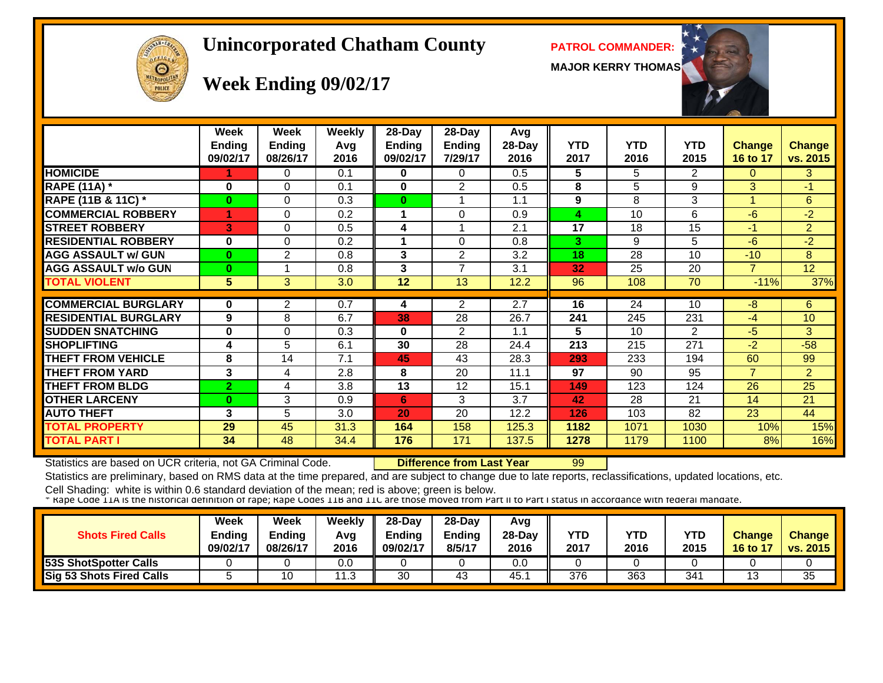# $cF1c$  $\Theta$

#### **Unincorporated Chatham County PATROL COMMANDER:**

**MAJOR KERRY THOMAS**



#### **Week Ending 09/02/17**

|                             | Week<br><b>Ending</b><br>09/02/17 | Week<br><b>Ending</b><br>08/26/17 | <b>Weekly</b><br>Avg<br>2016 | 28-Day<br><b>Ending</b><br>09/02/17 | 28-Day<br><b>Ending</b><br>7/29/17 | Avg<br>28-Day<br>2016 | <b>YTD</b><br>2017 | <b>YTD</b><br>2016 | <b>YTD</b><br>2015 | <b>Change</b><br>16 to 17 | <b>Change</b><br>vs. 2015 |
|-----------------------------|-----------------------------------|-----------------------------------|------------------------------|-------------------------------------|------------------------------------|-----------------------|--------------------|--------------------|--------------------|---------------------------|---------------------------|
| <b>HOMICIDE</b>             |                                   | 0                                 | 0.1                          | 0                                   | $\Omega$                           | 0.5                   | 5.                 | 5                  | $\overline{2}$     | $\Omega$                  | 3                         |
| <b>RAPE (11A) *</b>         | 0                                 | $\Omega$                          | 0.1                          | $\mathbf{0}$                        | $\overline{2}$                     | 0.5                   | 8                  | 5                  | 9                  | 3                         | $-1$                      |
| RAPE (11B & 11C) *          | $\bf{0}$                          | $\Omega$                          | 0.3                          | $\bf{0}$                            |                                    | 1.1                   | 9                  | 8                  | 3                  |                           | $6^{\circ}$               |
| <b>COMMERCIAL ROBBERY</b>   |                                   | $\Omega$                          | 0.2                          | 1                                   | $\Omega$                           | 0.9                   | 4                  | 10                 | 6                  | $-6$                      | $-2$                      |
| <b>STREET ROBBERY</b>       | 3                                 | $\Omega$                          | 0.5                          | 4                                   |                                    | 2.1                   | 17                 | 18                 | 15                 | $-1$                      | $\overline{2}$            |
| <b>RESIDENTIAL ROBBERY</b>  | $\bf{0}$                          | $\Omega$                          | 0.2                          |                                     | $\Omega$                           | 0.8                   | 3                  | 9                  | 5                  | $-6$                      | $-2$                      |
| <b>AGG ASSAULT w/ GUN</b>   | $\bf{0}$                          | 2                                 | 0.8                          | 3                                   | $\overline{2}$                     | 3.2                   | 18                 | 28                 | 10                 | $-10$                     | 8                         |
| <b>AGG ASSAULT w/o GUN</b>  | $\bf{0}$                          |                                   | 0.8                          | 3                                   | 7                                  | 3.1                   | 32                 | 25                 | 20                 | $\overline{7}$            | 12 <sup>°</sup>           |
| <b>TOTAL VIOLENT</b>        | 5                                 | 3                                 | 3.0                          | 12                                  | 13                                 | 12.2                  | 96                 | 108                | $\overline{70}$    | $-11%$                    | 37%                       |
|                             |                                   |                                   |                              |                                     |                                    |                       |                    |                    |                    |                           |                           |
| <b>COMMERCIAL BURGLARY</b>  | 0                                 | $\overline{2}$                    | 0.7                          | 4                                   | $\overline{2}$                     | 2.7                   | 16                 | 24                 | 10                 | -8                        | 6                         |
| <b>RESIDENTIAL BURGLARY</b> | 9                                 | 8                                 | 6.7                          | 38                                  | 28                                 | 26.7                  | 241                | 245                | 231                | $-4$                      | 10                        |
| <b>SUDDEN SNATCHING</b>     | 0                                 | $\Omega$                          | 0.3                          | $\mathbf{0}$                        | 2                                  | 1.1                   | 5                  | 10                 | $\overline{2}$     | $-5$                      | 3                         |
| <b>SHOPLIFTING</b>          | 4                                 | 5                                 | 6.1                          | 30                                  | 28                                 | 24.4                  | 213                | 215                | 271                | $-2$                      | $-58$                     |
| <b>THEFT FROM VEHICLE</b>   | 8                                 | 14                                | 7.1                          | 45                                  | 43                                 | 28.3                  | 293                | 233                | 194                | 60                        | 99                        |
| <b>THEFT FROM YARD</b>      | 3                                 | 4                                 | 2.8                          | 8                                   | 20                                 | 11.1                  | 97                 | 90                 | 95                 | $\overline{7}$            | 2                         |
| <b>THEFT FROM BLDG</b>      | $\overline{2}$                    | 4                                 | 3.8                          | 13                                  | 12                                 | 15.1                  | 149                | 123                | 124                | 26                        | 25                        |
| <b>OTHER LARCENY</b>        | $\bf{0}$                          | 3                                 | 0.9                          | 6                                   | 3                                  | 3.7                   | 42                 | 28                 | 21                 | 14                        | 21                        |
| <b>AUTO THEFT</b>           | 3                                 | 5                                 | 3.0                          | 20                                  | 20                                 | 12.2                  | 126                | 103                | 82                 | 23                        | 44                        |
| <b>TOTAL PROPERTY</b>       | 29                                | 45                                | 31.3                         | 164                                 | 158                                | 125.3                 | 1182               | 1071               | 1030               | 10%                       | 15%                       |
| <b>TOTAL PART I</b>         | 34                                | 48                                | 34.4                         | 176                                 | 171                                | 137.5                 | 1278               | 1179               | 1100               | 8%                        | 16%                       |

Statistics are based on UCR criteria, not GA Criminal Code. **Difference from Last Year** 99

Statistics are preliminary, based on RMS data at the time prepared, and are subject to change due to late reports, reclassifications, updated locations, etc.

| <b>Shots Fired Calls</b>     | Week<br><b>Ending</b><br>09/02/17 | <b>Week</b><br><b>Ending</b><br>08/26/17 | Weekly<br>Avg<br>2016 | $28$ -Dav<br>$-$ nding<br>09/02/17 | 28-Dav<br><b>Ending</b><br>8/5/17 | Avq<br>28-Day<br>2016 | YTD<br>2017 | <b>YTD</b><br>2016 | <b>YTD</b><br>2015 | <b>Change</b><br>16 to 17 | <b>Change</b><br>vs. 2015 |
|------------------------------|-----------------------------------|------------------------------------------|-----------------------|------------------------------------|-----------------------------------|-----------------------|-------------|--------------------|--------------------|---------------------------|---------------------------|
| <b>53S ShotSpotter Calls</b> |                                   |                                          | 0.0                   |                                    |                                   | 0.0                   |             |                    |                    |                           |                           |
| Sig 53 Shots Fired Calls     |                                   |                                          | - 10                  | 30                                 | 43                                | 45.                   | 376         | 363                | 341                | 13                        | 35                        |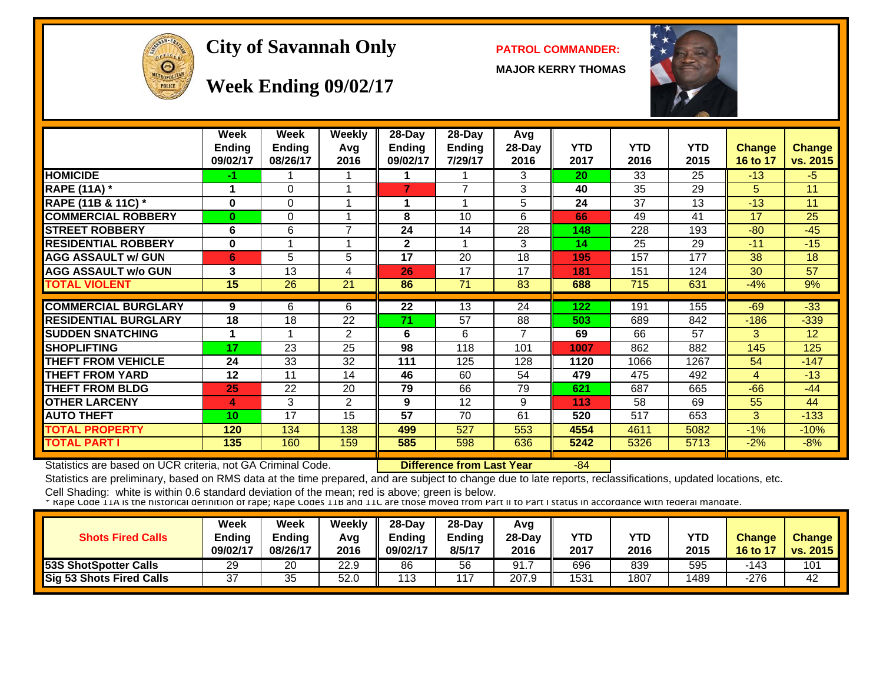

#### City of Savannah Only **PATROL COMMANDER:**

**MAJOR KERRY THOMAS**



#### **Week Ending 09/02/17**

|                             | <b>Week</b><br><b>Ending</b><br>09/02/17 | <b>Week</b><br><b>Ending</b><br>08/26/17 | Weekly<br>Avg<br>2016 | 28-Day<br><b>Ending</b><br>09/02/17 | 28-Day<br><b>Ending</b><br>7/29/17 | Avg<br>28-Day<br>2016 | <b>YTD</b><br>2017 | <b>YTD</b><br>2016 | <b>YTD</b><br>2015 | <b>Change</b><br>16 to 17 | <b>Change</b><br>vs. 2015 |
|-----------------------------|------------------------------------------|------------------------------------------|-----------------------|-------------------------------------|------------------------------------|-----------------------|--------------------|--------------------|--------------------|---------------------------|---------------------------|
| <b>HOMICIDE</b>             | -1                                       |                                          |                       |                                     |                                    | 3                     | 20                 | 33                 | 25                 | $-13$                     | $-5$                      |
| <b>RAPE (11A) *</b>         |                                          | $\Omega$                                 |                       | 7                                   | $\overline{7}$                     | 3                     | 40                 | 35                 | 29                 | 5.                        | 11                        |
| RAPE (11B & 11C) *          | $\bf{0}$                                 | 0                                        |                       |                                     |                                    | 5                     | 24                 | 37                 | 13                 | $-13$                     | 11                        |
| <b>COMMERCIAL ROBBERY</b>   | $\mathbf{0}$                             | 0                                        |                       | 8                                   | 10                                 | 6                     | 66                 | 49                 | 41                 | 17                        | 25                        |
| <b>STREET ROBBERY</b>       | 6                                        | 6                                        | 7                     | 24                                  | 14                                 | 28                    | 148                | 228                | 193                | $-80$                     | $-45$                     |
| <b>RESIDENTIAL ROBBERY</b>  | $\mathbf{0}$                             | 1                                        |                       | $\mathbf{2}$                        | 4                                  | 3                     | 14                 | 25                 | 29                 | $-11$                     | $-15$                     |
| <b>AGG ASSAULT w/ GUN</b>   | 6                                        | 5                                        | 5                     | $\overline{17}$                     | 20                                 | 18                    | 195                | 157                | 177                | 38                        | 18                        |
| <b>AGG ASSAULT w/o GUN</b>  | 3                                        | 13                                       | 4                     | 26                                  | 17                                 | 17                    | 181                | 151                | 124                | 30                        | 57                        |
| <b>TOTAL VIOLENT</b>        | 15                                       | $\overline{26}$                          | $\overline{21}$       | 86                                  | $\overline{71}$                    | 83                    | 688                | 715                | 631                | $-4%$                     | 9%                        |
|                             |                                          |                                          |                       |                                     |                                    |                       |                    |                    |                    |                           |                           |
| <b>COMMERCIAL BURGLARY</b>  | 9                                        | 6                                        | 6                     | 22                                  | 13                                 | 24                    | 122                | 191                | 155                | $-69$                     | $-33$                     |
| <b>RESIDENTIAL BURGLARY</b> | $\overline{18}$                          | $\overline{18}$                          | $\overline{22}$       | 71                                  | 57                                 | 88                    | 503                | 689                | 842                | $-186$                    | $-339$                    |
| <b>SUDDEN SNATCHING</b>     |                                          |                                          | $\overline{2}$        | 6                                   | 6                                  | 7                     | 69                 | 66                 | 57                 | 3                         | 12                        |
| <b>SHOPLIFTING</b>          | 17                                       | 23                                       | 25                    | 98                                  | 118                                | 101                   | 1007               | 862                | 882                | 145                       | 125                       |
| <b>THEFT FROM VEHICLE</b>   | 24                                       | 33                                       | 32                    | 111                                 | 125                                | 128                   | 1120               | 1066               | 1267               | 54                        | $-147$                    |
| <b>THEFT FROM YARD</b>      | 12                                       | 11                                       | 14                    | 46                                  | 60                                 | 54                    | 479                | 475                | 492                | 4                         | $-13$                     |
| <b>THEFT FROM BLDG</b>      | 25                                       | 22                                       | 20                    | 79                                  | 66                                 | 79                    | 621                | 687                | 665                | $-66$                     | $-44$                     |
| <b>OTHER LARCENY</b>        | 4                                        | 3                                        | 2                     | 9                                   | 12                                 | 9                     | 113                | 58                 | 69                 | 55                        | 44                        |
| <b>AUTO THEFT</b>           | 10                                       | 17                                       | 15                    | 57                                  | 70                                 | 61                    | 520                | 517                | 653                | 3                         | $-133$                    |
| <b>TOTAL PROPERTY</b>       | 120                                      | 134                                      | 138                   | 499                                 | 527                                | 553                   | 4554               | 4611               | 5082               | $-1\%$                    | $-10%$                    |
| <b>TOTAL PART I</b>         | 135                                      | 160                                      | 159                   | 585                                 | 598                                | 636                   | 5242               | 5326               | 5713               | $-2%$                     | $-8%$                     |

Statistics are based on UCR criteria, not GA Criminal Code. **Difference from Last Year** -84

Statistics are preliminary, based on RMS data at the time prepared, and are subject to change due to late reports, reclassifications, updated locations, etc.

| <b>Shots Fired Calls</b>     | Week<br><b>Ending</b><br>09/02/17 | Week<br><b>Ending</b><br>08/26/17 | Weekly<br>Avg<br>2016 | $28-Dav$<br><b>Endina</b><br>09/02/17 | 28-Day<br><b>Endina</b><br>8/5/17 | Avg<br>$28-Dav$<br>2016 | <b>YTD</b><br>2017 | <b>YTD</b><br>2016 | YTD<br>2015 | <b>Change</b><br>16 to 17 | <b>Change</b><br>vs. 2015 |
|------------------------------|-----------------------------------|-----------------------------------|-----------------------|---------------------------------------|-----------------------------------|-------------------------|--------------------|--------------------|-------------|---------------------------|---------------------------|
| <b>53S ShotSpotter Calls</b> | 29                                | 20                                | 22.9                  | 86                                    | 56                                | 91.                     | 696                | 839                | 595         | -143                      | 101                       |
| Sig 53 Shots Fired Calls     | 27<br>ັ                           | 35                                | 52.0                  | 113                                   | 17                                | 207.9                   | 1531               | 1807               | 1489        | -276                      | 42                        |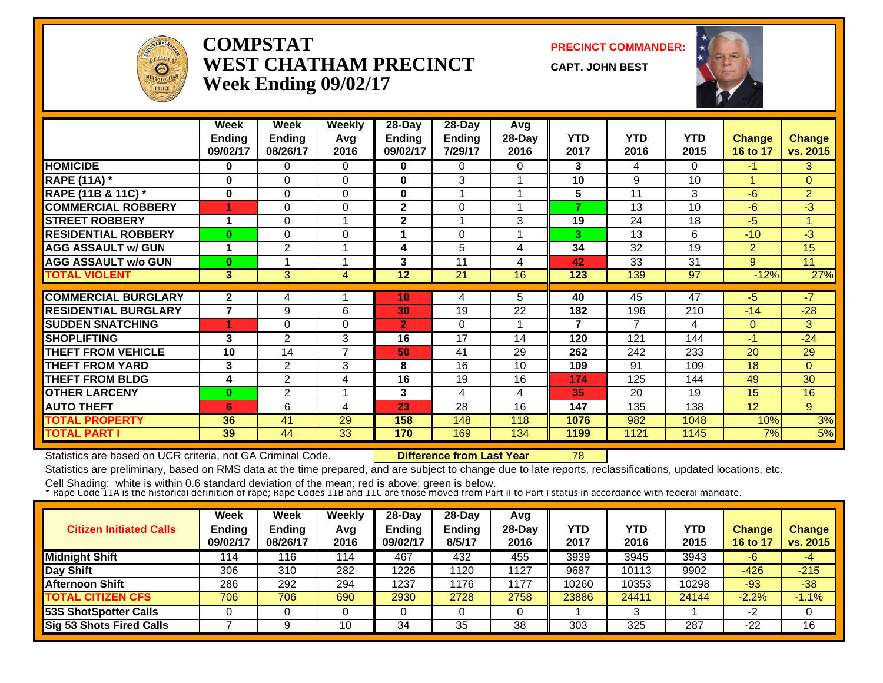

#### **COMPSTATWEST CHATHAM PRECINCTWeek Ending 09/02/17**

**PRECINCT COMMANDER:**

**CAPT. JOHN BEST**



|                             | Week           | Week           | <b>Weekly</b>  | 28-Day         | 28-Day          | Avg    |                          |            |            |                |                |
|-----------------------------|----------------|----------------|----------------|----------------|-----------------|--------|--------------------------|------------|------------|----------------|----------------|
|                             | <b>Ending</b>  | <b>Ending</b>  | Avg            | <b>Ending</b>  | <b>Ending</b>   | 28-Day | <b>YTD</b>               | <b>YTD</b> | <b>YTD</b> | <b>Change</b>  | <b>Change</b>  |
|                             | 09/02/17       | 08/26/17       | 2016           | 09/02/17       | 7/29/17         | 2016   | 2017                     | 2016       | 2015       | 16 to 17       | vs. 2015       |
| <b>HOMICIDE</b>             | $\bf{0}$       | 0              | 0              | 0              | $\Omega$        | 0      | 3                        | 4          | $\Omega$   | $-1$           | 3              |
| <b>RAPE (11A) *</b>         | 0              | $\Omega$       | 0              | 0              | 3               |        | 10                       | 9          | 10         | 1              | $\overline{0}$ |
| RAPE (11B & 11C) *          | $\bf{0}$       | $\Omega$       | $\Omega$       | 0              |                 |        | 5                        | 11         | 3          | $-6$           | $\overline{2}$ |
| <b>COMMERCIAL ROBBERY</b>   | 4              | $\Omega$       | $\Omega$       | $\overline{2}$ | $\Omega$        |        | $\overline{\phantom{a}}$ | 13         | 10         | $-6$           | -3             |
| <b>STREET ROBBERY</b>       | 1              | $\Omega$       |                | 2              |                 | 3      | 19                       | 24         | 18         | $-5$           |                |
| <b>RESIDENTIAL ROBBERY</b>  | 0              | $\Omega$       | $\Omega$       |                | $\Omega$        |        | 3                        | 13         | 6          | $-10$          | $-3$           |
| <b>AGG ASSAULT w/ GUN</b>   | 1              | $\overline{2}$ |                | 4              | 5               | 4      | 34                       | 32         | 19         | $\overline{2}$ | 15             |
| <b>AGG ASSAULT w/o GUN</b>  | $\bf{0}$       |                |                | 3              | 11              | 4      | 42                       | 33         | 31         | 9              | 11             |
| <b>TOTAL VIOLENT</b>        | 3              | 3              | 4              | 12             | $\overline{21}$ | 16     | 123                      | 139        | 97         | $-12%$         | 27%            |
|                             |                |                |                |                |                 |        |                          |            |            |                |                |
| <b>COMMERCIAL BURGLARY</b>  | $\mathbf{2}$   | 4              |                | 10             | 4               | 5.     | 40                       | 45         | 47         | $-5$           | $-7$           |
| <b>RESIDENTIAL BURGLARY</b> | $\overline{ }$ | 9              | 6              | 30             | 19              | 22     | 182                      | 196        | 210        | $-14$          | $-28$          |
| <b>SUDDEN SNATCHING</b>     | 4              | $\Omega$       | $\Omega$       | $\overline{2}$ | $\Omega$        |        | 7                        | 7          | 4          | $\Omega$       | 3              |
| <b>SHOPLIFTING</b>          | 3              | $\overline{2}$ | 3              | 16             | 17              | 14     | 120                      | 121        | 144        | $-1$           | $-24$          |
| <b>THEFT FROM VEHICLE</b>   | 10             | 14             | $\overline{7}$ | 50             | 41              | 29     | 262                      | 242        | 233        | 20             | 29             |
| <b>THEFT FROM YARD</b>      | 3              | 2              | 3              | 8              | 16              | 10     | 109                      | 91         | 109        | 18             | $\Omega$       |
| <b>THEFT FROM BLDG</b>      | 4              | 2              | 4              | 16             | 19              | 16     | 174                      | 125        | 144        | 49             | 30             |
| <b>OTHER LARCENY</b>        | $\bf{0}$       | 2              |                | 3              | 4               | 4      | 35                       | 20         | 19         | 15             | 16             |
| <b>AUTO THEFT</b>           | 6              | 6              | 4              | 23             | 28              | 16     | 147                      | 135        | 138        | 12             | 9              |
| <b>TOTAL PROPERTY</b>       | 36             | 41             | 29             | 158            | 148             | 118    | 1076                     | 982        | 1048       | 10%            | 3%             |
| <b>TOTAL PART I</b>         | 39             | 44             | 33             | 170            | 169             | 134    | 1199                     | 1121       | 1145       | 7%             | 5%             |

Statistics are based on UCR criteria, not GA Criminal Code. **Difference from Last Year** 78

Statistics are preliminary, based on RMS data at the time prepared, and are subject to change due to late reports, reclassifications, updated locations, etc.

| <b>Citizen Initiated Calls</b>  | Week<br><b>Ending</b><br>09/02/17 | <b>Week</b><br>Ending<br>08/26/17 | Weekly<br>Avg<br>2016 | $28-Dav$<br><b>Ending</b><br>09/02/17 | $28$ -Day<br><b>Ending</b><br>8/5/17 | Avg<br>$28$ -Day<br>2016 | YTD<br>2017 | YTD<br>2016 | YTD<br>2015 | Change<br>16 to 17 | <b>Change</b><br>vs. 2015 |
|---------------------------------|-----------------------------------|-----------------------------------|-----------------------|---------------------------------------|--------------------------------------|--------------------------|-------------|-------------|-------------|--------------------|---------------------------|
| <b>Midnight Shift</b>           | 114                               | 116                               | 114                   | 467                                   | 432                                  | 455                      | 3939        | 3945        | 3943        | -6                 | -4                        |
| Day Shift                       | 306                               | 310                               | 282                   | 1226                                  | 120                                  | 1127                     | 9687        | 10113       | 9902        | -426               | $-215$                    |
| <b>Afternoon Shift</b>          | 286                               | 292                               | 294                   | 1237                                  | 176                                  | 1177                     | 10260       | 10353       | 10298       | $-93$              | $-38$                     |
| <b>TOTAL CITIZEN CFS</b>        | 706                               | 706                               | 690                   | 2930                                  | 2728                                 | 2758                     | 23886       | 24411       | 24144       | $-2.2%$            | $-1.1%$                   |
| 53S ShotSpotter Calls           |                                   |                                   |                       |                                       |                                      |                          |             |             |             | -2                 |                           |
| <b>Sig 53 Shots Fired Calls</b> |                                   |                                   | 10                    | 34                                    | 35                                   | 38                       | 303         | 325         | 287         | -22                | 16                        |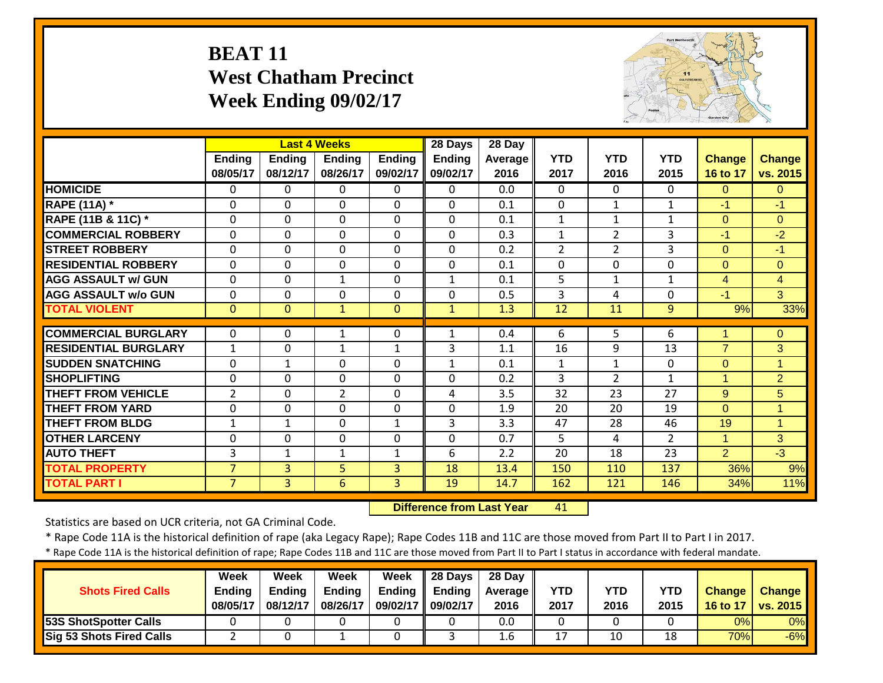#### **BEAT 11 West Chatham PrecinctWeek Ending 09/02/17**



|                             |                |                | <b>Last 4 Weeks</b> |               | 28 Days       | $28$ Day |              |                |                 |                |                |
|-----------------------------|----------------|----------------|---------------------|---------------|---------------|----------|--------------|----------------|-----------------|----------------|----------------|
|                             | Ending         | Ending         | <b>Ending</b>       | <b>Ending</b> | <b>Ending</b> | Average  | <b>YTD</b>   | <b>YTD</b>     | <b>YTD</b>      | Change         | <b>Change</b>  |
|                             | 08/05/17       | 08/12/17       | 08/26/17            | 09/02/17      | 09/02/17      | 2016     | 2017         | 2016           | 2015            | 16 to 17       | vs. 2015       |
| <b>HOMICIDE</b>             | $\Omega$       | 0              | 0                   | 0             | 0             | 0.0      | 0            | $\Omega$       | $\Omega$        | $\Omega$       | $\Omega$       |
| <b>RAPE (11A) *</b>         | $\Omega$       | $\Omega$       | $\Omega$            | $\Omega$      | $\mathbf 0$   | 0.1      | $\mathbf 0$  | $\mathbf{1}$   | $\mathbf{1}$    | $-1$           | $-1$           |
| RAPE (11B & 11C) *          | $\Omega$       | 0              | $\Omega$            | $\Omega$      | $\mathbf 0$   | 0.1      | $\mathbf{1}$ | $\mathbf{1}$   | $\mathbf{1}$    | $\Omega$       | $\Omega$       |
| <b>COMMERCIAL ROBBERY</b>   | $\mathbf 0$    | 0              | $\mathbf 0$         | $\Omega$      | 0             | 0.3      | $\mathbf{1}$ | $\overline{2}$ | 3               | $-1$           | $-2$           |
| <b>STREET ROBBERY</b>       | $\Omega$       | 0              | $\Omega$            | $\mathbf 0$   | $\mathbf 0$   | 0.2      | 2            | $\overline{2}$ | 3               | $\Omega$       | $-1$           |
| <b>RESIDENTIAL ROBBERY</b>  | $\Omega$       | $\mathbf 0$    | $\mathbf 0$         | $\mathbf 0$   | 0             | 0.1      | $\mathbf 0$  | $\Omega$       | $\mathbf{0}$    | $\overline{0}$ | $\mathbf{0}$   |
| <b>AGG ASSAULT w/ GUN</b>   | $\mathbf{0}$   | $\mathbf 0$    | $\mathbf{1}$        | $\mathbf 0$   | $\mathbf{1}$  | 0.1      | 5            | $\mathbf{1}$   | $\mathbf{1}$    | 4              | $\overline{4}$ |
| <b>AGG ASSAULT w/o GUN</b>  | $\mathbf{0}$   | 0              | $\mathbf 0$         | $\Omega$      | 0             | 0.5      | 3            | 4              | $\mathbf{0}$    | $-1$           | 3              |
| <b>TOTAL VIOLENT</b>        | $\mathbf{0}$   | $\overline{0}$ | $\mathbf{1}$        | $\mathbf{0}$  | $\mathbf{1}$  | 1.3      | 12           | 11             | 9               | 9%             | 33%            |
|                             |                |                |                     |               |               |          |              |                |                 |                |                |
| <b>COMMERCIAL BURGLARY</b>  | $\Omega$       | 0              | 1                   | 0             | 1             | 0.4      | 6            | 5              | 6               | 1              | $\mathbf{0}$   |
| <b>RESIDENTIAL BURGLARY</b> | $\mathbf{1}$   | $\Omega$       | 1                   | $\mathbf{1}$  | 3             | 1.1      | 16           | 9              | 13              | $\overline{7}$ | 3              |
| <b>SUDDEN SNATCHING</b>     | $\mathbf{0}$   | 1              | $\Omega$            | $\Omega$      | $\mathbf{1}$  | 0.1      | $\mathbf{1}$ | $\mathbf{1}$   | 0               | $\Omega$       | $\overline{1}$ |
| <b>SHOPLIFTING</b>          | $\mathbf{0}$   | 0              | $\Omega$            | $\mathbf 0$   | 0             | 0.2      | 3            | $\overline{2}$ | $\mathbf{1}$    | $\mathbf{1}$   | $\overline{2}$ |
| <b>THEFT FROM VEHICLE</b>   | $\overline{2}$ | 0              | $\overline{2}$      | $\mathbf 0$   | 4             | 3.5      | 32           | 23             | $\overline{27}$ | 9 <sup>°</sup> | 5              |
| <b>THEFT FROM YARD</b>      | $\mathbf{0}$   | 0              | $\mathbf 0$         | $\mathbf 0$   | $\mathbf 0$   | 1.9      | 20           | 20             | 19              | $\overline{0}$ | $\overline{1}$ |
| <b>THEFT FROM BLDG</b>      | $\mathbf{1}$   | 1              | $\mathbf 0$         | $\mathbf 1$   | 3             | 3.3      | 47           | 28             | 46              | 19             | $\overline{1}$ |
| <b>OTHER LARCENY</b>        | $\mathbf 0$    | $\Omega$       | $\Omega$            | 0             | $\mathbf 0$   | 0.7      | 5            | 4              | $\overline{2}$  | $\overline{1}$ | 3 <sup>1</sup> |
| <b>AUTO THEFT</b>           | 3              | 1              | 1                   | 1             | 6             | 2.2      | 20           | 18             | 23              | $\overline{2}$ | $-3$           |
| <b>TOTAL PROPERTY</b>       | 7              | 3              | 5                   | 3             | 18            | 13.4     | 150          | 110            | 137             | 36%            | 9%             |
| <b>TOTAL PART I</b>         | $\overline{7}$ | $\overline{3}$ | $6\phantom{1}$      | 3             | 19            | 14.7     | 162          | 121            | 146             | 34%            | 11%            |

 **Difference from Last Year**41

Statistics are based on UCR criteria, not GA Criminal Code.

\* Rape Code 11A is the historical definition of rape (aka Legacy Rape); Rape Codes 11B and 11C are those moved from Part II to Part I in 2017.

\* Rape Code 11A is the historical definition of rape; Rape Codes 11B and 11C are those moved from Part II to Part I status in accordance with federal mandate.

|                                 | Week          | Week          | Week          | Week              | $\vert$ 28 Days | 28 Day     |      |      |            |               |                     |
|---------------------------------|---------------|---------------|---------------|-------------------|-----------------|------------|------|------|------------|---------------|---------------------|
| <b>Shots Fired Calls</b>        | <b>Ending</b> | <b>Endina</b> | <b>Ending</b> | Endina            | <b>Ending</b>   | Average II | YTD  | YTD  | <b>YTD</b> | <b>Change</b> | <b>Change</b>       |
|                                 | 08/05/17      | 08/12/17      | 08/26/17      | 09/02/17 09/02/17 |                 | 2016       | 2017 | 2016 | 2015       |               | 16 to 17   vs. 2015 |
| <b>153S ShotSpotter Calls</b>   |               |               |               |                   |                 | 0.0        |      |      |            | 0%            | 0%                  |
| <b>Sig 53 Shots Fired Calls</b> |               |               |               |                   |                 | 1.6        | ∸ '  | 10   | 18         | 70%           | $-6%$               |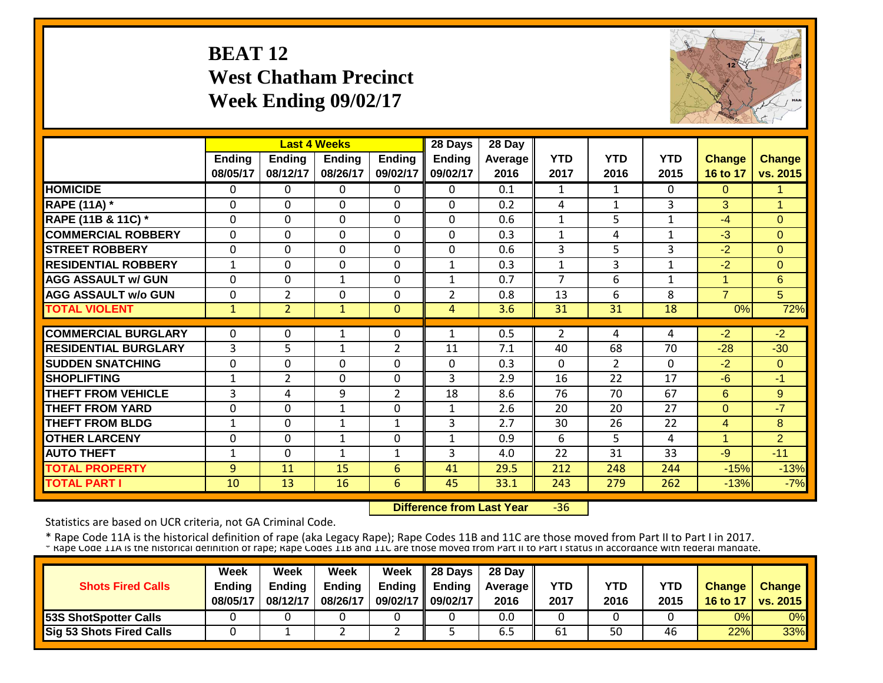#### **BEAT 12 West Chatham Precinct Week Ending 09/02/17**



|                             |               |                | <b>Last 4 Weeks</b> |                | 28 Days       | 28 Day  |                |                |              |                |                |
|-----------------------------|---------------|----------------|---------------------|----------------|---------------|---------|----------------|----------------|--------------|----------------|----------------|
|                             | <b>Ending</b> | <b>Ending</b>  | <b>Ending</b>       | <b>Ending</b>  | <b>Ending</b> | Average | <b>YTD</b>     | <b>YTD</b>     | <b>YTD</b>   | <b>Change</b>  | <b>Change</b>  |
|                             | 08/05/17      | 08/12/17       | 08/26/17            | 09/02/17       | 09/02/17      | 2016    | 2017           | 2016           | 2015         | 16 to 17       | vs. 2015       |
| <b>HOMICIDE</b>             | $\Omega$      | $\Omega$       | 0                   | $\Omega$       | 0             | 0.1     | $\mathbf{1}$   | 1              | 0            | $\Omega$       | 1              |
| <b>RAPE (11A) *</b>         | $\Omega$      | $\Omega$       | $\Omega$            | $\Omega$       | $\Omega$      | 0.2     | 4              | $\mathbf{1}$   | 3            | 3              | $\overline{1}$ |
| RAPE (11B & 11C) *          | $\mathbf 0$   | $\Omega$       | $\Omega$            | $\Omega$       | $\Omega$      | 0.6     | $\mathbf{1}$   | 5              | 1            | $-4$           | $\Omega$       |
| <b>COMMERCIAL ROBBERY</b>   | $\Omega$      | $\Omega$       | $\Omega$            | 0              | $\Omega$      | 0.3     | $\mathbf{1}$   | 4              | 1            | $-3$           | $\Omega$       |
| <b>STREET ROBBERY</b>       | 0             | 0              | $\mathbf 0$         | 0              | $\mathbf 0$   | 0.6     | 3              | 5              | 3            | $-2$           | $\mathbf{0}$   |
| <b>RESIDENTIAL ROBBERY</b>  | $\mathbf{1}$  | $\Omega$       | $\Omega$            | 0              | $\mathbf{1}$  | 0.3     | $\mathbf{1}$   | 3              | 1            | $-2$           | $\Omega$       |
| <b>AGG ASSAULT w/ GUN</b>   | $\Omega$      | $\Omega$       | $\mathbf{1}$        | 0              | $\mathbf{1}$  | 0.7     | $\overline{7}$ | 6              | $\mathbf{1}$ | 4              | $6\phantom{1}$ |
| <b>AGG ASSAULT w/o GUN</b>  | 0             | 2              | 0                   | 0              | 2             | 0.8     | 13             | 6              | 8            | $\overline{7}$ | 5              |
| <b>TOTAL VIOLENT</b>        | $\mathbf{1}$  | $\overline{2}$ | $\mathbf{1}$        | $\Omega$       | 4             | 3.6     | 31             | 31             | 18           | 0%             | 72%            |
|                             |               |                |                     |                |               |         |                |                |              |                |                |
| <b>COMMERCIAL BURGLARY</b>  | $\Omega$      | 0              | 1                   | 0              |               | 0.5     | $\overline{2}$ | 4              | 4            | $-2$           | $-2$           |
| <b>RESIDENTIAL BURGLARY</b> | 3             | 5              | 1                   | $\overline{2}$ | 11            | 7.1     | 40             | 68             | 70           | $-28$          | $-30$          |
| <b>SUDDEN SNATCHING</b>     | $\mathbf 0$   | $\Omega$       | $\Omega$            | $\Omega$       | $\Omega$      | 0.3     | $\Omega$       | $\overline{2}$ | 0            | $-2$           | $\Omega$       |
| <b>SHOPLIFTING</b>          | 1             | 2              | $\Omega$            | $\Omega$       | 3             | 2.9     | 16             | 22             | 17           | $-6$           | $-1$           |
| <b>THEFT FROM VEHICLE</b>   | 3             | 4              | 9                   | $\overline{2}$ | 18            | 8.6     | 76             | 70             | 67           | 6              | 9              |
| <b>THEFT FROM YARD</b>      | $\Omega$      | $\Omega$       | $\mathbf{1}$        | 0              | $\mathbf{1}$  | 2.6     | 20             | 20             | 27           | $\Omega$       | $-7$           |
| <b>THEFT FROM BLDG</b>      | 1             | $\Omega$       | 1                   | 1              | 3             | 2.7     | 30             | 26             | 22           | 4              | 8              |
| <b>OTHER LARCENY</b>        | $\Omega$      | $\Omega$       | 1                   | $\Omega$       | $\mathbf{1}$  | 0.9     | 6              | 5.             | 4            | 1              | $\overline{2}$ |
| <b>AUTO THEFT</b>           | 1             | $\Omega$       | 1                   | $\mathbf{1}$   | 3             | 4.0     | 22             | 31             | 33           | $-9$           | $-11$          |
| <b>TOTAL PROPERTY</b>       | 9             | 11             | 15                  | 6              | 41            | 29.5    | 212            | 248            | 244          | $-15%$         | $-13%$         |
| <b>TOTAL PART I</b>         | 10            | 13             | 16                  | 6              | 45            | 33.1    | 243            | 279            | 262          | $-13%$         | $-7%$          |

 **Difference from Last Year** $-36$ 

Statistics are based on UCR criteria, not GA Criminal Code.

|                                 | Week          | Week     | Week          | Week     | 28 Days       | 28 Day            |      |            |            |               |                 |
|---------------------------------|---------------|----------|---------------|----------|---------------|-------------------|------|------------|------------|---------------|-----------------|
| <b>Shots Fired Calls</b>        | <b>Ending</b> | Endina   | <b>Ending</b> | Ending   | <b>Ending</b> | <b>Average</b> li | YTD  | <b>YTD</b> | <b>YTD</b> | <b>Change</b> | <b>Change</b>   |
|                                 | 08/05/17      | 08/12/17 | 08/26/17      | 09/02/17 | 09/02/17      | 2016              | 2017 | 2016       | 2015       | 16 to 17      | <b>VS. 2015</b> |
| <b>53S ShotSpotter Calls</b>    |               |          |               |          |               | 0.0               |      |            |            | 0%            | 0%              |
| <b>Sig 53 Shots Fired Calls</b> |               |          |               |          |               | כ.ס               | 61   | 50         | 46         | 22%           | $33\%$          |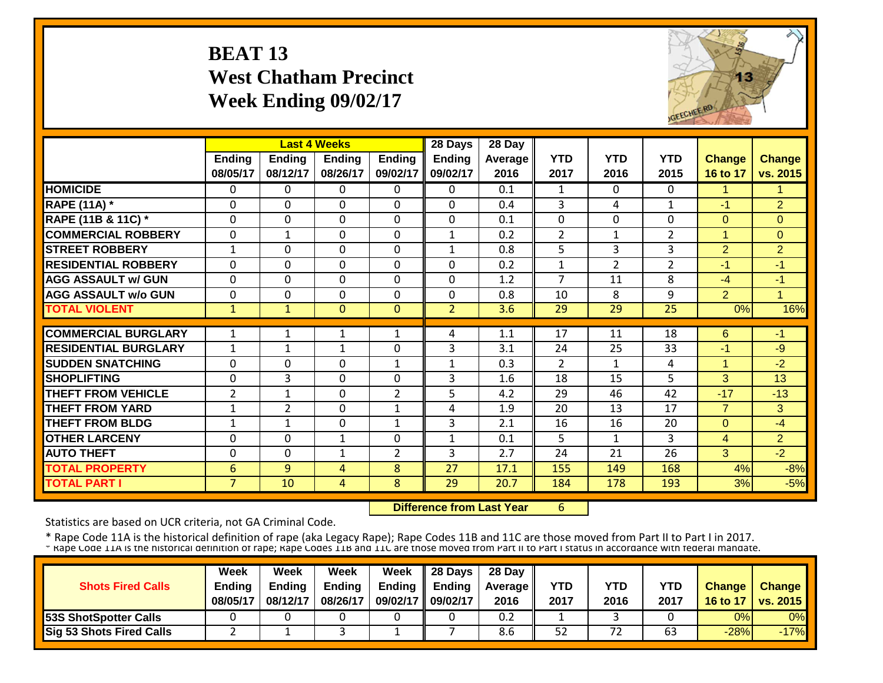#### **BEAT 13 West Chatham Precinct Week Ending 09/02/17**



|                             |                    |                           | <b>Last 4 Weeks</b>       |                           | 28 Days                   | 28 Day          |                    |                    |                    |                           |                           |
|-----------------------------|--------------------|---------------------------|---------------------------|---------------------------|---------------------------|-----------------|--------------------|--------------------|--------------------|---------------------------|---------------------------|
|                             | Ending<br>08/05/17 | <b>Ending</b><br>08/12/17 | <b>Ending</b><br>08/26/17 | <b>Ending</b><br>09/02/17 | <b>Ending</b><br>09/02/17 | Average<br>2016 | <b>YTD</b><br>2017 | <b>YTD</b><br>2016 | <b>YTD</b><br>2015 | <b>Change</b><br>16 to 17 | <b>Change</b><br>vs. 2015 |
| <b>HOMICIDE</b>             | $\Omega$           | 0                         | 0                         | $\Omega$                  | $\Omega$                  | 0.1             | $\mathbf{1}$       | $\Omega$           | $\Omega$           | 1                         | 1                         |
| <b>RAPE (11A)</b> *         | $\Omega$           | $\Omega$                  | $\Omega$                  | $\Omega$                  | $\Omega$                  | 0.4             | 3                  | 4                  | 1                  | $-1$                      | $\overline{2}$            |
| RAPE (11B & 11C) *          | $\mathbf{0}$       | 0                         | $\Omega$                  | $\mathbf 0$               | 0                         | 0.1             | $\overline{0}$     | $\Omega$           | $\Omega$           | $\Omega$                  | $\overline{0}$            |
| <b>COMMERCIAL ROBBERY</b>   | $\Omega$           | 1                         | $\Omega$                  | $\Omega$                  | $\mathbf{1}$              | 0.2             | $\overline{2}$     | 1                  | $\overline{2}$     | $\overline{1}$            | $\Omega$                  |
| <b>STREET ROBBERY</b>       | $\mathbf{1}$       | 0                         | $\mathbf 0$               | $\Omega$                  | 1                         | 0.8             | 5                  | 3                  | 3                  | $\overline{2}$            | $\overline{2}$            |
| <b>RESIDENTIAL ROBBERY</b>  | $\mathbf{0}$       | 0                         | $\Omega$                  | $\mathbf 0$               | 0                         | 0.2             | $\mathbf{1}$       | $\overline{2}$     | $\overline{2}$     | $-1$                      | $-1$                      |
| <b>AGG ASSAULT w/ GUN</b>   | $\mathbf{0}$       | 0                         | $\Omega$                  | $\mathbf 0$               | 0                         | 1.2             | $\overline{7}$     | 11                 | 8                  | -4                        | $-1$                      |
| <b>AGG ASSAULT w/o GUN</b>  | $\Omega$           | 0                         | $\Omega$                  | $\Omega$                  | $\Omega$                  | 0.8             | 10                 | 8                  | 9                  | $\overline{2}$            | $\blacksquare$            |
| <b>TOTAL VIOLENT</b>        | $\mathbf{1}$       | $\mathbf{1}$              | $\Omega$                  | $\mathbf{0}$              | $\overline{2}$            | 3.6             | 29                 | 29                 | 25                 | 0%                        | 16%                       |
|                             |                    |                           |                           |                           |                           |                 |                    |                    |                    |                           |                           |
| <b>COMMERCIAL BURGLARY</b>  | 1                  | $\mathbf{1}$              | 1                         | 1                         | 4                         | 1.1             | 17                 | 11                 | 18                 | 6                         | $-1$                      |
| <b>RESIDENTIAL BURGLARY</b> | $\mathbf{1}$       | 1                         | 1                         | 0                         | 3                         | 3.1             | 24                 | 25                 | 33                 | $-1$                      | $-9$                      |
| <b>SUDDEN SNATCHING</b>     | $\Omega$           | 0                         | $\Omega$                  | $\mathbf{1}$              | $\mathbf{1}$              | 0.3             | $\overline{2}$     | 1                  | 4                  | 1                         | $-2$                      |
| <b>SHOPLIFTING</b>          | $\Omega$           | 3                         | $\Omega$                  | 0                         | 3                         | 1.6             | 18                 | 15                 | 5                  | 3                         | 13                        |
| <b>THEFT FROM VEHICLE</b>   | $\overline{2}$     | $\mathbf{1}$              | $\Omega$                  | $\overline{2}$            | 5                         | 4.2             | 29                 | 46                 | 42                 | $-17$                     | $-13$                     |
| <b>THEFT FROM YARD</b>      | $\mathbf{1}$       | 2                         | $\Omega$                  | 1                         | 4                         | 1.9             | 20                 | 13                 | 17                 | $\overline{7}$            | 3 <sup>1</sup>            |
| <b>THEFT FROM BLDG</b>      | 1                  | $\mathbf{1}$              | $\Omega$                  | 1                         | 3                         | 2.1             | 16                 | 16                 | 20                 | $\Omega$                  | $-4$                      |
| <b>OTHER LARCENY</b>        | $\Omega$           | 0                         | 1                         | $\Omega$                  | $\mathbf{1}$              | 0.1             | 5                  | 1                  | 3                  | $\overline{4}$            | $\overline{2}$            |
| <b>AUTO THEFT</b>           | $\Omega$           | 0                         | $\mathbf{1}$              | $\overline{2}$            | 3                         | 2.7             | 24                 | 21                 | 26                 | 3                         | $-2$                      |
| <b>TOTAL PROPERTY</b>       | 6                  | 9                         | 4                         | 8                         | 27                        | 17.1            | 155                | 149                | 168                | 4%                        | $-8%$                     |
| <b>TOTAL PART I</b>         | $\overline{7}$     | 10                        | $\overline{4}$            | 8                         | 29                        | 20.7            | 184                | 178                | 193                | 3%                        | $-5%$                     |

 **Difference from Last Year**6

Statistics are based on UCR criteria, not GA Criminal Code.

| <b>Shots Fired Calls</b>        | Week<br><b>Endina</b> | Week<br><b>Ending</b> | Week<br><b>Ending</b> | <b>Week</b> | $\parallel$ 28 Days<br>Ending $\parallel$ Ending | 28 Day<br><b>Average</b> II | YTD  | YTD  | YTD  | <b>Change</b> | <b>Change</b>   |
|---------------------------------|-----------------------|-----------------------|-----------------------|-------------|--------------------------------------------------|-----------------------------|------|------|------|---------------|-----------------|
|                                 | 08/05/17              | 08/12/17              | 08/26/17              |             | 09/02/17    09/02/17                             | 2016                        | 2017 | 2016 | 2017 | 16 to 17      | <b>vs. 2015</b> |
| <b>53S ShotSpotter Calls</b>    |                       |                       |                       |             |                                                  | 0.2                         |      |      |      | 0%            | 0%              |
| <b>Sig 53 Shots Fired Calls</b> |                       |                       |                       |             |                                                  | 8.6                         | 52   | 72   | 63   | $-28%$        | $-17%$          |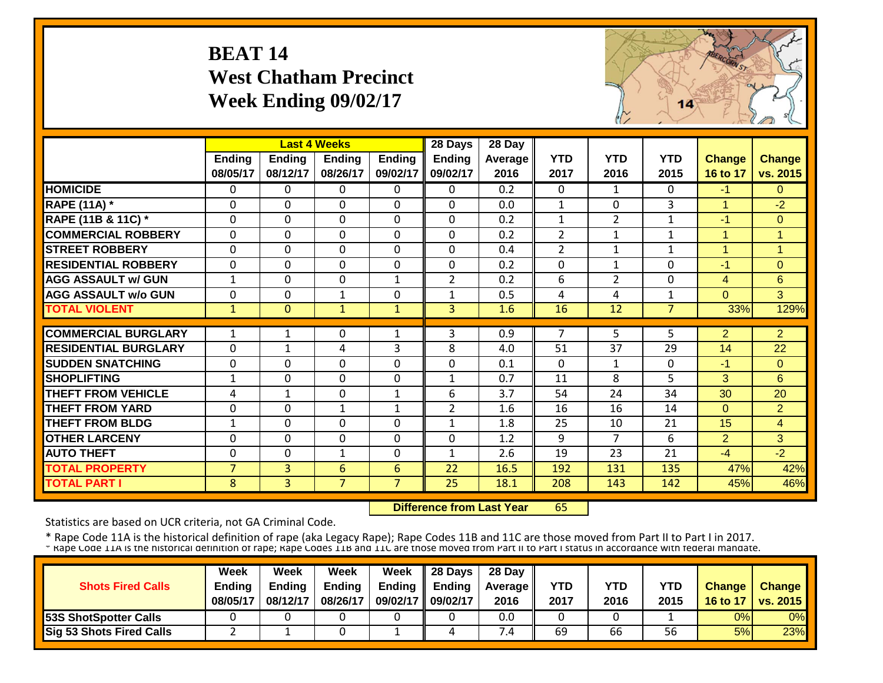#### **BEAT 14 West Chatham Precinct Week Ending 09/02/17**



|                             |                |                | <b>Last 4 Weeks</b> |                | 28 Days        | 28 Day           |                |                |                |                      |                |
|-----------------------------|----------------|----------------|---------------------|----------------|----------------|------------------|----------------|----------------|----------------|----------------------|----------------|
|                             | <b>Ending</b>  | <b>Ending</b>  | <b>Ending</b>       | <b>Ending</b>  | <b>Ending</b>  | Average          | <b>YTD</b>     | <b>YTD</b>     | <b>YTD</b>     | <b>Change</b>        | <b>Change</b>  |
|                             | 08/05/17       | 08/12/17       | 08/26/17            | 09/02/17       | 09/02/17       | 2016             | 2017           | 2016           | 2015           | 16 to 17             | vs. 2015       |
| <b>HOMICIDE</b>             | $\Omega$       | 0              | $\Omega$            | $\Omega$       | 0              | $\overline{0.2}$ | $\Omega$       | 1              | $\Omega$       | $-1$                 | $\Omega$       |
| <b>RAPE (11A) *</b>         | $\Omega$       | 0              | 0                   | $\mathbf 0$    | $\Omega$       | 0.0              | $\mathbf{1}$   | $\Omega$       | $\overline{3}$ | $\blacktriangleleft$ | $-2$           |
| RAPE (11B & 11C) *          | $\Omega$       | 0              | $\Omega$            | $\Omega$       | $\Omega$       | 0.2              | $\mathbf{1}$   | $\overline{2}$ | 1              | $-1$                 | $\overline{0}$ |
| <b>COMMERCIAL ROBBERY</b>   | $\Omega$       | $\Omega$       | 0                   | $\Omega$       | $\Omega$       | 0.2              | $\overline{2}$ | $\mathbf{1}$   | $\mathbf{1}$   | 1                    | 1              |
| <b>STREET ROBBERY</b>       | $\Omega$       | 0              | 0                   | 0              | $\Omega$       | 0.4              | $\overline{2}$ | 1              | $\mathbf{1}$   | $\overline{1}$       | $\overline{1}$ |
| <b>RESIDENTIAL ROBBERY</b>  | $\Omega$       | 0              | $\Omega$            | 0              | 0              | 0.2              | $\Omega$       | $\mathbf{1}$   | $\Omega$       | $-1$                 | $\Omega$       |
| <b>AGG ASSAULT w/ GUN</b>   | $\mathbf{1}$   | 0              | $\mathbf 0$         | $\mathbf{1}$   | 2              | 0.2              | 6              | $\overline{2}$ | $\mathbf 0$    | $\overline{4}$       | 6              |
| <b>AGG ASSAULT w/o GUN</b>  | $\Omega$       | 0              | $\mathbf{1}$        | 0              | $\mathbf{1}$   | 0.5              | 4              | 4              | $\mathbf{1}$   | $\Omega$             | 3              |
| <b>TOTAL VIOLENT</b>        | $\mathbf{1}$   | $\Omega$       | $\mathbf{1}$        | $\mathbf{1}$   | $\overline{3}$ | 1.6              | 16             | 12             | $\overline{7}$ | 33%                  | 129%           |
|                             |                |                |                     |                |                |                  |                |                |                |                      |                |
| <b>COMMERCIAL BURGLARY</b>  | $\mathbf{1}$   | 1              | 0                   | 1              | 3              | 0.9              | 7              | 5.             | 5              | $\overline{2}$       | $\overline{2}$ |
| <b>RESIDENTIAL BURGLARY</b> | $\mathbf{0}$   | 1              | 4                   | 3              | 8              | 4.0              | 51             | 37             | 29             | 14                   | 22             |
| <b>SUDDEN SNATCHING</b>     | $\mathbf{0}$   | 0              | 0                   | 0              | $\Omega$       | 0.1              | $\Omega$       | $\mathbf{1}$   | $\mathbf 0$    | $-1$                 | $\Omega$       |
| <b>SHOPLIFTING</b>          | 1              | 0              | $\mathbf 0$         | $\mathbf 0$    | 1              | 0.7              | 11             | 8              | 5              | 3                    | 6              |
| <b>THEFT FROM VEHICLE</b>   | 4              | 1              | 0                   | $\mathbf 1$    | 6              | 3.7              | 54             | 24             | 34             | 30                   | 20             |
| <b>THEFT FROM YARD</b>      | $\mathbf{0}$   | 0              | $\mathbf{1}$        | 1              | 2              | 1.6              | 16             | 16             | 14             | $\Omega$             | $\overline{2}$ |
| <b>THEFT FROM BLDG</b>      | 1              | 0              | $\Omega$            | $\Omega$       | 1              | 1.8              | 25             | 10             | 21             | 15                   | 4              |
| <b>OTHER LARCENY</b>        | $\Omega$       | $\Omega$       | $\Omega$            | $\Omega$       | $\Omega$       | 1.2              | 9              | 7              | 6              | $\overline{2}$       | 3              |
| <b>AUTO THEFT</b>           | $\Omega$       | 0              | $\mathbf{1}$        | $\Omega$       | 1              | 2.6              | 19             | 23             | 21             | $-4$                 | $-2$           |
| <b>TOTAL PROPERTY</b>       | $\overline{7}$ | 3              | 6                   | 6              | 22             | 16.5             | 192            | 131            | 135            | 47%                  | 42%            |
| <b>TOTAL PART I</b>         | 8              | $\overline{3}$ | $\overline{7}$      | $\overline{7}$ | 25             | 18.1             | 208            | 143            | 142            | 45%                  | 46%            |

 **Difference from Last Year**65

Statistics are based on UCR criteria, not GA Criminal Code.

|                                 | Week          | Week     | Week          | Week     | 28 Days       | 28 Day            |      |            |            |               |                   |
|---------------------------------|---------------|----------|---------------|----------|---------------|-------------------|------|------------|------------|---------------|-------------------|
| <b>Shots Fired Calls</b>        | <b>Ending</b> | Endina   | <b>Ending</b> | Ending   | <b>Ending</b> | <b>Average II</b> | YTD  | <b>YTD</b> | <b>YTD</b> | <b>Change</b> | Change            |
|                                 | 08/05/17      | 08/12/17 | 08/26/17      | 09/02/17 | 09/02/17      | 2016              | 2017 | 2016       | 2015       | 16 to 17      | $\sqrt{vs. 2015}$ |
| <b>53S ShotSpotter Calls</b>    |               |          |               |          |               | 0.0               |      |            |            | 0%            | 0%                |
| <b>Sig 53 Shots Fired Calls</b> |               |          | ີ             |          |               | .4                | 69   | 66         | 56         | 5%            | 23%               |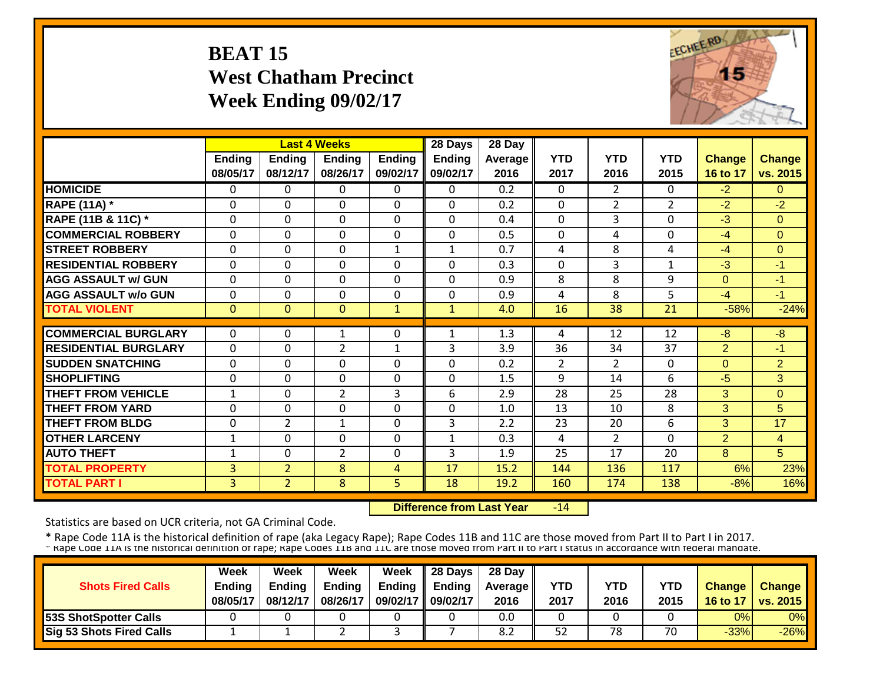# **BEAT 15 West Chatham Precinct Week Ending 09/02/17**



|                             |                | <b>Last 4 Weeks</b> |                |               | 28 Days       | 28 Day  |                |                |                |                |                |
|-----------------------------|----------------|---------------------|----------------|---------------|---------------|---------|----------------|----------------|----------------|----------------|----------------|
|                             | Ending         | <b>Ending</b>       | <b>Ending</b>  | <b>Ending</b> | <b>Ending</b> | Average | <b>YTD</b>     | <b>YTD</b>     | <b>YTD</b>     | <b>Change</b>  | Change         |
|                             | 08/05/17       | 08/12/17            | 08/26/17       | 09/02/17      | 09/02/17      | 2016    | 2017           | 2016           | 2015           | 16 to 17       | vs. 2015       |
| <b>HOMICIDE</b>             | $\Omega$       | 0                   | $\Omega$       | $\Omega$      | $\Omega$      | 0.2     | $\Omega$       | $\overline{2}$ | $\Omega$       | $-2$           | $\Omega$       |
| <b>RAPE (11A) *</b>         | $\Omega$       | $\Omega$            | $\Omega$       | $\Omega$      | $\Omega$      | 0.2     | $\mathbf{0}$   | 2              | $\overline{2}$ | $-2$           | $-2$           |
| RAPE (11B & 11C) *          | $\mathbf 0$    | 0                   | $\Omega$       | $\Omega$      | 0             | 0.4     | $\mathbf 0$    | 3              | 0              | $-3$           | $\Omega$       |
| <b>COMMERCIAL ROBBERY</b>   | $\Omega$       | 0                   | $\Omega$       | $\Omega$      | 0             | 0.5     | $\overline{0}$ | 4              | 0              | $-4$           | $\Omega$       |
| <b>STREET ROBBERY</b>       | $\mathbf{0}$   | 0                   | $\mathbf 0$    | 1             | $\mathbf{1}$  | 0.7     | 4              | 8              | 4              | $-4$           | $\overline{0}$ |
| <b>RESIDENTIAL ROBBERY</b>  | $\Omega$       | $\Omega$            | $\Omega$       | $\Omega$      | $\mathbf 0$   | 0.3     | $\Omega$       | 3              | 1              | $-3$           | $-1$           |
| <b>AGG ASSAULT w/ GUN</b>   | $\mathbf 0$    | 0                   | $\Omega$       | 0             | 0             | 0.9     | 8              | 8              | 9              | $\mathbf{0}$   | $-1$           |
| <b>AGG ASSAULT w/o GUN</b>  | $\Omega$       | 0                   | $\Omega$       | $\Omega$      | $\mathbf 0$   | 0.9     | 4              | 8              | 5              | $-4$           | $-1$           |
| <b>TOTAL VIOLENT</b>        | $\overline{0}$ | $\overline{0}$      | $\Omega$       | $\mathbf{1}$  | $\mathbf{1}$  | 4.0     | 16             | 38             | 21             | $-58%$         | $-24%$         |
|                             |                |                     |                |               |               |         |                |                |                |                |                |
| <b>COMMERCIAL BURGLARY</b>  | $\Omega$       | 0                   | 1              | $\Omega$      | 1             | 1.3     | 4              | 12             | 12             | $-8$           | $-8$           |
| <b>RESIDENTIAL BURGLARY</b> | $\mathbf{0}$   | 0                   | $\overline{2}$ | $\mathbf{1}$  | 3             | 3.9     | 36             | 34             | 37             | $\overline{2}$ | $-1$           |
| <b>SUDDEN SNATCHING</b>     | $\Omega$       | 0                   | $\Omega$       | 0             | $\Omega$      | 0.2     | $\overline{2}$ | $\overline{2}$ | 0              | $\Omega$       | $\overline{2}$ |
| <b>SHOPLIFTING</b>          | $\Omega$       | 0                   | $\Omega$       | 0             | $\mathbf 0$   | 1.5     | 9              | 14             | 6              | -5             | 3              |
| <b>THEFT FROM VEHICLE</b>   | 1              | 0                   | $\overline{2}$ | 3             | 6             | 2.9     | 28             | 25             | 28             | 3              | $\mathbf{0}$   |
| <b>THEFT FROM YARD</b>      | $\Omega$       | 0                   | $\Omega$       | $\Omega$      | $\mathbf 0$   | 1.0     | 13             | 10             | 8              | 3              | 5              |
| <b>THEFT FROM BLDG</b>      | $\Omega$       | $\overline{2}$      | 1              | $\Omega$      | 3             | 2.2     | 23             | 20             | 6              | 3              | 17             |
| <b>OTHER LARCENY</b>        | 1              | 0                   | $\Omega$       | $\Omega$      | $\mathbf{1}$  | 0.3     | 4              | $\overline{2}$ | 0              | $\overline{2}$ | $\overline{4}$ |
| <b>AUTO THEFT</b>           | 1              | 0                   | $\overline{2}$ | 0             | 3             | 1.9     | 25             | 17             | 20             | 8              | 5              |
| <b>TOTAL PROPERTY</b>       | 3              | $\overline{2}$      | 8              | 4             | 17            | 15.2    | 144            | 136            | 117            | 6%             | 23%            |
| <b>TOTAL PART I</b>         | 3              | $\overline{2}$      | 8              | 5             | 18            | 19.2    | 160            | 174            | 138            | $-8%$          | 16%            |

 **Difference from Last Year** $-14$ 

Statistics are based on UCR criteria, not GA Criminal Code.

|                                 | <b>Week</b>   | Week     | Week          | Week          | <b>28 Davs</b> | 28 Day            |      |      |      |               |                 |
|---------------------------------|---------------|----------|---------------|---------------|----------------|-------------------|------|------|------|---------------|-----------------|
| <b>Shots Fired Calls</b>        | <b>Ending</b> | Endina   | <b>Ending</b> | <b>Ending</b> | Endina         | <b>Average II</b> | YTD  | YTD  | YTD  | <b>Change</b> | <b>Change</b>   |
|                                 | 08/05/17      | 08/12/17 | 08/26/17      | 09/02/17      | 09/02/17       | 2016              | 2017 | 2016 | 2015 | 16 to 17      | <b>VS. 2015</b> |
| <b>153S ShotSpotter Calls</b>   |               |          |               |               |                | 0.0               |      |      |      | 0%            | 0%              |
| <b>Sig 53 Shots Fired Calls</b> |               |          |               |               |                | 8.2               | 52   | 78   | 70   | $-33%$        | $-26%$          |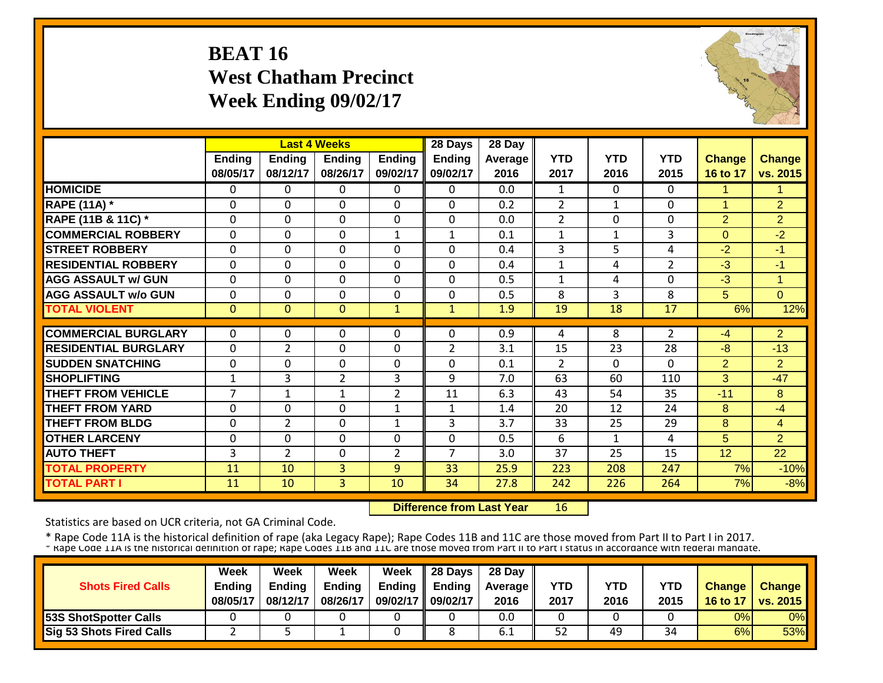#### **BEAT 16 West Chatham Precinct Week Ending 09/02/17**



|                             |                |                | <b>Last 4 Weeks</b> |                | 28 Days        | 28 Day         |                |              |                |                |                |
|-----------------------------|----------------|----------------|---------------------|----------------|----------------|----------------|----------------|--------------|----------------|----------------|----------------|
|                             | Ending         | <b>Ending</b>  | <b>Ending</b>       | <b>Ending</b>  | <b>Ending</b>  | <b>Average</b> | <b>YTD</b>     | <b>YTD</b>   | <b>YTD</b>     | <b>Change</b>  | <b>Change</b>  |
|                             | 08/05/17       | 08/12/17       | 08/26/17            | 09/02/17       | 09/02/17       | 2016           | 2017           | 2016         | 2015           | 16 to 17       | vs. 2015       |
| <b>HOMICIDE</b>             | $\Omega$       | 0              | 0                   | $\Omega$       | 0              | 0.0            | 1              | $\Omega$     | 0              | 1              | 1              |
| <b>RAPE (11A) *</b>         | $\Omega$       | $\Omega$       | $\Omega$            | $\Omega$       | 0              | 0.2            | $\overline{2}$ | 1            | $\Omega$       | $\mathbf{1}$   | 2              |
| RAPE (11B & 11C) *          | $\mathbf 0$    | $\mathbf 0$    | $\mathbf 0$         | $\Omega$       | $\Omega$       | 0.0            | $\overline{2}$ | $\Omega$     | $\Omega$       | $\overline{2}$ | $\overline{2}$ |
| <b>COMMERCIAL ROBBERY</b>   | $\Omega$       | $\Omega$       | $\Omega$            | $\mathbf{1}$   | $\mathbf{1}$   | 0.1            | $\mathbf{1}$   | 1            | 3              | $\Omega$       | $-2$           |
| <b>STREET ROBBERY</b>       | $\mathbf 0$    | $\mathbf 0$    | $\mathbf 0$         | $\Omega$       | 0              | 0.4            | $\overline{3}$ | 5            | 4              | $-2$           | $-1$           |
| <b>RESIDENTIAL ROBBERY</b>  | $\Omega$       | $\Omega$       | $\mathbf 0$         | $\Omega$       | $\Omega$       | 0.4            | $\mathbf{1}$   | 4            | $\overline{2}$ | $-3$           | $-1$           |
| <b>AGG ASSAULT w/ GUN</b>   | $\mathbf 0$    | $\Omega$       | $\mathbf 0$         | $\Omega$       | $\Omega$       | 0.5            | $\mathbf{1}$   | 4            | 0              | $-3$           | $\overline{1}$ |
| <b>AGG ASSAULT w/o GUN</b>  | $\mathbf 0$    | $\mathbf 0$    | $\mathbf 0$         | $\mathbf 0$    | 0              | 0.5            | 8              | 3            | 8              | 5              | $\overline{0}$ |
| <b>TOTAL VIOLENT</b>        | $\mathbf{0}$   | $\overline{0}$ | $\Omega$            | $\mathbf{1}$   | $\mathbf{1}$   | 1.9            | 19             | 18           | 17             | 6%             | 12%            |
|                             |                |                |                     |                |                |                |                |              |                |                |                |
| <b>COMMERCIAL BURGLARY</b>  | $\Omega$       | 0              | 0                   | 0              | 0              | 0.9            | 4              | 8            | $\overline{2}$ | $-4$           | $\overline{2}$ |
| <b>RESIDENTIAL BURGLARY</b> | $\Omega$       | $\overline{2}$ | $\Omega$            | $\Omega$       | $\overline{2}$ | 3.1            | 15             | 23           | 28             | $-8$           | $-13$          |
| <b>SUDDEN SNATCHING</b>     | 0              | $\mathbf 0$    | $\Omega$            | $\Omega$       | $\Omega$       | 0.1            | $\overline{2}$ | $\Omega$     | $\Omega$       | $\overline{2}$ | $\overline{2}$ |
| <b>SHOPLIFTING</b>          | 1              | 3              | $\overline{2}$      | 3              | 9              | 7.0            | 63             | 60           | 110            | 3              | $-47$          |
| <b>THEFT FROM VEHICLE</b>   | $\overline{7}$ | $\mathbf{1}$   | $\mathbf{1}$        | 2              | 11             | 6.3            | 43             | 54           | 35             | $-11$          | 8              |
| <b>THEFT FROM YARD</b>      | $\Omega$       | $\Omega$       | $\Omega$            | $\mathbf{1}$   | $\mathbf{1}$   | 1.4            | 20             | 12           | 24             | 8              | $-4$           |
| <b>THEFT FROM BLDG</b>      | $\Omega$       | $\overline{2}$ | $\Omega$            | 1              | 3              | 3.7            | 33             | 25           | 29             | 8              | $\overline{4}$ |
| <b>OTHER LARCENY</b>        | $\Omega$       | $\Omega$       | $\Omega$            | $\Omega$       | 0              | 0.5            | 6              | $\mathbf{1}$ | 4              | 5              | $\overline{2}$ |
| <b>AUTO THEFT</b>           | 3              | $\overline{2}$ | $\Omega$            | $\overline{2}$ | $\overline{7}$ | 3.0            | 37             | 25           | 15             | 12             | 22             |
| <b>TOTAL PROPERTY</b>       | 11             | 10             | 3                   | 9              | 33             | 25.9           | 223            | 208          | 247            | 7%             | $-10%$         |
| <b>TOTAL PART I</b>         | 11             | 10             | $\overline{3}$      | 10             | 34             | 27.8           | 242            | 226          | 264            | 7%             | $-8%$          |

 **Difference from Last Year**16

Statistics are based on UCR criteria, not GA Criminal Code.

|                                 | Week          | Week          | Week          | <b>Week</b>          | $\parallel$ 28 Days       | 28 Day            |      |      |      |               |                 |
|---------------------------------|---------------|---------------|---------------|----------------------|---------------------------|-------------------|------|------|------|---------------|-----------------|
| <b>Shots Fired Calls</b>        | <b>Endina</b> | <b>Ending</b> | <b>Ending</b> |                      | Ending $\parallel$ Ending | <b>Average</b> II | YTD  | YTD  | YTD  | <b>Change</b> | <b>Change</b>   |
|                                 | 08/05/17      | 08/12/17      | 08/26/17      | 09/02/17    09/02/17 |                           | 2016              | 2017 | 2016 | 2015 | 16 to 17      | <b>vs. 2015</b> |
| <b>53S ShotSpotter Calls</b>    |               |               |               |                      |                           | 0.0               |      |      |      | 0%            | 0%              |
| <b>Sig 53 Shots Fired Calls</b> |               |               |               |                      |                           | 6. T              | 52   | 49   | 34   | 6%            | <b>53%</b>      |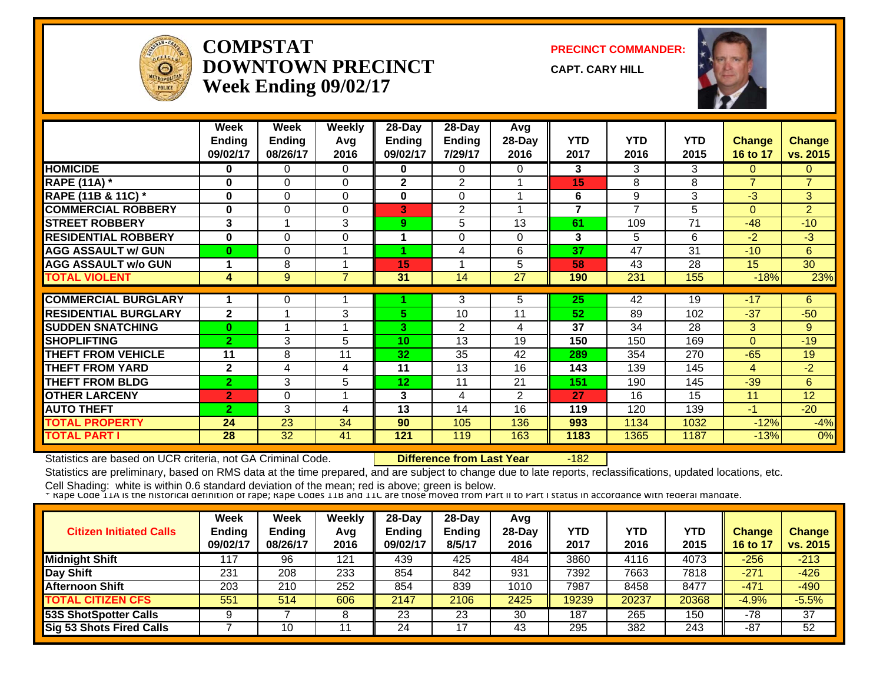

#### **COMPSTATDOWNTOWN PRECINCTWeek Ending 09/02/17**

**PRECINCT COMMANDER:**

**CAPT. CARY HILL**



|                             | Week<br><b>Ending</b><br>09/02/17 | Week<br><b>Ending</b><br>08/26/17 | <b>Weekly</b><br>Avg<br>2016 | 28-Day<br>Endina<br>09/02/17 | 28-Day<br>Ending<br>7/29/17 | Avg<br>28-Day<br>2016 | <b>YTD</b><br>2017 | <b>YTD</b><br>2016 | <b>YTD</b><br>2015 | <b>Change</b><br>16 to 17 | <b>Change</b><br>vs. 2015 |
|-----------------------------|-----------------------------------|-----------------------------------|------------------------------|------------------------------|-----------------------------|-----------------------|--------------------|--------------------|--------------------|---------------------------|---------------------------|
| <b>HOMICIDE</b>             | 0                                 | 0                                 | $\Omega$                     | 0                            | 0                           | 0                     | 3                  | 3                  | 3                  | $\Omega$                  | $\mathbf{0}$              |
| <b>RAPE (11A) *</b>         | 0                                 | 0                                 | $\mathbf 0$                  | $\mathbf{2}$                 | $\overline{2}$              |                       | 15                 | 8                  | 8                  | $\overline{7}$            | $\overline{7}$            |
| RAPE (11B & 11C) *          | $\bf{0}$                          | 0                                 | $\Omega$                     | $\bf{0}$                     | $\Omega$                    |                       | 6                  | 9                  | 3                  | $-3$                      | 3                         |
| <b>COMMERCIAL ROBBERY</b>   | $\bf{0}$                          | $\Omega$                          | $\Omega$                     | 3                            | 2                           |                       | $\overline{7}$     | $\overline{7}$     | 5                  | $\Omega$                  | $\overline{2}$            |
| <b>STREET ROBBERY</b>       | 3                                 |                                   | 3                            | 9                            | 5                           | 13                    | 61                 | 109                | 71                 | $-48$                     | $-10$                     |
| <b>RESIDENTIAL ROBBERY</b>  | $\mathbf{0}$                      | 0                                 | $\mathbf 0$                  |                              | 0                           | $\Omega$              | 3                  | 5                  | 6                  | $-2$                      | $-3$                      |
| <b>AGG ASSAULT w/ GUN</b>   | $\bf{0}$                          | 0                                 |                              |                              | 4                           | 6                     | 37                 | 47                 | 31                 | $-10$                     | 6                         |
| <b>AGG ASSAULT w/o GUN</b>  |                                   | 8                                 |                              | 15                           |                             | 5                     | 58                 | 43                 | 28                 | 15                        | 30                        |
| <b>TOTAL VIOLENT</b>        | 4                                 | 9                                 | 7                            | 31                           | 14                          | 27                    | 190                | 231                | 155                | $-18%$                    | 23%                       |
| <b>COMMERCIAL BURGLARY</b>  |                                   |                                   |                              |                              |                             | 5                     | 25                 | 42                 | 19                 | $-17$                     |                           |
| <b>RESIDENTIAL BURGLARY</b> | $\mathbf{2}$                      | 0                                 | 3                            |                              | 3<br>10                     | 11                    | 52                 | 89                 | 102                | $-37$                     | 6<br>$-50$                |
|                             |                                   |                                   |                              | 5.                           |                             |                       |                    |                    |                    |                           |                           |
| <b>SUDDEN SNATCHING</b>     | $\bf{0}$                          |                                   |                              | 3.                           | 2                           | 4                     | 37                 | 34                 | 28                 | 3                         | 9                         |
| <b>SHOPLIFTING</b>          | $\overline{2}$                    | 3                                 | 5                            | 10                           | 13                          | 19                    | 150                | 150                | 169                | $\Omega$                  | $-19$                     |
| <b>THEFT FROM VEHICLE</b>   | 11                                | 8                                 | 11                           | 32                           | 35                          | 42                    | 289                | 354                | 270                | $-65$                     | 19                        |
| <b>THEFT FROM YARD</b>      | $\overline{2}$                    | 4                                 | 4                            | 11                           | 13                          | 16                    | 143                | 139                | 145                | 4                         | $-2$                      |
| <b>THEFT FROM BLDG</b>      | $\overline{2}$                    | 3                                 | 5                            | 12                           | 11                          | 21                    | 151                | 190                | 145                | $-39$                     | 6                         |
| <b>OTHER LARCENY</b>        | $\overline{2}$                    | 0                                 |                              | 3                            | 4                           | 2                     | 27                 | 16                 | 15                 | 11                        | 12                        |
| <b>AUTO THEFT</b>           | 2                                 | 3                                 | 4                            | 13                           | 14                          | 16                    | 119                | 120                | 139                | -1                        | $-20$                     |
| TOTAL PROPERTY              | 24                                | 23                                | 34                           | 90                           | 105                         | 136                   | 993                | 1134               | 1032               | $-12%$                    | $-4%$                     |
| <b>TOTAL PART I</b>         | 28                                | 32                                | 41                           | 121                          | 119                         | 163                   | 1183               | 1365               | 1187               | $-13%$                    | 0%                        |

Statistics are based on UCR criteria, not GA Criminal Code. **Difference from Last Year** -182

Statistics are preliminary, based on RMS data at the time prepared, and are subject to change due to late reports, reclassifications, updated locations, etc.

| <b>Citizen Initiated Calls</b>  | Week<br><b>Ending</b><br>09/02/17 | Week<br><b>Ending</b><br>08/26/17 | Weekly<br>Avg<br>2016 | 28-Day<br>Ending<br>09/02/17 | $28$ -Day<br><b>Endina</b><br>8/5/17 | Avg<br>$28-Dav$<br>2016 | YTD<br>2017 | YTD<br>2016 | YTD<br>2015 | <b>Change</b><br>16 to 17 | <b>Change</b><br>vs. 2015 |
|---------------------------------|-----------------------------------|-----------------------------------|-----------------------|------------------------------|--------------------------------------|-------------------------|-------------|-------------|-------------|---------------------------|---------------------------|
| <b>Midnight Shift</b>           | 117                               | 96                                | 121                   | 439                          | 425                                  | 484                     | 3860        | 4116        | 4073        | $-256$                    | $-213$                    |
| Day Shift                       | 231                               | 208                               | 233                   | 854                          | 842                                  | 931                     | 7392        | 7663        | 7818        | $-271$                    | $-426$                    |
| <b>Afternoon Shift</b>          | 203                               | 210                               | 252                   | 854                          | 839                                  | 1010                    | 7987        | 8458        | 8477        | $-471$                    | -490                      |
| <b>TOTAL CITIZEN CFS</b>        | 551                               | 514                               | 606                   | 2147                         | 2106                                 | 2425                    | 19239       | 20237       | 20368       | $-4.9%$                   | $-5.5%$                   |
| 53S ShotSpotter Calls           | 9                                 |                                   |                       | 23                           | 23                                   | 30                      | 187         | 265         | 150         | $-78$                     | 37                        |
| <b>Sig 53 Shots Fired Calls</b> |                                   | 10                                |                       | 24                           | 17                                   | 43                      | 295         | 382         | 243         | -87                       | 52                        |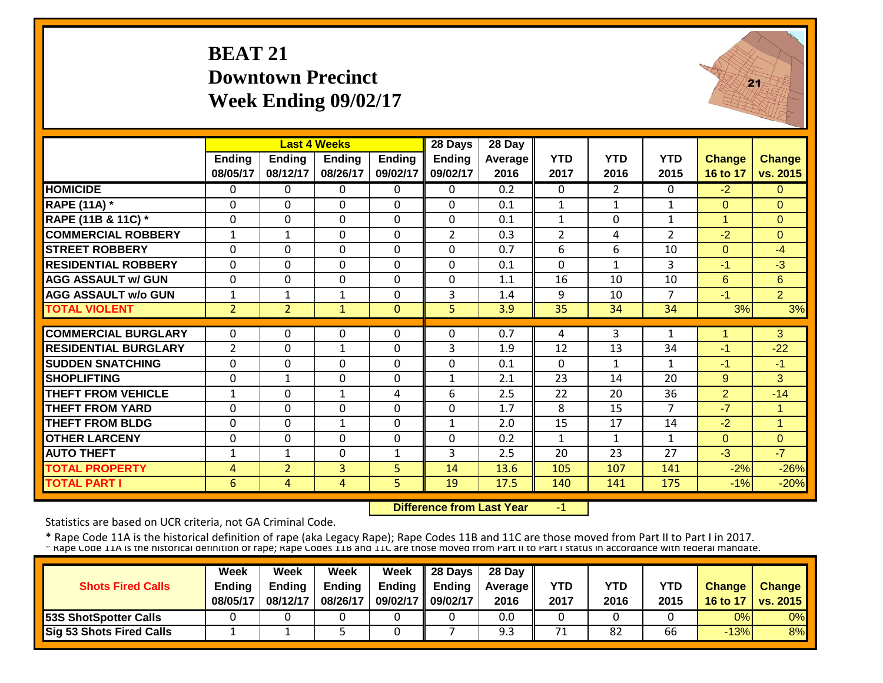#### **BEAT 21Downtown Precinct Week Ending 09/02/17**



|                             |                |                | <b>Last 4 Weeks</b> |                | 28 Days        | 28 Day  |                |                |                |                |                |
|-----------------------------|----------------|----------------|---------------------|----------------|----------------|---------|----------------|----------------|----------------|----------------|----------------|
|                             | <b>Ending</b>  | <b>Ending</b>  | <b>Ending</b>       | <b>Ending</b>  | Ending         | Average | <b>YTD</b>     | <b>YTD</b>     | <b>YTD</b>     | <b>Change</b>  | <b>Change</b>  |
|                             | 08/05/17       | 08/12/17       | 08/26/17            | 09/02/17       | 09/02/17       | 2016    | 2017           | 2016           | 2015           | 16 to 17       | vs. 2015       |
| <b>HOMICIDE</b>             | $\mathbf{0}$   | 0              | $\Omega$            | $\mathbf{0}$   | $\Omega$       | 0.2     | $\Omega$       | $\overline{2}$ | 0              | $-2$           | $\Omega$       |
| <b>RAPE (11A) *</b>         | $\mathbf 0$    | $\Omega$       | $\mathbf 0$         | $\mathbf 0$    | $\Omega$       | 0.1     | $\mathbf{1}$   | $\mathbf{1}$   | $\mathbf{1}$   | $\Omega$       | $\overline{0}$ |
| RAPE (11B & 11C) *          | $\mathbf 0$    | $\Omega$       | $\Omega$            | $\mathbf 0$    | $\Omega$       | 0.1     | $\mathbf{1}$   | $\Omega$       | $\mathbf{1}$   | $\mathbf{1}$   | $\Omega$       |
| <b>COMMERCIAL ROBBERY</b>   | $\mathbf{1}$   | $\mathbf{1}$   | $\Omega$            | $\Omega$       | $\overline{2}$ | 0.3     | $\overline{2}$ | 4              | $\overline{2}$ | $-2$           | $\Omega$       |
| <b>STREET ROBBERY</b>       | $\mathbf 0$    | 0              | $\Omega$            | $\overline{0}$ | $\Omega$       | 0.7     | 6              | 6              | 10             | $\Omega$       | $-4$           |
| <b>RESIDENTIAL ROBBERY</b>  | $\mathbf 0$    | $\Omega$       | $\mathbf 0$         | 0              | $\Omega$       | 0.1     | $\mathbf 0$    | $\mathbf{1}$   | 3              | $-1$           | $-3$           |
| <b>AGG ASSAULT w/ GUN</b>   | $\Omega$       | $\Omega$       | $\Omega$            | 0              | $\mathbf{0}$   | 1.1     | 16             | 10             | 10             | 6              | 6              |
| <b>AGG ASSAULT w/o GUN</b>  | $\mathbf{1}$   | 1              | 1                   | 0              | 3              | 1.4     | 9              | 10             | 7              | $-1$           | $\overline{2}$ |
| <b>TOTAL VIOLENT</b>        | $\overline{2}$ | $\overline{2}$ | $\mathbf{1}$        | $\Omega$       | 5              | 3.9     | 35             | 34             | 34             | 3%             | 3%             |
|                             |                |                |                     |                |                |         |                |                |                |                |                |
| <b>COMMERCIAL BURGLARY</b>  | 0              | 0              | 0                   | 0              | 0              | 0.7     | 4              | 3              | 1              | 1              | 3              |
| <b>RESIDENTIAL BURGLARY</b> | $\overline{2}$ | $\Omega$       | 1                   | 0              | 3              | 1.9     | 12             | 13             | 34             | $-1$           | $-22$          |
| <b>SUDDEN SNATCHING</b>     | 0              | 0              | $\Omega$            | 0              | $\Omega$       | 0.1     | $\Omega$       | $\mathbf{1}$   | 1              | $-1$           | $-1$           |
| <b>SHOPLIFTING</b>          | $\Omega$       | 1              | $\Omega$            | 0              | 1              | 2.1     | 23             | 14             | 20             | 9              | 3              |
| <b>THEFT FROM VEHICLE</b>   | $\mathbf{1}$   | $\Omega$       | 1                   | 4              | 6              | 2.5     | 22             | 20             | 36             | 2 <sup>1</sup> | $-14$          |
| <b>THEFT FROM YARD</b>      | $\Omega$       | $\Omega$       | $\mathbf 0$         | $\Omega$       | $\Omega$       | 1.7     | 8              | 15             | $\overline{7}$ | $-7$           | 1              |
| <b>THEFT FROM BLDG</b>      | $\Omega$       | $\Omega$       | 1                   | $\Omega$       | 1              | 2.0     | 15             | 17             | 14             | $-2$           | 1              |
| <b>OTHER LARCENY</b>        | $\Omega$       | $\Omega$       | $\Omega$            | $\Omega$       | $\Omega$       | 0.2     | $\mathbf{1}$   | $\mathbf{1}$   | 1              | $\Omega$       | $\Omega$       |
| <b>AUTO THEFT</b>           | 1              | 1              | $\Omega$            | 1              | 3              | 2.5     | 20             | 23             | 27             | $-3$           | $-7$           |
| <b>TOTAL PROPERTY</b>       | 4              | $\overline{2}$ | 3                   | 5              | 14             | 13.6    | 105            | 107            | 141            | $-2%$          | $-26%$         |
| <b>TOTAL PART I</b>         | 6              | 4              | 4                   | 5              | 19             | 17.5    | 140            | 141            | 175            | $-1%$          | $-20%$         |

 **Difference from Last Year**‐1

Statistics are based on UCR criteria, not GA Criminal Code.

| <b>Shots Fired Calls</b>     | <b>Week</b><br><b>Endina</b> | Week<br><b>Ending</b> | Week<br><b>Ending</b> | Week              | $\parallel$ 28 Days<br>Ending $\parallel$ Ending | 28 Day<br><b>Average</b> II | <b>YTD</b> | YTD  | YTD  | <b>Change</b> | <b>Change</b>   |
|------------------------------|------------------------------|-----------------------|-----------------------|-------------------|--------------------------------------------------|-----------------------------|------------|------|------|---------------|-----------------|
|                              | 08/05/17                     | 08/12/17              | 08/26/17              | 09/02/17 09/02/17 |                                                  | 2016                        | 2017       | 2016 | 2015 | 16 to 17      | <b>vs. 2015</b> |
| <b>53S ShotSpotter Calls</b> |                              |                       |                       |                   |                                                  | 0.0                         |            |      |      | 0%            | 0%              |
| Sig 53 Shots Fired Calls     |                              |                       |                       |                   |                                                  | 9.3                         | 71         | 82   | 66   | $-13%$        | 8%              |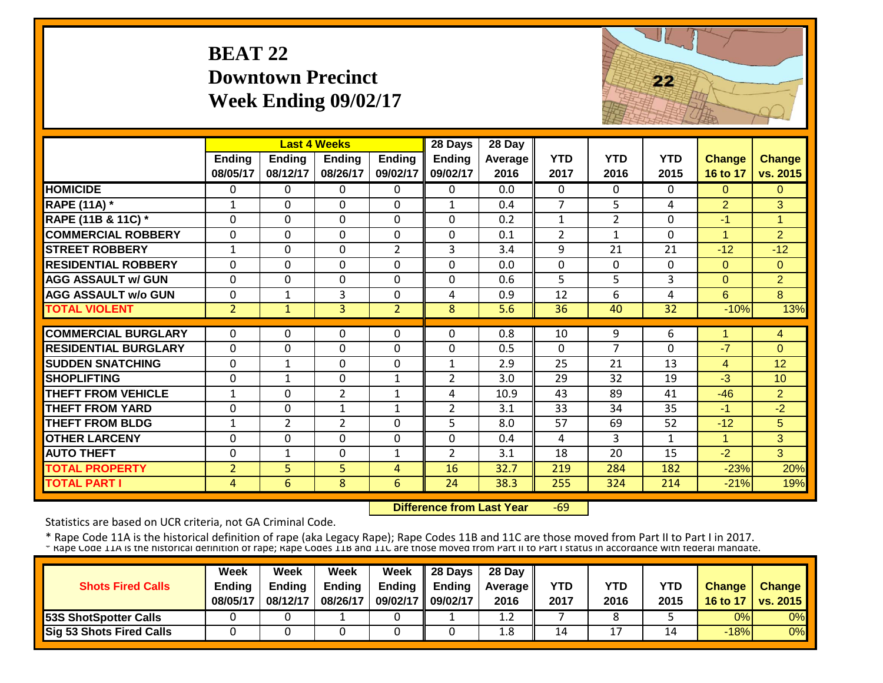#### **BEAT 22Downtown Precinct Week Ending 09/02/17**



|                             |                           |                           | <b>Last 4 Weeks</b>       |                           | 28 Days                   | 28 Day          |                    |                    |                    |                           |                           |
|-----------------------------|---------------------------|---------------------------|---------------------------|---------------------------|---------------------------|-----------------|--------------------|--------------------|--------------------|---------------------------|---------------------------|
|                             | <b>Ending</b><br>08/05/17 | <b>Ending</b><br>08/12/17 | <b>Ending</b><br>08/26/17 | <b>Ending</b><br>09/02/17 | <b>Ending</b><br>09/02/17 | Average<br>2016 | <b>YTD</b><br>2017 | <b>YTD</b><br>2016 | <b>YTD</b><br>2015 | <b>Change</b><br>16 to 17 | <b>Change</b><br>vs. 2015 |
| <b>HOMICIDE</b>             | $\Omega$                  | 0                         | $\Omega$                  | $\Omega$                  | 0                         | 0.0             | $\Omega$           | $\Omega$           | 0                  | $\Omega$                  | $\Omega$                  |
| <b>RAPE (11A) *</b>         | $\mathbf{1}$              | 0                         | $\Omega$                  | $\Omega$                  | $\mathbf{1}$              | 0.4             | $\overline{7}$     | 5                  | 4                  | $\overline{2}$            | 3                         |
| RAPE (11B & 11C) *          | $\mathbf{0}$              | 0                         | $\Omega$                  | $\mathbf 0$               | $\Omega$                  | 0.2             | $\mathbf{1}$       | $\overline{2}$     | $\Omega$           | $-1$                      | $\blacktriangleleft$      |
| <b>COMMERCIAL ROBBERY</b>   | $\mathbf{0}$              | 0                         | 0                         | $\mathbf 0$               | $\Omega$                  | 0.1             | $\overline{2}$     | $\mathbf{1}$       | 0                  | $\blacktriangleleft$      | $\overline{2}$            |
| <b>STREET ROBBERY</b>       | 1                         | 0                         | 0                         | $\overline{2}$            | 3                         | 3.4             | 9                  | 21                 | 21                 | $-12$                     | $-12$                     |
| <b>RESIDENTIAL ROBBERY</b>  | $\mathbf{0}$              | 0                         | 0                         | $\Omega$                  | $\Omega$                  | 0.0             | $\mathbf{0}$       | $\Omega$           | 0                  | $\Omega$                  | $\Omega$                  |
| <b>AGG ASSAULT w/ GUN</b>   | $\mathbf 0$               | 0                         | 0                         | 0                         | $\Omega$                  | 0.6             | 5                  | 5                  | 3                  | $\Omega$                  | $\overline{2}$            |
| <b>AGG ASSAULT w/o GUN</b>  | $\mathbf 0$               | $\mathbf{1}$              | 3                         | 0                         | 4                         | 0.9             | 12                 | 6                  | 4                  | 6                         | 8                         |
| <b>TOTAL VIOLENT</b>        | $\overline{2}$            | $\mathbf{1}$              | $\overline{3}$            | $\overline{2}$            | 8                         | 5.6             | 36                 | 40                 | 32                 | $-10%$                    | 13%                       |
| <b>COMMERCIAL BURGLARY</b>  |                           |                           |                           |                           | $\Omega$                  |                 |                    |                    |                    | 1                         |                           |
|                             | $\Omega$                  | 0                         | 0                         | 0                         |                           | 0.8             | 10                 | 9                  | 6                  |                           | $\overline{4}$            |
| <b>RESIDENTIAL BURGLARY</b> | $\Omega$                  | 0                         | $\Omega$                  | 0                         | $\Omega$                  | 0.5             | $\Omega$           | 7                  | $\Omega$           | $-7$                      | $\Omega$                  |
| <b>SUDDEN SNATCHING</b>     | $\mathbf{0}$              | $\mathbf{1}$              | $\Omega$                  | 0                         | 1                         | 2.9             | 25                 | 21                 | 13                 | $\overline{4}$            | 12                        |
| <b>SHOPLIFTING</b>          | $\mathbf{0}$              | $\mathbf{1}$              | $\mathbf 0$               | $\mathbf{1}$              | $\overline{2}$            | 3.0             | 29                 | 32                 | 19                 | $-3$                      | 10                        |
| <b>THEFT FROM VEHICLE</b>   | $\mathbf{1}$              | 0                         | $\overline{2}$            | 1                         | 4                         | 10.9            | 43                 | 89                 | 41                 | $-46$                     | $\overline{2}$            |
| <b>THEFT FROM YARD</b>      | $\mathbf{0}$              | 0                         | $\mathbf{1}$              | $\mathbf{1}$              | $\overline{2}$            | 3.1             | 33                 | 34                 | 35                 | $-1$                      | $-2$                      |
| <b>THEFT FROM BLDG</b>      | 1                         | $\overline{2}$            | $\overline{2}$            | $\Omega$                  | 5                         | 8.0             | 57                 | 69                 | 52                 | $-12$                     | 5                         |
| <b>OTHER LARCENY</b>        | $\Omega$                  | 0                         | 0                         | $\Omega$                  | $\Omega$                  | 0.4             | 4                  | 3                  | $\mathbf{1}$       | $\blacktriangleleft$      | $\overline{3}$            |
| <b>AUTO THEFT</b>           | $\Omega$                  | $\mathbf{1}$              | 0                         | 1                         | $\overline{2}$            | 3.1             | 18                 | 20                 | 15                 | $-2$                      | 3                         |
| <b>TOTAL PROPERTY</b>       | $\overline{2}$            | 5                         | 5                         | 4                         | 16                        | 32.7            | 219                | 284                | 182                | $-23%$                    | 20%                       |
| <b>TOTAL PART I</b>         | 4                         | 6                         | 8                         | 6                         | 24                        | 38.3            | 255                | 324                | 214                | $-21%$                    | 19%                       |

 **Difference from Last Year** $-69$ 

Statistics are based on UCR criteria, not GA Criminal Code.

| <b>Shots Fired Calls</b>        | Week<br><b>Endina</b><br>08/05/17 | Week<br><b>Ending</b><br>08/12/17 | Week<br><b>Ending</b><br>08/26/17 | Week<br>09/02/17 09/02/17 | $\parallel$ 28 Days<br>Ending $\parallel$ Ending | 28 Day<br><b>Average</b> II<br>2016 | YTD<br>2017 | YTD<br>2016 | YTD<br>2015 | <b>Change</b><br>16 to 17 | <b>Change</b><br><b>vs. 2015</b> |
|---------------------------------|-----------------------------------|-----------------------------------|-----------------------------------|---------------------------|--------------------------------------------------|-------------------------------------|-------------|-------------|-------------|---------------------------|----------------------------------|
| <b>53S ShotSpotter Calls</b>    |                                   |                                   |                                   |                           |                                                  | 1.2                                 |             |             |             | 0%                        | 0%                               |
| <b>Sig 53 Shots Fired Calls</b> |                                   |                                   |                                   |                           |                                                  | 1.8                                 | 14          |             | 14          | $-18%$                    | 0%                               |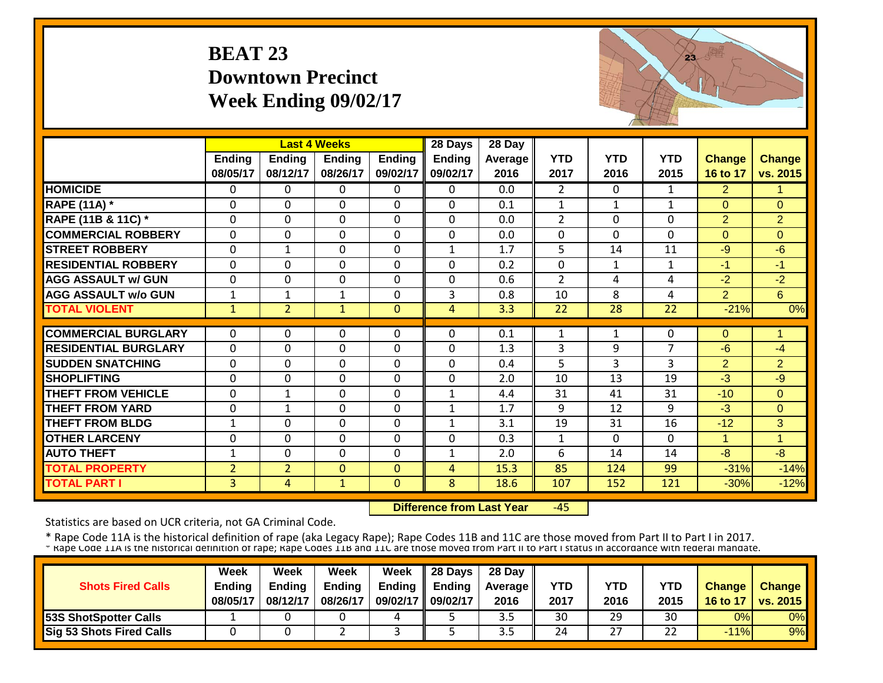#### **BEAT 23 Downtown Precinct Week Ending 09/02/17**



|                             |                |                | <b>Last 4 Weeks</b> |               | 28 Days       | 28 Day  |                |              |                |                      |                |
|-----------------------------|----------------|----------------|---------------------|---------------|---------------|---------|----------------|--------------|----------------|----------------------|----------------|
|                             | Ending         | <b>Ending</b>  | <b>Ending</b>       | <b>Ending</b> | <b>Ending</b> | Average | <b>YTD</b>     | <b>YTD</b>   | <b>YTD</b>     | <b>Change</b>        | <b>Change</b>  |
|                             | 08/05/17       | 08/12/17       | 08/26/17            | 09/02/17      | 09/02/17      | 2016    | 2017           | 2016         | 2015           | 16 to 17             | vs. 2015       |
| <b>HOMICIDE</b>             | $\Omega$       | 0              | 0                   | $\Omega$      | 0             | 0.0     | $\overline{2}$ | $\Omega$     | $\mathbf{1}$   | $\overline{2}$       | 4              |
| <b>RAPE (11A) *</b>         | $\Omega$       | $\Omega$       | $\Omega$            | $\Omega$      | $\mathbf 0$   | 0.1     | $\mathbf{1}$   | $\mathbf{1}$ | $\mathbf{1}$   | $\Omega$             | $\Omega$       |
| RAPE (11B & 11C) *          | $\mathbf 0$    | 0              | $\Omega$            | 0             | $\mathbf 0$   | 0.0     | $\overline{2}$ | $\Omega$     | 0              | $\overline{2}$       | $\overline{2}$ |
| <b>COMMERCIAL ROBBERY</b>   | $\Omega$       | 0              | $\Omega$            | $\Omega$      | $\mathbf 0$   | 0.0     | $\Omega$       | $\Omega$     | 0              | $\Omega$             | $\Omega$       |
| <b>STREET ROBBERY</b>       | $\mathbf{0}$   | $\mathbf{1}$   | $\mathbf 0$         | $\Omega$      | $\mathbf{1}$  | 1.7     | 5              | 14           | 11             | $-9$                 | $-6$           |
| <b>RESIDENTIAL ROBBERY</b>  | $\Omega$       | 0              | $\Omega$            | $\Omega$      | 0             | 0.2     | $\mathbf 0$    | $\mathbf{1}$ | $\mathbf{1}$   | $-1$                 | $-1$           |
| <b>AGG ASSAULT w/ GUN</b>   | $\mathbf 0$    | 0              | $\mathbf 0$         | $\mathbf 0$   | 0             | 0.6     | $\overline{2}$ | 4            | 4              | $-2$                 | $-2$           |
| <b>AGG ASSAULT w/o GUN</b>  | $\mathbf{1}$   | $\mathbf{1}$   | 1                   | $\Omega$      | 3             | 0.8     | 10             | 8            | 4              | $\overline{2}$       | $6^{\circ}$    |
| <b>TOTAL VIOLENT</b>        | $\vert$ 1      | $\overline{2}$ | $\mathbf{1}$        | $\mathbf{0}$  | 4             | 3.3     | 22             | 28           | 22             | $-21%$               | 0%             |
|                             |                |                |                     |               |               |         |                |              |                |                      |                |
| <b>COMMERCIAL BURGLARY</b>  | $\Omega$       | 0              | $\Omega$            | 0             | $\Omega$      | 0.1     | 1              | $\mathbf{1}$ | 0              | $\mathbf{0}$         | и              |
| <b>RESIDENTIAL BURGLARY</b> | $\mathbf{0}$   | 0              | $\Omega$            | $\Omega$      | $\Omega$      | 1.3     | 3              | 9            | $\overline{7}$ | $-6$                 | $-4$           |
| <b>SUDDEN SNATCHING</b>     | $\mathbf 0$    | 0              | $\Omega$            | 0             | 0             | 0.4     | 5              | 3            | 3              | $\overline{2}$       | $\overline{2}$ |
| <b>SHOPLIFTING</b>          | $\mathbf{0}$   | 0              | $\Omega$            | 0             | $\mathbf 0$   | 2.0     | 10             | 13           | 19             | $-3$                 | $-9$           |
| <b>THEFT FROM VEHICLE</b>   | $\Omega$       | $\mathbf{1}$   | $\Omega$            | $\Omega$      | $\mathbf{1}$  | 4.4     | 31             | 41           | 31             | $-10$                | $\Omega$       |
| <b>THEFT FROM YARD</b>      | $\Omega$       | 1              | $\Omega$            | $\Omega$      | $\mathbf{1}$  | 1.7     | 9              | 12           | 9              | $-3$                 | $\Omega$       |
| <b>THEFT FROM BLDG</b>      | 1              | 0              | $\Omega$            | $\Omega$      | $\mathbf{1}$  | 3.1     | 19             | 31           | 16             | $-12$                | 3              |
| <b>OTHER LARCENY</b>        | $\Omega$       | 0              | $\Omega$            | $\Omega$      | $\Omega$      | 0.3     | $\mathbf{1}$   | 0            | $\Omega$       | $\blacktriangleleft$ | -1             |
| <b>AUTO THEFT</b>           | $\mathbf{1}$   | 0              | $\Omega$            | $\mathbf 0$   | $\mathbf{1}$  | 2.0     | 6              | 14           | 14             | $-8$                 | $-8$           |
| <b>TOTAL PROPERTY</b>       | $\overline{2}$ | $\overline{2}$ | $\Omega$            | $\mathbf{0}$  | 4             | 15.3    | 85             | 124          | 99             | $-31%$               | $-14%$         |
| <b>TOTAL PART I</b>         | $\overline{3}$ | 4              | $\mathbf{1}$        | $\mathbf{0}$  | 8             | 18.6    | 107            | 152          | 121            | $-30%$               | $-12%$         |

 **Difference from Last Year** $-45$ 

Statistics are based on UCR criteria, not GA Criminal Code.

|                              | Week          | Week          | Week          | Week              | $\parallel$ 28 Days       | 28 Day            |            |      |           |               |                 |
|------------------------------|---------------|---------------|---------------|-------------------|---------------------------|-------------------|------------|------|-----------|---------------|-----------------|
| <b>Shots Fired Calls</b>     | <b>Endina</b> | <b>Ending</b> | <b>Ending</b> |                   | Ending $\parallel$ Ending | <b>Average</b> II | <b>YTD</b> | YTD  | YTD       | <b>Change</b> | <b>Change</b>   |
|                              | 08/05/17      | 08/12/17      | 08/26/17      | 09/02/17 09/02/17 |                           | 2016              | 2017       | 2016 | 2015      | 16 to 17      | <b>vs. 2015</b> |
| <b>53S ShotSpotter Calls</b> |               |               |               | ,,                |                           | 3.5               | 30         | 29   | 30        | 0%            | 0%              |
| Sig 53 Shots Fired Calls     |               |               |               |                   |                           | 3.5               | 24         | 27   | つつ<br>ے ے | $-11%$        | 9%              |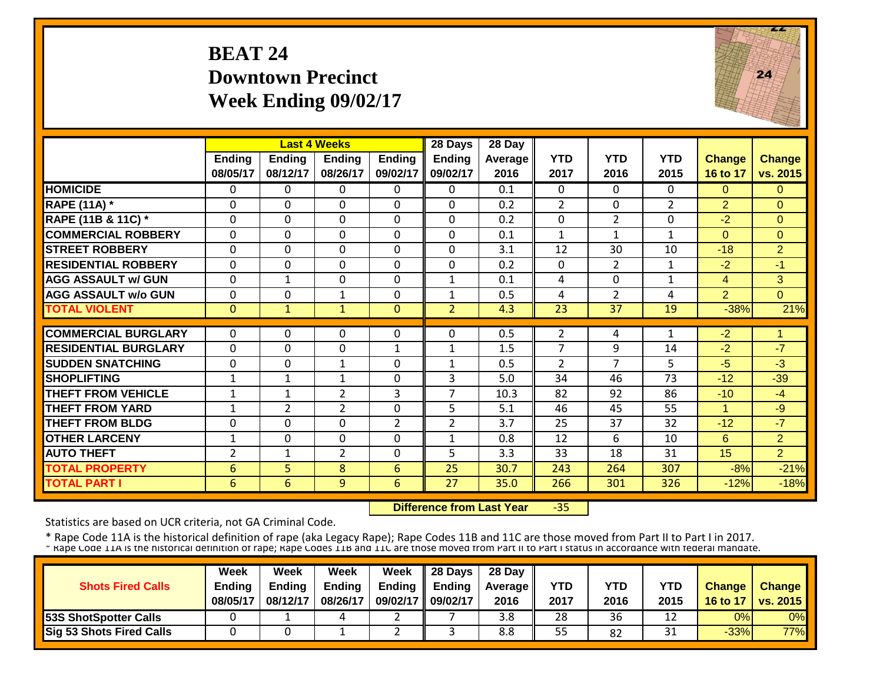#### **BEAT 24Downtown Precinct Week Ending 09/02/17**



|                             |                           |                           | <b>Last 4 Weeks</b> |                    | 28 Days                   | 28 Day                 |                    |                    |                    |                           |                           |
|-----------------------------|---------------------------|---------------------------|---------------------|--------------------|---------------------------|------------------------|--------------------|--------------------|--------------------|---------------------------|---------------------------|
|                             | <b>Ending</b><br>08/05/17 | <b>Ending</b><br>08/12/17 | Ending<br>08/26/17  | Ending<br>09/02/17 | <b>Ending</b><br>09/02/17 | <b>Average</b><br>2016 | <b>YTD</b><br>2017 | <b>YTD</b><br>2016 | <b>YTD</b><br>2015 | <b>Change</b><br>16 to 17 | <b>Change</b><br>vs. 2015 |
| <b>HOMICIDE</b>             | $\Omega$                  | 0                         | $\Omega$            | $\Omega$           | $\Omega$                  | 0.1                    | $\Omega$           | $\Omega$           | 0                  | $\Omega$                  | $\Omega$                  |
| <b>RAPE (11A) *</b>         | $\Omega$                  | 0                         | $\Omega$            | $\Omega$           | $\Omega$                  | 0.2                    | $\overline{2}$     | $\Omega$           | $\overline{2}$     | $\overline{2}$            | $\Omega$                  |
| RAPE (11B & 11C) *          | $\Omega$                  | 0                         | $\Omega$            | $\Omega$           | $\mathbf 0$               | 0.2                    | 0                  | $\overline{2}$     | 0                  | $-2$                      | $\Omega$                  |
| <b>COMMERCIAL ROBBERY</b>   | $\Omega$                  | 0                         | $\Omega$            | $\Omega$           | $\mathbf{0}$              | 0.1                    | $\mathbf{1}$       | 1                  | $\mathbf{1}$       | $\Omega$                  | $\Omega$                  |
| <b>STREET ROBBERY</b>       | $\mathbf 0$               | 0                         | $\mathbf 0$         | $\mathbf 0$        | $\mathbf{0}$              | 3.1                    | 12                 | 30                 | 10                 | $-18$                     | $\overline{2}$            |
| <b>RESIDENTIAL ROBBERY</b>  | $\Omega$                  | 0                         | $\Omega$            | $\Omega$           | $\mathbf{0}$              | 0.2                    | $\mathbf{0}$       | $\overline{2}$     | $\mathbf{1}$       | $-2$                      | $-1$                      |
| <b>AGG ASSAULT w/ GUN</b>   | $\mathbf 0$               | $\mathbf{1}$              | $\Omega$            | 0                  | $\mathbf{1}$              | 0.1                    | 4                  | $\Omega$           | $\mathbf{1}$       | 4                         | 3                         |
| <b>AGG ASSAULT w/o GUN</b>  | $\Omega$                  | 0                         | 1                   | $\Omega$           | 1                         | 0.5                    | 4                  | $\overline{2}$     | 4                  | $\overline{2}$            | $\Omega$                  |
| <b>TOTAL VIOLENT</b>        | $\mathbf{0}$              | $\mathbf{1}$              | $\mathbf{1}$        | $\Omega$           | $\overline{2}$            | 4.3                    | 23                 | 37                 | 19                 | $-38%$                    | 21%                       |
| <b>COMMERCIAL BURGLARY</b>  | $\mathbf{0}$              | 0                         | $\Omega$            | 0                  | $\Omega$                  | 0.5                    | $\overline{2}$     | 4                  | 1                  | $-2$                      | 1                         |
| <b>RESIDENTIAL BURGLARY</b> | $\mathbf 0$               | 0                         | $\mathbf 0$         | $\mathbf{1}$       | 1                         | 1.5                    | 7                  | 9                  | 14                 | $-2$                      | $-7$                      |
| <b>SUDDEN SNATCHING</b>     | $\mathbf 0$               | 0                         | 1                   | 0                  | 1                         | 0.5                    | $\overline{2}$     | 7                  | 5                  | $-5$                      | $-3$                      |
| <b>SHOPLIFTING</b>          | $\mathbf{1}$              | 1                         | $\mathbf{1}$        | 0                  | 3                         | 5.0                    | 34                 | 46                 | 73                 | $-12$                     | $-39$                     |
| <b>THEFT FROM VEHICLE</b>   | $\mathbf{1}$              | $\mathbf{1}$              | 2                   | 3                  | $\overline{7}$            | 10.3                   | 82                 | 92                 | 86                 | $-10$                     | $-4$                      |
| <b>THEFT FROM YARD</b>      | 1                         | $\overline{2}$            | $\overline{2}$      | $\Omega$           | 5                         | 5.1                    | 46                 | 45                 | 55                 | 1                         | $-9$                      |
| <b>THEFT FROM BLDG</b>      | $\Omega$                  | 0                         | $\Omega$            | $\overline{2}$     | $\overline{2}$            | 3.7                    | 25                 | 37                 | 32                 | $-12$                     | $-7$                      |
| <b>OTHER LARCENY</b>        | 1                         | 0                         | $\Omega$            | 0                  | $\mathbf{1}$              | 0.8                    | 12                 | 6                  | 10                 | 6                         | $\overline{2}$            |
| <b>AUTO THEFT</b>           | 2                         | $\mathbf{1}$              | $\overline{2}$      | $\Omega$           | 5                         | 3.3                    | 33                 | 18                 | 31                 | 15                        | $\overline{2}$            |
| <b>TOTAL PROPERTY</b>       | 6                         | 5.                        | 8                   | 6                  | 25                        | 30.7                   | 243                | 264                | 307                | $-8%$                     | $-21%$                    |
| <b>TOTAL PART I</b>         | 6                         | 6                         | 9                   | 6                  | 27                        | 35.0                   | 266                | 301                | 326                | $-12%$                    | $-18%$                    |

 **Difference from Last Year**‐35

Statistics are based on UCR criteria, not GA Criminal Code.

|                                 | Week          | Week     | Week          | Week     | 28 Days       | 28 Day            |      |            |      |               |                 |
|---------------------------------|---------------|----------|---------------|----------|---------------|-------------------|------|------------|------|---------------|-----------------|
| <b>Shots Fired Calls</b>        | <b>Ending</b> | Endina   | <b>Ending</b> | Ending   | <b>Ending</b> | <b>Average II</b> | YTD  | <b>YTD</b> | YTD  | <b>Change</b> | <b>Change</b>   |
|                                 | 08/05/17      | 08/12/17 | 08/26/17      | 09/02/17 | 09/02/17      | 2016              | 2017 | 2016       | 2015 | 16 to 17      | <b>vs. 2015</b> |
| <b>153S ShotSpotter Calls</b>   |               |          |               |          |               | 3.8               | 28   | 36         |      | 0%            | 0%              |
| <b>Sig 53 Shots Fired Calls</b> |               |          |               | -        |               | 8.8               | 55   | 82         | 31   | $-33%$        | 77%             |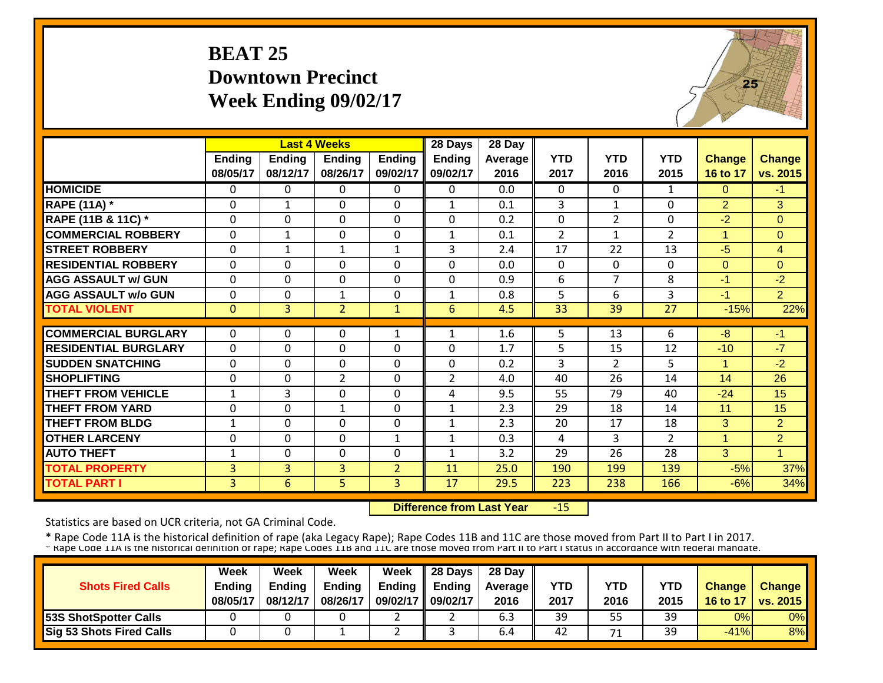#### **BEAT 25Downtown Precinct Week Ending 09/02/17**



|                             |               | <b>Last 4 Weeks</b> |                |               | 28 Days        | 28 Day  |                |                |                |                |                |
|-----------------------------|---------------|---------------------|----------------|---------------|----------------|---------|----------------|----------------|----------------|----------------|----------------|
|                             | <b>Ending</b> | <b>Ending</b>       | <b>Ending</b>  | <b>Ending</b> | <b>Ending</b>  | Average | <b>YTD</b>     | <b>YTD</b>     | <b>YTD</b>     | <b>Change</b>  | <b>Change</b>  |
|                             | 08/05/17      | 08/12/17            | 08/26/17       | 09/02/17      | 09/02/17       | 2016    | 2017           | 2016           | 2015           | 16 to 17       | vs. 2015       |
| <b>HOMICIDE</b>             | $\Omega$      | 0                   | $\Omega$       | $\Omega$      | 0              | 0.0     | $\Omega$       | $\Omega$       | $\mathbf{1}$   | $\Omega$       | $-1$           |
| <b>RAPE (11A) *</b>         | $\Omega$      | $\mathbf{1}$        | $\Omega$       | 0             | $\mathbf{1}$   | 0.1     | 3              | $\mathbf{1}$   | 0              | $\overline{2}$ | 3              |
| RAPE (11B & 11C) *          | $\mathbf{0}$  | $\mathbf 0$         | $\mathbf{0}$   | 0             | $\mathbf 0$    | 0.2     | $\mathbf 0$    | $\overline{2}$ | 0              | $-2$           | $\overline{0}$ |
| <b>COMMERCIAL ROBBERY</b>   | $\mathbf{0}$  | $\mathbf{1}$        | $\mathbf{0}$   | $\Omega$      | $\mathbf{1}$   | 0.1     | $\overline{2}$ | $\mathbf{1}$   | $\overline{2}$ | $\mathbf{1}$   | $\Omega$       |
| <b>STREET ROBBERY</b>       | 0             | $\mathbf{1}$        | 1              | $\mathbf{1}$  | 3              | 2.4     | 17             | 22             | 13             | $-5$           | $\overline{4}$ |
| <b>RESIDENTIAL ROBBERY</b>  | $\Omega$      | $\mathbf 0$         | $\Omega$       | $\Omega$      | $\Omega$       | 0.0     | $\Omega$       | $\Omega$       | 0              | $\Omega$       | $\Omega$       |
| <b>AGG ASSAULT w/ GUN</b>   | $\mathbf 0$   | $\mathbf 0$         | $\Omega$       | $\Omega$      | $\mathbf 0$    | 0.9     | 6              | $\overline{7}$ | 8              | $-1$           | $-2$           |
| <b>AGG ASSAULT w/o GUN</b>  | $\mathbf 0$   | 0                   | 1              | 0             | 1              | 0.8     | 5              | 6              | 3              | $-1$           | $\overline{2}$ |
| <b>TOTAL VIOLENT</b>        | $\mathbf{0}$  | $\overline{3}$      | $\overline{2}$ | $\mathbf{1}$  | 6              | 4.5     | 33             | 39             | 27             | $-15%$         | 22%            |
|                             |               |                     |                |               |                |         |                |                |                |                |                |
| <b>COMMERCIAL BURGLARY</b>  | $\Omega$      | $\Omega$            | $\Omega$       | $\mathbf{1}$  | 1              | 1.6     | 5              | 13             | 6              | $-8$           | $-1$           |
| <b>RESIDENTIAL BURGLARY</b> | $\Omega$      | $\Omega$            | $\Omega$       | 0             | $\Omega$       | 1.7     | 5              | 15             | 12             | $-10$          | $-7$           |
| <b>SUDDEN SNATCHING</b>     | $\mathbf 0$   | $\mathbf 0$         | $\mathbf 0$    | 0             | $\Omega$       | 0.2     | 3              | $\overline{2}$ | 5              | 1              | $-2$           |
| <b>SHOPLIFTING</b>          | $\mathbf 0$   | 0                   | $\overline{2}$ | 0             | $\overline{2}$ | 4.0     | 40             | 26             | 14             | 14             | 26             |
| THEFT FROM VEHICLE          | $\mathbf{1}$  | 3                   | 0              | 0             | 4              | 9.5     | 55             | 79             | 40             | $-24$          | 15             |
| <b>THEFT FROM YARD</b>      | 0             | $\Omega$            | 1              | 0             | $\mathbf{1}$   | 2.3     | 29             | 18             | 14             | 11             | 15             |
| <b>THEFT FROM BLDG</b>      | $\mathbf{1}$  | $\Omega$            | $\Omega$       | 0             | $\mathbf{1}$   | 2.3     | 20             | 17             | 18             | 3              | $\overline{2}$ |
| <b>OTHER LARCENY</b>        | 0             | $\Omega$            | $\Omega$       | $\mathbf{1}$  | 1              | 0.3     | 4              | 3              | $\overline{2}$ | $\mathbf{1}$   | $\overline{2}$ |
| <b>AUTO THEFT</b>           | $\mathbf{1}$  | $\Omega$            | $\Omega$       | 0             | 1              | 3.2     | 29             | 26             | 28             | 3              | $\overline{1}$ |
| <b>TOTAL PROPERTY</b>       | 3             | 3                   | $\overline{3}$ | 2             | 11             | 25.0    | 190            | 199            | 139            | $-5%$          | 37%            |
| <b>TOTAL PART I</b>         | 3             | 6                   | 5              | 3             | 17             | 29.5    | 223            | 238            | 166            | $-6%$          | 34%            |

 **Difference from Last Year** $-15$ 

Statistics are based on UCR criteria, not GA Criminal Code.

|                                 | <b>Week</b>   | Week          | Week          | Week          | 28 Days  | 28 Day            |      |      |      |               |                 |
|---------------------------------|---------------|---------------|---------------|---------------|----------|-------------------|------|------|------|---------------|-----------------|
| <b>Shots Fired Calls</b>        | <b>Ending</b> | <b>Endina</b> | <b>Ending</b> | <b>Ending</b> | Endina   | <b>Average II</b> | YTD  | YTD  | YTD  | <b>Change</b> | <b>Change</b>   |
|                                 | 08/05/17      | 08/12/17      | 08/26/17      | 09/02/17      | 09/02/17 | 2016              | 2017 | 2016 | 2015 | 16 to 17      | <b>VS. 2015</b> |
| 53S ShotSpotter Calls           |               |               |               |               |          | 6.3               | 39   | 55   | 39   | 0%            | 0%              |
| <b>Sig 53 Shots Fired Calls</b> |               |               |               |               |          | 6.4               | 42   | 71   | 39   | $-41%$        | 8%              |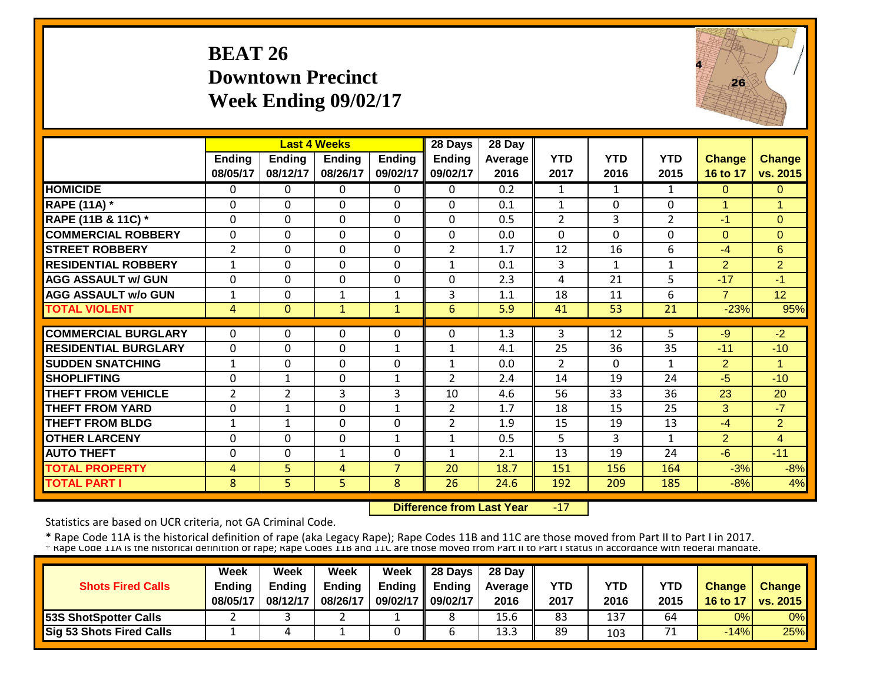#### **BEAT 26 Downtown Precinct Week Ending 09/02/17**



|                             |                |                | <b>Last 4 Weeks</b> |                | 28 Days        | 28 Day  |                |              |                |                      |                |
|-----------------------------|----------------|----------------|---------------------|----------------|----------------|---------|----------------|--------------|----------------|----------------------|----------------|
|                             | <b>Ending</b>  | <b>Endina</b>  | <b>Endina</b>       | <b>Ending</b>  | <b>Ending</b>  | Average | <b>YTD</b>     | <b>YTD</b>   | <b>YTD</b>     | <b>Change</b>        | <b>Change</b>  |
|                             | 08/05/17       | 08/12/17       | 08/26/17            | 09/02/17       | 09/02/17       | 2016    | 2017           | 2016         | 2015           | 16 to 17             | vs. 2015       |
| <b>HOMICIDE</b>             | $\Omega$       | 0              | 0                   | 0              | 0              | 0.2     | $\mathbf{1}$   | 1            | $\mathbf{1}$   | $\mathbf{0}$         | $\Omega$       |
| <b>RAPE (11A)</b> *         | $\Omega$       | $\Omega$       | $\Omega$            | $\Omega$       | $\Omega$       | 0.1     | $\mathbf{1}$   | $\Omega$     | $\Omega$       | $\blacktriangleleft$ | $\overline{1}$ |
| RAPE (11B & 11C) *          | $\mathbf 0$    | 0              | $\mathbf 0$         | $\Omega$       | 0              | 0.5     | 2              | 3            | $\overline{2}$ | $-1$                 | $\Omega$       |
| <b>COMMERCIAL ROBBERY</b>   | $\Omega$       | 0              | 0                   | 0              | $\Omega$       | 0.0     | $\Omega$       | $\Omega$     | 0              | $\Omega$             | $\Omega$       |
| <b>STREET ROBBERY</b>       | $\overline{2}$ | 0              | 0                   | 0              | $\overline{2}$ | 1.7     | 12             | 16           | 6              | $-4$                 | 6              |
| <b>RESIDENTIAL ROBBERY</b>  | $\mathbf{1}$   | 0              | $\mathbf 0$         | $\mathbf 0$    | $\mathbf{1}$   | 0.1     | $\overline{3}$ | $\mathbf{1}$ | $\mathbf{1}$   | $\overline{2}$       | $\overline{2}$ |
| <b>AGG ASSAULT w/ GUN</b>   | $\Omega$       | 0              | $\mathbf 0$         | $\Omega$       | $\Omega$       | 2.3     | 4              | 21           | 5              | $-17$                | $-1$           |
| <b>AGG ASSAULT w/o GUN</b>  | 1              | 0              | 1                   | 1              | 3              | 1.1     | 18             | 11           | 6              | $\overline{7}$       | 12             |
| <b>TOTAL VIOLENT</b>        | 4              | $\Omega$       | $\mathbf{1}$        | $\mathbf{1}$   | 6              | 5.9     | 41             | 53           | 21             | $-23%$               | 95%            |
|                             |                |                |                     |                |                |         |                |              |                |                      |                |
| <b>COMMERCIAL BURGLARY</b>  | $\mathbf{0}$   | 0              | 0                   | 0              | 0              | 1.3     | 3              | 12           | 5              | $-9$                 | $-2$           |
| <b>RESIDENTIAL BURGLARY</b> | $\Omega$       | 0              | 0                   | $\mathbf{1}$   | 1              | 4.1     | 25             | 36           | 35             | $-11$                | $-10$          |
| <b>SUDDEN SNATCHING</b>     | $\mathbf{1}$   | 0              | $\Omega$            | 0              | $\mathbf{1}$   | 0.0     | $\overline{2}$ | $\Omega$     | $\mathbf{1}$   | 2                    | 1              |
| <b>SHOPLIFTING</b>          | $\Omega$       | 1              | 0                   | 1              | $\overline{2}$ | 2.4     | 14             | 19           | 24             | $-5$                 | $-10$          |
| <b>THEFT FROM VEHICLE</b>   | $\overline{2}$ | $\overline{2}$ | 3                   | 3              | 10             | 4.6     | 56             | 33           | 36             | 23                   | 20             |
| <b>THEFT FROM YARD</b>      | $\Omega$       | 1              | $\Omega$            | 1              | $\overline{2}$ | 1.7     | 18             | 15           | 25             | 3                    | $-7$           |
| <b>THEFT FROM BLDG</b>      | 1              | 1              | $\Omega$            | $\Omega$       | $\overline{2}$ | 1.9     | 15             | 19           | 13             | -4                   | 2 <sup>1</sup> |
| <b>OTHER LARCENY</b>        | $\Omega$       | 0              | 0                   | $\mathbf{1}$   | $\mathbf{1}$   | 0.5     | 5              | 3            | $\mathbf{1}$   | $\overline{2}$       | 4              |
| <b>AUTO THEFT</b>           | $\mathbf{0}$   | 0              | $\mathbf{1}$        | $\Omega$       | $\mathbf{1}$   | 2.1     | 13             | 19           | 24             | $-6$                 | $-11$          |
| <b>TOTAL PROPERTY</b>       | 4              | 5              | 4                   | $\overline{7}$ | 20             | 18.7    | 151            | 156          | 164            | $-3%$                | $-8%$          |
| <b>TOTAL PART I</b>         | 8              | 5              | 5                   | 8              | 26             | 24.6    | 192            | 209          | 185            | $-8%$                | 4%             |

 **Difference from Last Year** $-17$ 

Statistics are based on UCR criteria, not GA Criminal Code.

|                                 | Week          | Week          | Week          | Week              | $\parallel$ 28 Days       | 28 Day            |      |      |      |               |                 |
|---------------------------------|---------------|---------------|---------------|-------------------|---------------------------|-------------------|------|------|------|---------------|-----------------|
| <b>Shots Fired Calls</b>        | <b>Endina</b> | <b>Ending</b> | <b>Ending</b> |                   | Ending $\parallel$ Ending | <b>Average II</b> | YTD  | YTD  | YTD  | <b>Change</b> | <b>Change</b>   |
|                                 | 08/05/17      | 08/12/17      | 08/26/17      | 09/02/17 09/02/17 |                           | 2016              | 2017 | 2016 | 2015 | 16 to 17      | <b>VS. 2015</b> |
| <b>53S ShotSpotter Calls</b>    |               |               |               |                   |                           | 15.6              | 83   | 137  | 64   | 0%            | 0%              |
| <b>Sig 53 Shots Fired Calls</b> |               |               |               |                   |                           | 13.3              | 89   | 103  | 71   | $-14%$        | 25%             |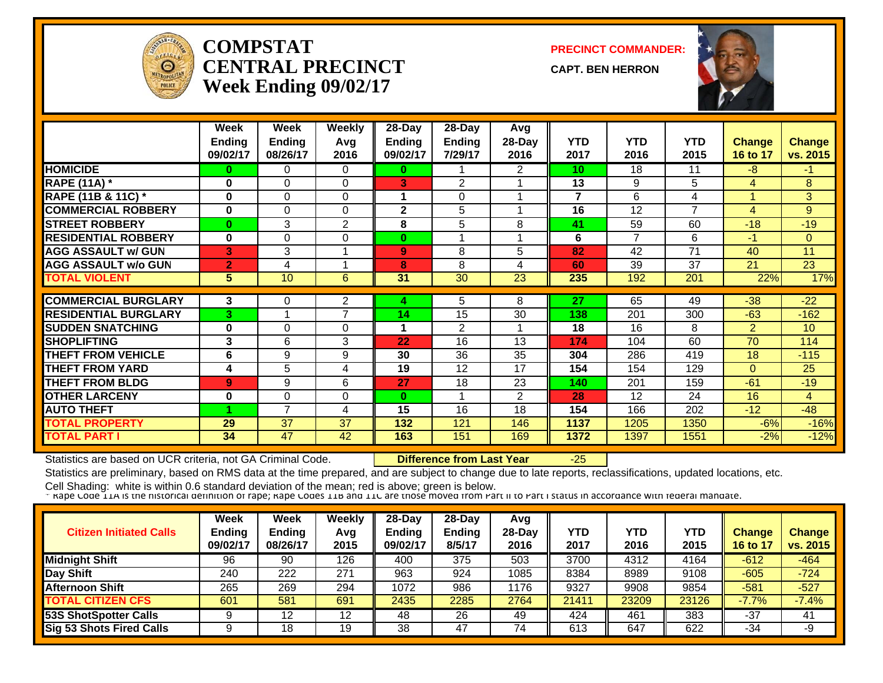

#### **COMPSTATCENTRAL PRECINCTWeek Ending 09/02/17**

**PRECINCT COMMANDER:**

**CAPT. BEN HERRON**



|                             | Week<br><b>Ending</b><br>09/02/17 | Week<br>Ending<br>08/26/17 | Weekly<br>Avg<br>2016 | $28-Day$<br><b>Ending</b><br>09/02/17 | $28$ -Day<br><b>Ending</b><br>7/29/17 | Avg<br>28-Day<br>2016 | <b>YTD</b><br>2017 | <b>YTD</b><br>2016 | <b>YTD</b><br>2015 | <b>Change</b><br>16 to 17 | Change<br>vs. 2015 |
|-----------------------------|-----------------------------------|----------------------------|-----------------------|---------------------------------------|---------------------------------------|-----------------------|--------------------|--------------------|--------------------|---------------------------|--------------------|
| <b>HOMICIDE</b>             | 0                                 | 0                          | $\Omega$              | 0                                     |                                       | $\overline{2}$        | 10                 | 18                 | 11                 | $-8$                      | $-1$               |
| <b>RAPE (11A) *</b>         | 0                                 | 0                          | $\Omega$              | 3                                     | 2                                     |                       | 13                 | 9                  | 5                  | 4                         | 8                  |
| RAPE (11B & 11C) *          | 0                                 | 0                          | $\Omega$              |                                       | $\Omega$                              |                       | $\overline{7}$     | 6                  | 4                  |                           | 3                  |
| <b>COMMERCIAL ROBBERY</b>   | $\bf{0}$                          | 0                          | 0                     | 2                                     | 5                                     |                       | 16                 | 12                 | $\overline{ }$     | 4                         | 9                  |
| <b>STREET ROBBERY</b>       | $\bf{0}$                          | 3                          | 2                     | 8                                     | 5                                     | 8                     | 41                 | 59                 | 60                 | $-18$                     | $-19$              |
| <b>RESIDENTIAL ROBBERY</b>  | $\bf{0}$                          | 0                          | $\Omega$              | $\bf{0}$                              |                                       |                       | 6                  | 7                  | 6                  | $-1$                      | $\Omega$           |
| <b>AGG ASSAULT w/ GUN</b>   | 3                                 | 3                          |                       | 9                                     | 8                                     | 5                     | 82                 | 42                 | 71                 | 40                        | 11                 |
| <b>AGG ASSAULT w/o GUN</b>  | $\overline{2}$                    | 4                          |                       | 8                                     | 8                                     | 4                     | 60                 | 39                 | 37                 | 21                        | 23                 |
| <b>TOTAL VIOLENT</b>        | 5                                 | 10 <sup>°</sup>            | 6                     | 31                                    | 30                                    | 23                    | 235                | 192                | 201                | 22%                       | 17%                |
|                             |                                   |                            |                       |                                       |                                       |                       |                    |                    |                    |                           |                    |
| <b>COMMERCIAL BURGLARY</b>  | 3                                 | 0                          | 2                     |                                       | 5                                     | 8                     | 27                 | 65                 | 49                 | $-38$                     | $-22$              |
| <b>RESIDENTIAL BURGLARY</b> | 3                                 | $\overline{\mathbf{A}}$    | $\overline{7}$        | 14                                    | 15                                    | 30                    | 138                | 201                | 300                | $-63$                     | $-162$             |
| <b>SUDDEN SNATCHING</b>     | 0                                 | 0                          | $\Omega$              |                                       | 2                                     |                       | 18                 | 16                 | 8                  | $\overline{2}$            | 10                 |
| <b>SHOPLIFTING</b>          | 3                                 | 6                          | 3                     | 22                                    | 16                                    | 13                    | 174                | 104                | 60                 | 70                        | 114                |
| <b>THEFT FROM VEHICLE</b>   | 6                                 | 9                          | 9                     | 30                                    | 36                                    | 35                    | 304                | 286                | 419                | 18                        | $-115$             |
| <b>THEFT FROM YARD</b>      | 4                                 | 5                          | 4                     | 19                                    | 12                                    | 17                    | 154                | 154                | 129                | $\Omega$                  | 25                 |
| <b>THEFT FROM BLDG</b>      | 9                                 | 9                          | 6                     | 27                                    | 18                                    | 23                    | 140                | 201                | 159                | $-61$                     | $-19$              |
| <b>OTHER LARCENY</b>        | 0                                 | 0                          | $\Omega$              | $\bf{0}$                              |                                       | $\overline{2}$        | 28                 | 12                 | 24                 | 16                        | $\overline{4}$     |
| <b>AUTO THEFT</b>           |                                   | 7                          | 4                     | 15                                    | 16                                    | 18                    | 154                | 166                | 202                | $-12$                     | $-48$              |
| <b>TOTAL PROPERTY</b>       | 29                                | 37                         | 37                    | 132                                   | 121                                   | 146                   | 1137               | 1205               | 1350               | $-6%$                     | $-16%$             |
| <b>TOTAL PART I</b>         | 34                                | 47                         | 42                    | 163                                   | 151                                   | 169                   | 1372               | 1397               | 1551               | $-2%$                     | $-12%$             |

Statistics are based on UCR criteria, not GA Criminal Code. **Difference from Last Year** -25

Statistics are preliminary, based on RMS data at the time prepared, and are subject to change due to late reports, reclassifications, updated locations, etc.

| <b>Citizen Initiated Calls</b> | Week<br><b>Ending</b><br>09/02/17 | <b>Week</b><br>Ending<br>08/26/17 | Weekly<br>Avg<br>2015 | $28-Dav$<br><b>Ending</b><br>09/02/17 | $28$ -Dav<br><b>Ending</b><br>8/5/17 | Avg<br>$28$ -Day<br>2016 | YTD<br>2017 | YTD<br>2016 | <b>YTD</b><br>2015 | Change<br>16 to 17 | <b>Change</b><br>vs. 2015 |
|--------------------------------|-----------------------------------|-----------------------------------|-----------------------|---------------------------------------|--------------------------------------|--------------------------|-------------|-------------|--------------------|--------------------|---------------------------|
| <b>Midnight Shift</b>          | 96                                | 90                                | 126                   | 400                                   | 375                                  | 503                      | 3700        | 4312        | 4164               | $-612$             | $-464$                    |
| Day Shift                      | 240                               | 222                               | 271                   | 963                                   | 924                                  | 1085                     | 8384        | 8989        | 9108               | $-605$             | $-724$                    |
| <b>Afternoon Shift</b>         | 265                               | 269                               | 294                   | 1072                                  | 986                                  | 1176                     | 9327        | 9908        | 9854               | $-581$             | $-527$                    |
| <b>TOTAL CITIZEN CFS</b>       | 601                               | 581                               | 691                   | 2435                                  | 2285                                 | 2764                     | 21411       | 23209       | 23126              | $-7.7%$            | $-7.4%$                   |
| 53S ShotSpotter Calls          |                                   | 12                                | 12                    | 48                                    | 26                                   | 49                       | 424         | 461         | 383                | $-37$              | 41                        |
| Sig 53 Shots Fired Calls       |                                   | 18                                | 19                    | 38                                    | 47                                   | 74                       | 613         | 647         | 622                | -34                | -9                        |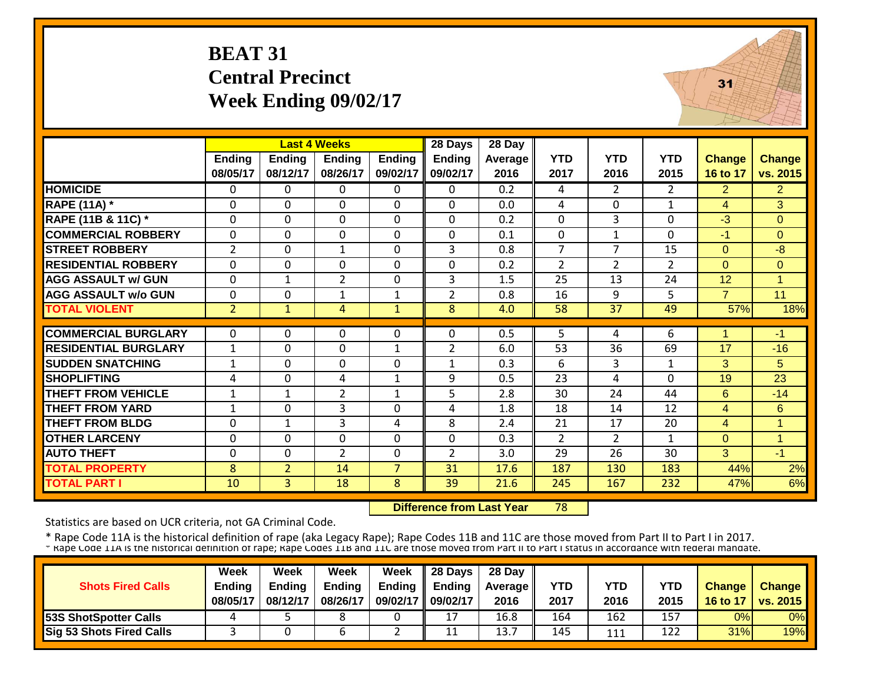# **BEAT 31 Central Precinct Week Ending 09/02/17**



|                             |                    | <b>Last 4 Weeks</b>       |                           |                           | 28 Days                   | 28 Day          |                    |                    |                    |                           |                           |
|-----------------------------|--------------------|---------------------------|---------------------------|---------------------------|---------------------------|-----------------|--------------------|--------------------|--------------------|---------------------------|---------------------------|
|                             | Ending<br>08/05/17 | <b>Ending</b><br>08/12/17 | <b>Ending</b><br>08/26/17 | <b>Ending</b><br>09/02/17 | <b>Ending</b><br>09/02/17 | Average<br>2016 | <b>YTD</b><br>2017 | <b>YTD</b><br>2016 | <b>YTD</b><br>2015 | <b>Change</b><br>16 to 17 | <b>Change</b><br>vs. 2015 |
| <b>HOMICIDE</b>             | $\Omega$           | 0                         | 0                         | $\Omega$                  | $\Omega$                  | 0.2             | 4                  | $\overline{2}$     | $\overline{2}$     | $\overline{2}$            | $\overline{2}$            |
| <b>RAPE (11A)</b> *         | $\Omega$           | $\Omega$                  | $\Omega$                  | $\Omega$                  | $\Omega$                  | 0.0             | 4                  | $\Omega$           | 1                  | $\overline{4}$            | 3                         |
|                             |                    |                           |                           |                           |                           |                 |                    |                    |                    |                           |                           |
| RAPE (11B & 11C) *          | $\mathbf 0$        | 0                         | $\Omega$                  | $\Omega$                  | 0                         | 0.2             | $\mathbf 0$        | 3                  | 0                  | $-3$                      | $\Omega$                  |
| <b>COMMERCIAL ROBBERY</b>   | $\mathbf{0}$       | 0                         | $\Omega$                  | $\Omega$                  | 0                         | 0.1             | $\Omega$           | 1                  | 0                  | $-1$                      | $\Omega$                  |
| <b>STREET ROBBERY</b>       | $\overline{2}$     | 0                         | $\mathbf{1}$              | $\mathbf 0$               | 3                         | 0.8             | $\overline{7}$     | 7                  | 15                 | $\overline{0}$            | $-8$                      |
| <b>RESIDENTIAL ROBBERY</b>  | $\Omega$           | $\Omega$                  | $\Omega$                  | $\mathbf 0$               | $\Omega$                  | 0.2             | 2                  | $\overline{2}$     | $\overline{2}$     | $\Omega$                  | $\Omega$                  |
| <b>AGG ASSAULT w/ GUN</b>   | $\Omega$           | $\mathbf{1}$              | $\overline{2}$            | $\Omega$                  | 3                         | 1.5             | 25                 | 13                 | 24                 | 12                        | 1                         |
| <b>AGG ASSAULT w/o GUN</b>  | $\mathbf 0$        | 0                         | $\mathbf{1}$              | 1                         | $\overline{2}$            | 0.8             | 16                 | 9                  | 5                  | $\overline{7}$            | 11                        |
| <b>TOTAL VIOLENT</b>        | $\overline{2}$     | 1                         | $\overline{4}$            | $\mathbf{1}$              | 8                         | 4.0             | 58                 | 37                 | 49                 | 57%                       | 18%                       |
|                             |                    |                           |                           |                           |                           |                 |                    |                    |                    |                           |                           |
| <b>COMMERCIAL BURGLARY</b>  | $\Omega$           | 0                         | $\Omega$                  | 0                         | 0                         | 0.5             | 5                  | 4                  | 6                  |                           | $-1$                      |
| <b>RESIDENTIAL BURGLARY</b> | $\mathbf{1}$       | 0                         | $\Omega$                  | 1                         | $\overline{2}$            | 6.0             | 53                 | 36                 | 69                 | 17                        | $-16$                     |
| <b>SUDDEN SNATCHING</b>     | 1                  | 0                         | $\Omega$                  | 0                         | 1                         | 0.3             | 6                  | 3                  | $\mathbf{1}$       | 3                         | 5                         |
| <b>SHOPLIFTING</b>          | 4                  | 0                         | 4                         | 1                         | 9                         | 0.5             | 23                 | 4                  | 0                  | 19                        | 23                        |
| <b>THEFT FROM VEHICLE</b>   | 1                  | 1                         | $\overline{2}$            | $\mathbf{1}$              | 5                         | 2.8             | 30                 | 24                 | 44                 | 6                         | $-14$                     |
| <b>THEFT FROM YARD</b>      | $\mathbf{1}$       | 0                         | 3                         | 0                         | 4                         | 1.8             | 18                 | 14                 | 12                 | $\overline{4}$            | 6                         |
| <b>THEFT FROM BLDG</b>      | $\Omega$           | 1                         | 3                         | 4                         | 8                         | 2.4             | 21                 | 17                 | 20                 | $\overline{4}$            | 1                         |
| <b>OTHER LARCENY</b>        | $\Omega$           | $\Omega$                  | $\Omega$                  | 0                         | $\Omega$                  | 0.3             | 2                  | $\overline{2}$     | 1                  | $\Omega$                  | $\blacktriangleleft$      |
| <b>AUTO THEFT</b>           | $\Omega$           | 0                         | $\overline{2}$            | 0                         | $\overline{2}$            | 3.0             | 29                 | 26                 | 30                 | 3                         | -1                        |
| <b>TOTAL PROPERTY</b>       | 8                  | $\overline{2}$            | 14                        | $\overline{7}$            | 31                        | 17.6            | 187                | 130                | 183                | 44%                       | 2%                        |
| <b>TOTAL PART I</b>         | 10                 | 3                         | 18                        | 8                         | 39                        | 21.6            | 245                | 167                | 232                | 47%                       | 6%                        |

 **Difference from Last Year**78

Statistics are based on UCR criteria, not GA Criminal Code.

|                                 | Week          | Week          | Week          | Week          | 28 Days       | 28 Day            |      |            |      |               |                 |
|---------------------------------|---------------|---------------|---------------|---------------|---------------|-------------------|------|------------|------|---------------|-----------------|
| <b>Shots Fired Calls</b>        | <b>Ending</b> | <b>Endina</b> | <b>Ending</b> | <b>Ending</b> | <b>Ending</b> | <b>Average II</b> | YTD  | <b>YTD</b> | YTD  | <b>Change</b> | Change          |
|                                 | 08/05/17      | 08/12/17      | 08/26/17      | 09/02/17      | 09/02/17      | 2016              | 2017 | 2016       | 2015 | 16 to 17      | <b>vs. 2015</b> |
| <b>53S ShotSpotter Calls</b>    |               |               | Ջ             |               |               | 16.8              | 164  | 162        | 157  | 0%            | 0%              |
| <b>Sig 53 Shots Fired Calls</b> |               |               | ь             | -             | 11            | 13.1              | 145  | 111        | 122  | 31%           | 19%             |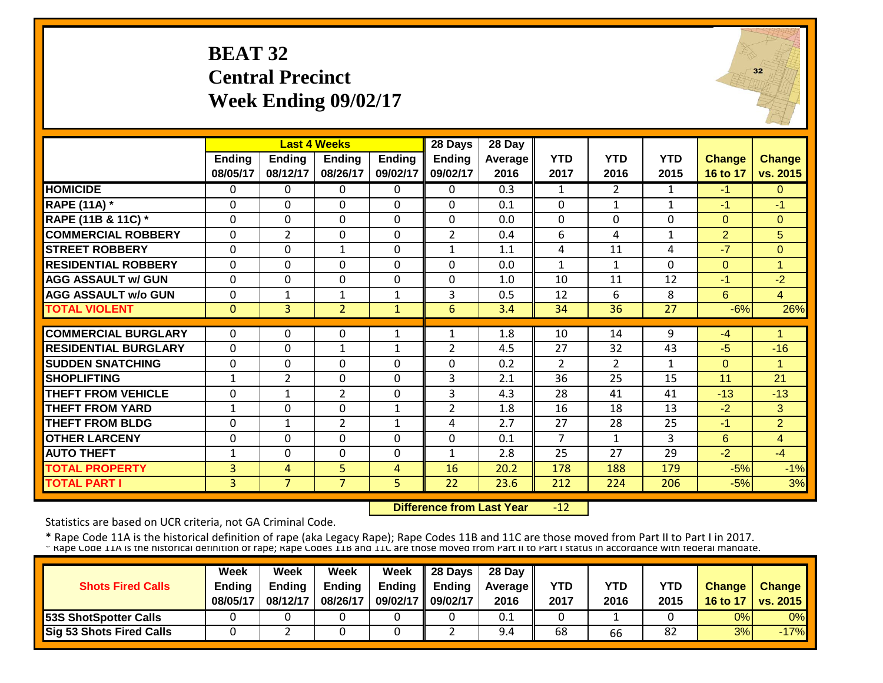# **BEAT 32 Central Precinct Week Ending 09/02/17**



|                             |                |                | <b>Last 4 Weeks</b> |               | 28 Days        | 28 Day  |                |                |              |                |                |
|-----------------------------|----------------|----------------|---------------------|---------------|----------------|---------|----------------|----------------|--------------|----------------|----------------|
|                             | Ending         | <b>Ending</b>  | <b>Ending</b>       | <b>Ending</b> | <b>Ending</b>  | Average | <b>YTD</b>     | <b>YTD</b>     | <b>YTD</b>   | <b>Change</b>  | <b>Change</b>  |
|                             | 08/05/17       | 08/12/17       | 08/26/17            | 09/02/17      | 09/02/17       | 2016    | 2017           | 2016           | 2015         | 16 to 17       | vs. 2015       |
| <b>HOMICIDE</b>             | $\Omega$       | $\Omega$       | $\Omega$            | $\Omega$      | 0              | 0.3     | 1              | $\overline{2}$ | $\mathbf{1}$ | $-1$           | $\Omega$       |
| <b>RAPE (11A) *</b>         | $\Omega$       | $\Omega$       | $\mathbf 0$         | $\Omega$      | 0              | 0.1     | $\mathbf 0$    | 1              | $\mathbf{1}$ | $-1$           | $-1$           |
| RAPE (11B & 11C) *          | $\mathbf 0$    | $\Omega$       | $\Omega$            | $\Omega$      | $\Omega$       | 0.0     | $\mathbf 0$    | $\Omega$       | $\Omega$     | $\Omega$       | $\overline{0}$ |
| <b>COMMERCIAL ROBBERY</b>   | $\Omega$       | $\overline{2}$ | $\Omega$            | $\Omega$      | $\overline{2}$ | 0.4     | 6              | 4              | $\mathbf{1}$ | $\overline{2}$ | 5 <sup>5</sup> |
| <b>STREET ROBBERY</b>       | $\Omega$       | $\Omega$       | $\mathbf{1}$        | $\Omega$      | $\mathbf{1}$   | 1.1     | 4              | 11             | 4            | $-7$           | $\Omega$       |
| <b>RESIDENTIAL ROBBERY</b>  | $\Omega$       | $\mathbf 0$    | $\Omega$            | $\Omega$      | $\Omega$       | 0.0     | $\mathbf{1}$   | $\mathbf{1}$   | $\Omega$     | $\Omega$       | 1              |
| <b>AGG ASSAULT w/ GUN</b>   | $\mathbf 0$    | $\mathbf 0$    | $\mathbf 0$         | 0             | $\mathbf 0$    | 1.0     | 10             | 11             | 12           | $-1$           | $-2$           |
| <b>AGG ASSAULT w/o GUN</b>  | $\mathbf 0$    | 1              | $\mathbf{1}$        | $\mathbf{1}$  | 3              | 0.5     | 12             | 6              | 8            | 6              | $\overline{4}$ |
| <b>TOTAL VIOLENT</b>        | $\Omega$       | $\overline{3}$ | $\overline{2}$      | $\mathbf{1}$  | 6              | 3.4     | 34             | 36             | 27           | $-6%$          | 26%            |
|                             |                |                |                     |               |                |         |                |                |              |                |                |
| <b>COMMERCIAL BURGLARY</b>  | $\Omega$       | 0              | 0                   | 1             | $\mathbf{1}$   | 1.8     | 10             | 14             | 9            | $-4$           | 1              |
| <b>RESIDENTIAL BURGLARY</b> | $\mathbf{0}$   | $\mathbf 0$    | 1                   | $\mathbf{1}$  | $\overline{2}$ | 4.5     | 27             | 32             | 43           | $-5$           | $-16$          |
| <b>SUDDEN SNATCHING</b>     | $\mathbf{0}$   | $\mathbf 0$    | $\mathbf 0$         | $\Omega$      | $\Omega$       | 0.2     | $\overline{2}$ | $\overline{2}$ | $\mathbf{1}$ | $\Omega$       | 1              |
| <b>SHOPLIFTING</b>          | $\mathbf{1}$   | 2              | $\mathbf 0$         | $\Omega$      | 3              | 2.1     | 36             | 25             | 15           | 11             | 21             |
| <b>THEFT FROM VEHICLE</b>   | $\Omega$       | $\mathbf{1}$   | $\overline{2}$      | $\Omega$      | 3              | 4.3     | 28             | 41             | 41           | $-13$          | $-13$          |
| <b>THEFT FROM YARD</b>      | $\mathbf{1}$   | $\mathbf 0$    | $\mathbf 0$         | $\mathbf{1}$  | $\overline{2}$ | 1.8     | 16             | 18             | 13           | $-2$           | 3              |
| <b>THEFT FROM BLDG</b>      | $\Omega$       | 1              | $\overline{2}$      | 1             | 4              | 2.7     | 27             | 28             | 25           | $-1$           | $\overline{2}$ |
| <b>OTHER LARCENY</b>        | $\Omega$       | $\Omega$       | $\Omega$            | $\Omega$      | $\Omega$       | 0.1     | $\overline{7}$ | 1              | 3            | 6              | 4              |
| <b>AUTO THEFT</b>           | 1              | $\Omega$       | $\Omega$            | 0             | $\mathbf{1}$   | 2.8     | 25             | 27             | 29           | $-2$           | $-4$           |
| <b>TOTAL PROPERTY</b>       | $\overline{3}$ | 4              | 5                   | 4             | 16             | 20.2    | 178            | 188            | 179          | $-5%$          | $-1%$          |
| <b>TOTAL PART I</b>         | 3              | $\overline{7}$ | $\overline{7}$      | 5             | 22             | 23.6    | 212            | 224            | 206          | $-5%$          | 3%             |

 **Difference from Last Year** $-12$ 

Statistics are based on UCR criteria, not GA Criminal Code.

|                                 | Week          | Week     | Week          | Week     | 28 Days       | 28 Day            |      |            |            |               |                 |
|---------------------------------|---------------|----------|---------------|----------|---------------|-------------------|------|------------|------------|---------------|-----------------|
| <b>Shots Fired Calls</b>        | <b>Ending</b> | Endina   | <b>Ending</b> | Ending   | <b>Ending</b> | <b>Average II</b> | YTD  | <b>YTD</b> | <b>YTD</b> | <b>Change</b> | Change          |
|                                 | 08/05/17      | 08/12/17 | 08/26/17      | 09/02/17 | 09/02/17      | 2016              | 2017 | 2016       | 2015       | 16 to 17      | <b>vs. 2015</b> |
| <b>153S ShotSpotter Calls</b>   |               |          |               |          |               | 0.1               |      |            |            | 0%            | 0%              |
| <b>Sig 53 Shots Fired Calls</b> |               |          |               |          |               | 9.4               | 68   | 66         | 82         | 3%            | $-17%$          |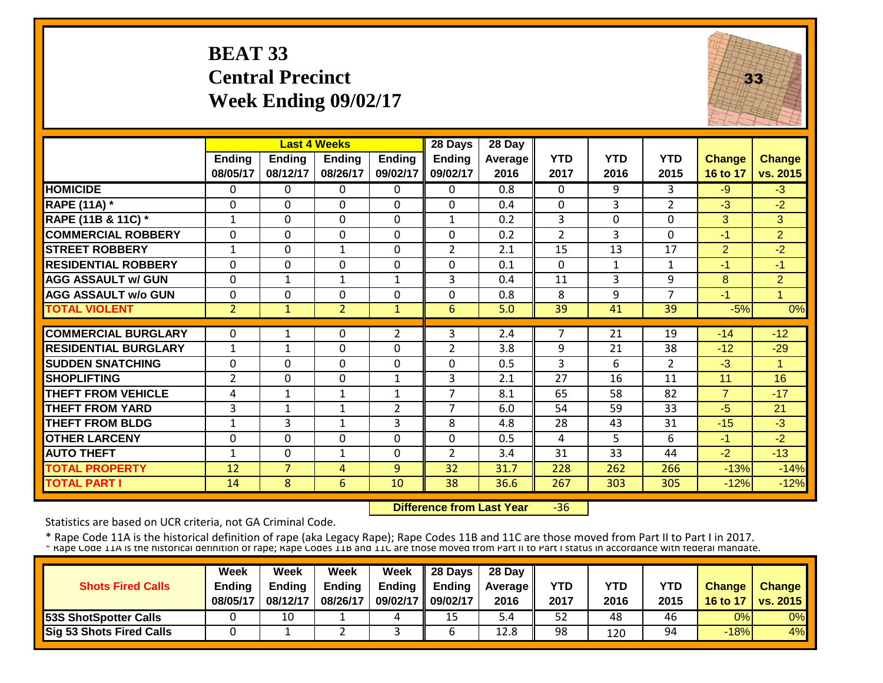# **BEAT 33 Central Precinct Week Ending 09/02/17**



|                             |                    |                           | <b>Last 4 Weeks</b>       |                           | 28 Days                   | 28 Day          |                    |                    |                    |                           |                           |
|-----------------------------|--------------------|---------------------------|---------------------------|---------------------------|---------------------------|-----------------|--------------------|--------------------|--------------------|---------------------------|---------------------------|
|                             | Ending<br>08/05/17 | <b>Ending</b><br>08/12/17 | <b>Ending</b><br>08/26/17 | <b>Ending</b><br>09/02/17 | <b>Ending</b><br>09/02/17 | Average<br>2016 | <b>YTD</b><br>2017 | <b>YTD</b><br>2016 | <b>YTD</b><br>2015 | <b>Change</b><br>16 to 17 | <b>Change</b><br>vs. 2015 |
| <b>HOMICIDE</b>             | $\Omega$           | 0                         | $\Omega$                  | $\Omega$                  | 0                         | 0.8             | $\Omega$           | 9                  | 3                  | $-9$                      | $-3$                      |
| <b>RAPE (11A) *</b>         | $\mathbf{0}$       | $\Omega$                  | $\Omega$                  | $\Omega$                  | 0                         | 0.4             | $\Omega$           | 3                  | $\overline{2}$     | $-3$                      | $-2$                      |
| RAPE (11B & 11C) *          | $\mathbf{1}$       | 0                         | $\Omega$                  | $\mathbf 0$               | $\mathbf{1}$              | 0.2             | 3                  | $\Omega$           | $\mathbf{0}$       | 3                         | 3                         |
| <b>COMMERCIAL ROBBERY</b>   | $\mathbf{0}$       | 0                         | $\Omega$                  | $\Omega$                  | 0                         | 0.2             | $\overline{2}$     | $\overline{3}$     | $\mathbf 0$        | $-1$                      | $\overline{2}$            |
| <b>STREET ROBBERY</b>       | $\mathbf{1}$       | 0                         | $\mathbf{1}$              | $\Omega$                  | $\overline{2}$            | 2.1             | 15                 | 13                 | 17                 | $\overline{2}$            | $-2$                      |
| <b>RESIDENTIAL ROBBERY</b>  | $\Omega$           | $\Omega$                  | $\Omega$                  | $\mathbf 0$               | $\Omega$                  | 0.1             | $\Omega$           | 1                  | $\mathbf{1}$       | $-1$                      | $-1$                      |
| <b>AGG ASSAULT w/ GUN</b>   | $\mathbf 0$        | 1                         | 1                         | $\mathbf{1}$              | 3                         | 0.4             | 11                 | 3                  | 9                  | 8                         | $\overline{2}$            |
| <b>AGG ASSAULT w/o GUN</b>  | $\mathbf{0}$       | 0                         | $\Omega$                  | $\Omega$                  | 0                         | 0.8             | 8                  | 9                  | $\overline{7}$     | $-1$                      | $\mathbf{1}$              |
| <b>TOTAL VIOLENT</b>        | $\overline{2}$     | $\mathbf{1}$              | $\overline{2}$            | $\mathbf{1}$              | 6                         | 5.0             | 39                 | 41                 | 39                 | $-5%$                     | 0%                        |
|                             |                    |                           |                           |                           |                           |                 |                    |                    |                    |                           |                           |
| <b>COMMERCIAL BURGLARY</b>  | $\Omega$           | 1                         | $\Omega$                  | $\overline{2}$            | 3                         | 2.4             | 7                  | 21                 | 19                 | $-14$                     | $-12$                     |
| <b>RESIDENTIAL BURGLARY</b> | $\mathbf{1}$       | 1                         | $\Omega$                  | $\Omega$                  | $\overline{2}$            | 3.8             | 9                  | 21                 | 38                 | $-12$                     | $-29$                     |
| <b>SUDDEN SNATCHING</b>     | $\mathbf{0}$       | 0                         | $\Omega$                  | $\Omega$                  | 0                         | 0.5             | 3                  | 6                  | 2                  | $-3$                      | $\mathbf{1}$              |
| <b>SHOPLIFTING</b>          | $\overline{2}$     | 0                         | $\Omega$                  | $\mathbf 1$               | 3                         | 2.1             | 27                 | 16                 | 11                 | 11                        | 16                        |
| <b>THEFT FROM VEHICLE</b>   | 4                  | 1                         | 1                         | 1                         | $\overline{7}$            | 8.1             | 65                 | 58                 | 82                 | $\overline{7}$            | $-17$                     |
| <b>THEFT FROM YARD</b>      | 3                  | 1                         | 1                         | $\overline{2}$            | 7                         | 6.0             | 54                 | 59                 | 33                 | $-5$                      | 21                        |
| <b>THEFT FROM BLDG</b>      | 1                  | 3                         | 1                         | 3                         | 8                         | 4.8             | 28                 | 43                 | 31                 | $-15$                     | $-3$                      |
| <b>OTHER LARCENY</b>        | $\mathbf{0}$       | 0                         | $\Omega$                  | $\Omega$                  | 0                         | 0.5             | 4                  | 5.                 | 6                  | $-1$                      | $-2$                      |
| <b>AUTO THEFT</b>           | $\mathbf{1}$       | 0                         | 1                         | $\Omega$                  | $\overline{2}$            | 3.4             | 31                 | 33                 | 44                 | $-2$                      | $-13$                     |
| <b>TOTAL PROPERTY</b>       | 12                 | $\overline{7}$            | 4                         | 9                         | 32                        | 31.7            | 228                | 262                | 266                | $-13%$                    | $-14%$                    |
| <b>TOTAL PART I</b>         | 14                 | 8                         | 6                         | 10                        | 38                        | 36.6            | 267                | 303                | 305                | $-12%$                    | $-12%$                    |

 **Difference from Last Year** $-36$ 

Statistics are based on UCR criteria, not GA Criminal Code.

|                                 | Week          | Week          | Week          | Week       | 28 Days       | 28 Day            |      |      |      |               |                     |
|---------------------------------|---------------|---------------|---------------|------------|---------------|-------------------|------|------|------|---------------|---------------------|
| <b>Shots Fired Calls</b>        | <b>Ending</b> | <b>Endina</b> | <b>Ending</b> | Ending     | <b>Ending</b> | <b>Average</b> II | YTD  | YTD  | YTD  | <b>Change</b> | <b>Change</b>       |
|                                 | 08/05/17      | 08/12/17      | 08/26/17      | $09/02/17$ | 09/02/17      | 2016              | 2017 | 2016 | 2015 |               | 16 to 17   vs. 2015 |
| <b>53S ShotSpotter Calls</b>    |               | 10            |               | 4          | 15            |                   | 52   | 48   | 46   | 0%            | 0%                  |
| <b>Sig 53 Shots Fired Calls</b> |               |               |               |            |               | 12.8              | 98   | 120  | 94   | $-18%$        | 4%                  |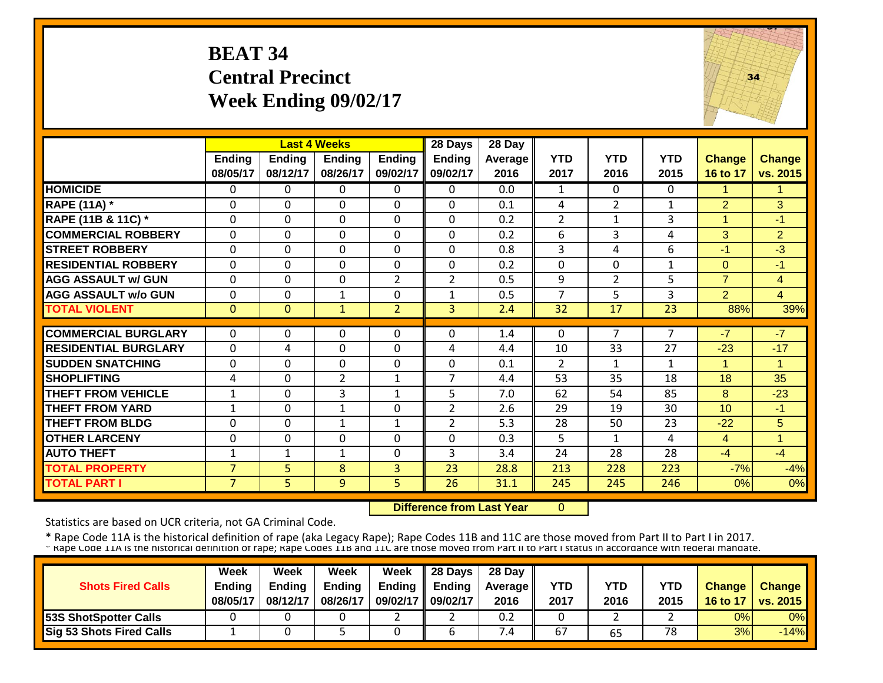# **BEAT 34 Central Precinct Week Ending 09/02/17**



|                             |                    |                           | <b>Last 4 Weeks</b>       |                           | 28 Days                   | 28 Day             |                    |                    |                    |                           |                           |
|-----------------------------|--------------------|---------------------------|---------------------------|---------------------------|---------------------------|--------------------|--------------------|--------------------|--------------------|---------------------------|---------------------------|
|                             | Ending<br>08/05/17 | <b>Ending</b><br>08/12/17 | <b>Ending</b><br>08/26/17 | <b>Ending</b><br>09/02/17 | <b>Ending</b><br>09/02/17 | Average   <br>2016 | <b>YTD</b><br>2017 | <b>YTD</b><br>2016 | <b>YTD</b><br>2015 | <b>Change</b><br>16 to 17 | <b>Change</b><br>vs. 2015 |
| <b>HOMICIDE</b>             | $\mathbf{0}$       | 0                         | 0                         | $\Omega$                  | 0                         | 0.0                | $\mathbf{1}$       | $\Omega$           | 0                  | 1                         | 1                         |
| <b>RAPE (11A)</b> *         | $\mathbf 0$        | $\Omega$                  | $\mathbf 0$               | $\Omega$                  | 0                         | 0.1                | 4                  | $\overline{2}$     | $\mathbf{1}$       | $\overline{2}$            | 3                         |
| RAPE (11B & 11C) *          | $\mathbf 0$        | $\Omega$                  | $\Omega$                  | $\Omega$                  | $\Omega$                  | 0.2                | $\overline{2}$     | $\mathbf{1}$       | 3                  | 1                         | $-1$                      |
| <b>COMMERCIAL ROBBERY</b>   | $\Omega$           | $\Omega$                  | $\Omega$                  | $\Omega$                  | $\Omega$                  | 0.2                | 6                  | 3                  | 4                  | 3                         | $\overline{2}$            |
| <b>STREET ROBBERY</b>       | $\Omega$           | $\Omega$                  | $\Omega$                  | $\Omega$                  | $\Omega$                  | 0.8                | 3                  | 4                  | 6                  | $-1$                      | $-3$                      |
| <b>RESIDENTIAL ROBBERY</b>  | $\Omega$           | $\Omega$                  | $\Omega$                  | $\Omega$                  | $\Omega$                  | 0.2                | $\mathbf 0$        | $\Omega$           | $\mathbf{1}$       | $\Omega$                  | $-1$                      |
| <b>AGG ASSAULT w/ GUN</b>   | $\Omega$           | $\Omega$                  | $\Omega$                  | $\overline{2}$            | $\overline{2}$            | 0.5                | 9                  | $\overline{2}$     | 5                  | $\overline{7}$            | $\overline{4}$            |
| <b>AGG ASSAULT w/o GUN</b>  | $\Omega$           | $\Omega$                  | $\mathbf{1}$              | $\Omega$                  | $\mathbf{1}$              | 0.5                | 7                  | 5                  | 3                  | 2                         | $\overline{4}$            |
| <b>TOTAL VIOLENT</b>        | $\mathbf{0}$       | $\Omega$                  | $\mathbf{1}$              | $\overline{2}$            | $\overline{3}$            | 2.4                | 32                 | 17                 | 23                 | 88%                       | 39%                       |
| <b>COMMERCIAL BURGLARY</b>  | 0                  | 0                         | 0                         | 0                         | 0                         | 1.4                | $\Omega$           | 7                  | 7                  | -7                        | $-7$                      |
| <b>RESIDENTIAL BURGLARY</b> | 0                  | 4                         | 0                         | $\Omega$                  | 4                         | 4.4                | 10                 | 33                 | 27                 | $-23$                     | $-17$                     |
| <b>SUDDEN SNATCHING</b>     | 0                  | $\Omega$                  | $\Omega$                  | $\Omega$                  | $\Omega$                  | 0.1                | $\overline{2}$     | 1                  | $\mathbf{1}$       |                           |                           |
| <b>SHOPLIFTING</b>          | 4                  | $\Omega$                  | $\overline{2}$            | $\mathbf{1}$              | 7                         | 4.4                | 53                 | 35                 | 18                 | 18                        | 35                        |
| <b>THEFT FROM VEHICLE</b>   | 1                  | $\Omega$                  | 3                         | 1                         | 5                         | 7.0                | 62                 | 54                 | 85                 | 8                         | $-23$                     |
| <b>THEFT FROM YARD</b>      | 1                  | $\Omega$                  | 1                         | $\Omega$                  | $\overline{2}$            | 2.6                | 29                 | 19                 | 30                 | 10                        | $-1$                      |
| <b>THEFT FROM BLDG</b>      | $\Omega$           | $\Omega$                  | 1                         | 1                         | $\overline{2}$            | 5.3                | 28                 | 50                 | 23                 | $-22$                     | 5                         |
| <b>OTHER LARCENY</b>        | $\Omega$           | $\Omega$                  | $\Omega$                  | $\Omega$                  | $\Omega$                  | 0.3                | 5.                 | 1                  | 4                  | $\overline{4}$            | -1                        |
| <b>AUTO THEFT</b>           | 1                  | 1                         | 1                         | 0                         | 3                         | 3.4                | 24                 | 28                 | 28                 | $-4$                      | $-4$                      |
| <b>TOTAL PROPERTY</b>       | $\overline{7}$     | 5                         | 8                         | 3                         | 23                        | 28.8               | 213                | 228                | 223                | $-7%$                     | $-4%$                     |
| <b>TOTAL PART I</b>         | $\overline{7}$     | 5.                        | 9                         | 5                         | 26                        | 31.1               | 245                | 245                | 246                | 0%                        | 0%                        |

 **Difference from Last Year** $\overline{0}$ 

Statistics are based on UCR criteria, not GA Criminal Code.

|                              | Week          | Week          | Week          | Week              | $\parallel$ 28 Days       | 28 Day            |            |      |      |               |                 |
|------------------------------|---------------|---------------|---------------|-------------------|---------------------------|-------------------|------------|------|------|---------------|-----------------|
| <b>Shots Fired Calls</b>     | <b>Endina</b> | <b>Ending</b> | <b>Ending</b> |                   | Ending $\parallel$ Ending | <b>Average</b> II | <b>YTD</b> | YTD  | YTD  | <b>Change</b> | <b>Change</b>   |
|                              | 08/05/17      | 08/12/17      | 08/26/17      | 09/02/17 09/02/17 |                           | 2016              | 2017       | 2016 | 2015 | 16 to 17      | <b>vs. 2015</b> |
| <b>53S ShotSpotter Calls</b> |               |               |               |                   |                           | 0.2               |            |      |      | 0%            | 0%              |
| Sig 53 Shots Fired Calls     |               |               |               |                   |                           | $^{\prime}$ .4    | 67         | 65   | 78   | 3%            | $-14%$          |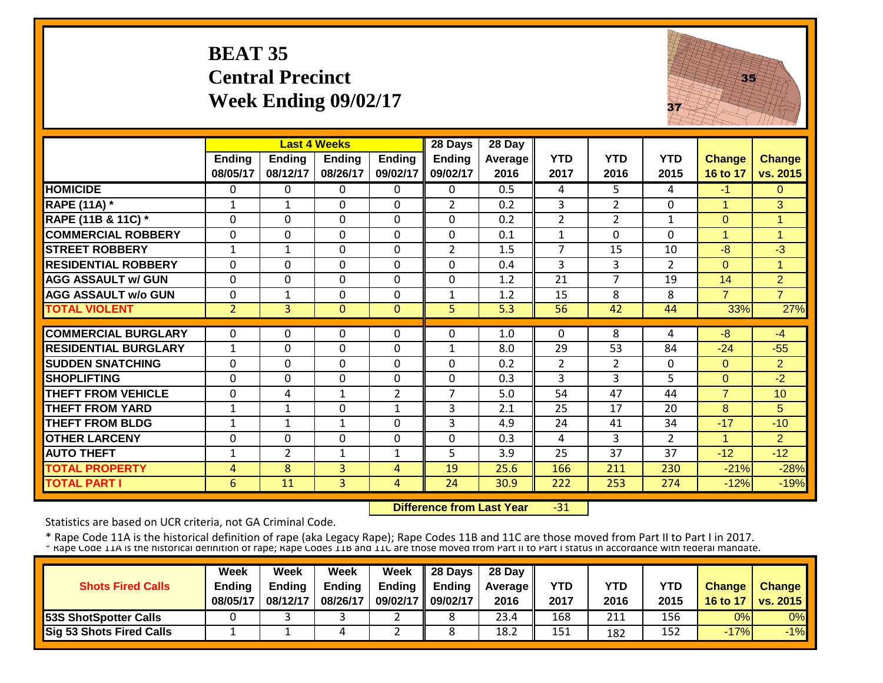# **BEAT 35 Central Precinct Week Ending 09/02/17**



|                             |                |                | <b>Last 4 Weeks</b> |                | 28 Days        | 28 Day  |                |                |                |                      |                |
|-----------------------------|----------------|----------------|---------------------|----------------|----------------|---------|----------------|----------------|----------------|----------------------|----------------|
|                             | <b>Ending</b>  | <b>Ending</b>  | <b>Ending</b>       | <b>Ending</b>  | <b>Ending</b>  | Average | <b>YTD</b>     | <b>YTD</b>     | <b>YTD</b>     | <b>Change</b>        | <b>Change</b>  |
|                             | 08/05/17       | 08/12/17       | 08/26/17            | 09/02/17       | 09/02/17       | 2016    | 2017           | 2016           | 2015           | 16 to 17             | vs. 2015       |
| <b>HOMICIDE</b>             | $\Omega$       | 0              | $\Omega$            | $\Omega$       | 0              | 0.5     | 4              | 5.             | 4              | $-1$                 | $\Omega$       |
| <b>RAPE (11A)</b> *         | 1              | $\mathbf{1}$   | $\mathbf{0}$        | $\Omega$       | $\overline{2}$ | 0.2     | 3              | $\overline{2}$ | $\mathbf{0}$   | $\mathbf{1}$         | 3              |
| RAPE (11B & 11C) *          | $\mathbf 0$    | 0              | $\mathbf{0}$        | $\mathbf 0$    | $\mathbf 0$    | 0.2     | $\overline{2}$ | $\overline{2}$ | $\mathbf{1}$   | $\mathbf{0}$         | 1              |
| <b>COMMERCIAL ROBBERY</b>   | $\mathbf 0$    | 0              | $\mathbf{0}$        | $\mathbf 0$    | $\mathbf 0$    | 0.1     | $\mathbf{1}$   | $\Omega$       | $\Omega$       | $\overline{1}$       | $\overline{1}$ |
| <b>STREET ROBBERY</b>       | $\mathbf{1}$   | 1              | $\mathbf{0}$        | 0              | $\overline{2}$ | 1.5     | $\overline{7}$ | 15             | 10             | $-8$                 | $-3$           |
| <b>RESIDENTIAL ROBBERY</b>  | $\mathbf{0}$   | $\Omega$       | $\Omega$            | $\Omega$       | $\mathbf 0$    | 0.4     | 3              | 3              | $\overline{2}$ | $\Omega$             | $\overline{1}$ |
| <b>AGG ASSAULT w/ GUN</b>   | $\mathbf 0$    | 0              | $\mathbf 0$         | $\Omega$       | 0              | 1.2     | 21             | $\overline{7}$ | 19             | 14                   | $\overline{2}$ |
| <b>AGG ASSAULT w/o GUN</b>  | $\mathbf{0}$   | $\mathbf{1}$   | $\Omega$            | $\Omega$       | $\mathbf{1}$   | 1.2     | 15             | 8              | 8              | $\overline{7}$       | $\overline{7}$ |
| <b>TOTAL VIOLENT</b>        | $\overline{2}$ | $\overline{3}$ | $\Omega$            | $\mathbf{0}$   | 5              | 5.3     | 56             | 42             | 44             | 33%                  | 27%            |
|                             |                |                |                     |                |                |         |                |                |                |                      |                |
| <b>COMMERCIAL BURGLARY</b>  | $\Omega$       | 0              | $\Omega$            | $\Omega$       | $\Omega$       | 1.0     | $\Omega$       | 8              | 4              | $-8$                 | $-4$           |
| <b>RESIDENTIAL BURGLARY</b> | $\mathbf{1}$   | 0              | $\Omega$            | $\Omega$       | 1              | 8.0     | 29             | 53             | 84             | $-24$                | $-55$          |
| <b>SUDDEN SNATCHING</b>     | $\mathbf{0}$   | 0              | $\mathbf 0$         | $\mathbf 0$    | 0              | 0.2     | 2              | $\overline{2}$ | 0              | $\Omega$             | $\overline{2}$ |
| <b>SHOPLIFTING</b>          | $\mathbf 0$    | 0              | $\Omega$            | $\Omega$       | 0              | 0.3     | 3              | 3              | 5              | $\Omega$             | $-2$           |
| <b>THEFT FROM VEHICLE</b>   | $\mathbf{0}$   | 4              | 1                   | $\overline{2}$ | $\overline{7}$ | 5.0     | 54             | 47             | 44             | $\overline{7}$       | 10             |
| <b>THEFT FROM YARD</b>      | $\mathbf{1}$   | 1              | 0                   | $\mathbf{1}$   | 3              | 2.1     | 25             | 17             | 20             | 8                    | 5              |
| <b>THEFT FROM BLDG</b>      | $\mathbf{1}$   | $\mathbf{1}$   | 1                   | 0              | 3              | 4.9     | 24             | 41             | 34             | $-17$                | $-10$          |
| <b>OTHER LARCENY</b>        | 0              | 0              | $\Omega$            | 0              | 0              | 0.3     | 4              | 3              | $\overline{2}$ | $\blacktriangleleft$ | $\overline{2}$ |
| <b>AUTO THEFT</b>           | $\mathbf{1}$   | $\overline{2}$ | 1                   | 1              | 5              | 3.9     | 25             | 37             | 37             | $-12$                | $-12$          |
| <b>TOTAL PROPERTY</b>       | 4              | 8              | 3                   | 4              | 19             | 25.6    | 166            | 211            | 230            | $-21%$               | $-28%$         |
| <b>TOTAL PART I</b>         | 6              | 11             | $\overline{3}$      | 4              | 24             | 30.9    | 222            | 253            | 274            | $-12%$               | $-19%$         |

 **Difference from Last Year**‐31

Statistics are based on UCR criteria, not GA Criminal Code.

|                                 | Week          | Week          | Week          | Week              | $\parallel$ 28 Days       | 28 Day            |            |      |      |               |                 |
|---------------------------------|---------------|---------------|---------------|-------------------|---------------------------|-------------------|------------|------|------|---------------|-----------------|
| <b>Shots Fired Calls</b>        | <b>Endina</b> | <b>Ending</b> | <b>Ending</b> |                   | Ending $\parallel$ Ending | <b>Average</b> II | <b>YTD</b> | YTD  | YTD  | <b>Change</b> | <b>Change</b>   |
|                                 | 08/05/17      | 08/12/17      | 08/26/17      | 09/02/17 09/02/17 |                           | 2016              | 2017       | 2016 | 2015 | 16 to 17      | <b>vs. 2015</b> |
| <b>53S ShotSpotter Calls</b>    |               |               |               |                   |                           | 23.4              | 168        | 211  | 156  | 0%            | 0%              |
| <b>Sig 53 Shots Fired Calls</b> |               |               |               | <u>.</u>          |                           | 18.2              | 151        | 182  | 152  | $-17%$        | $-1%$           |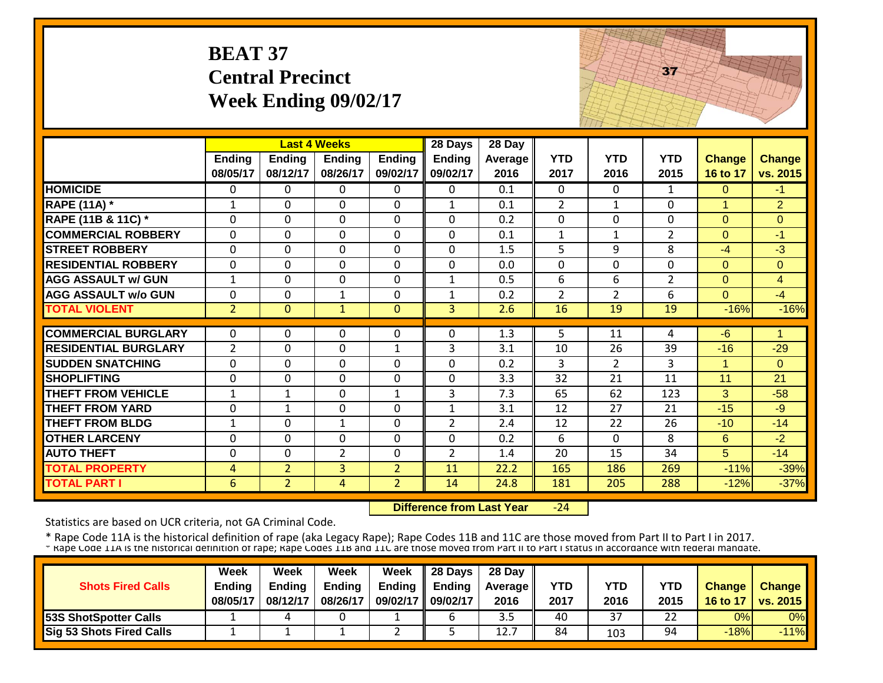### **BEAT 37 Central Precinct Week Ending 09/02/17**



|                             |                |                | <b>Last 4 Weeks</b> |                | 28 Days        | 28 Day  |                |                |                |              |                |
|-----------------------------|----------------|----------------|---------------------|----------------|----------------|---------|----------------|----------------|----------------|--------------|----------------|
|                             | Ending         | Ending         | <b>Ending</b>       | <b>Ending</b>  | <b>Ending</b>  | Average | <b>YTD</b>     | <b>YTD</b>     | <b>YTD</b>     | Change       | <b>Change</b>  |
|                             | 08/05/17       | 08/12/17       | 08/26/17            | 09/02/17       | 09/02/17       | 2016    | 2017           | 2016           | 2015           | 16 to 17     | vs. 2015       |
| <b>HOMICIDE</b>             | $\Omega$       | 0              | $\Omega$            | $\Omega$       | 0              | 0.1     | 0              | $\Omega$       | $\mathbf{1}$   | $\mathbf{0}$ | $-1$           |
| <b>RAPE (11A) *</b>         | $\mathbf{1}$   | $\Omega$       | $\Omega$            | $\Omega$       | $\mathbf{1}$   | 0.1     | $\overline{2}$ | $\mathbf{1}$   | $\Omega$       | $\mathbf{1}$ | 2              |
| RAPE (11B & 11C) *          | $\Omega$       | 0              | $\Omega$            | $\Omega$       | $\Omega$       | 0.2     | $\Omega$       | $\Omega$       | 0              | $\Omega$     | $\Omega$       |
| <b>COMMERCIAL ROBBERY</b>   | $\Omega$       | $\Omega$       | $\Omega$            | $\mathbf 0$    | $\mathbf 0$    | 0.1     | $\mathbf{1}$   | $\mathbf{1}$   | $\overline{2}$ | $\Omega$     | $-1$           |
| <b>STREET ROBBERY</b>       | $\Omega$       | $\Omega$       | $\Omega$            | $\mathbf 0$    | $\mathbf 0$    | 1.5     | 5              | 9              | 8              | $-4$         | $-3$           |
| <b>RESIDENTIAL ROBBERY</b>  | $\Omega$       | $\mathbf 0$    | $\mathbf 0$         | $\mathbf 0$    | $\mathbf 0$    | 0.0     | $\mathbf 0$    | $\Omega$       | $\Omega$       | $\Omega$     | $\Omega$       |
| <b>AGG ASSAULT w/ GUN</b>   | $\mathbf{1}$   | 0              | $\Omega$            | $\mathbf 0$    | 1              | 0.5     | 6              | 6              | $\overline{2}$ | $\mathbf{0}$ | $\overline{4}$ |
| <b>AGG ASSAULT w/o GUN</b>  | $\Omega$       | 0              | $\mathbf{1}$        | $\Omega$       | $\mathbf{1}$   | 0.2     | $\overline{2}$ | $\overline{2}$ | 6              | $\Omega$     | $-4$           |
| <b>TOTAL VIOLENT</b>        | $\overline{2}$ | $\overline{0}$ | $\mathbf{1}$        | $\mathbf{0}$   | 3              | 2.6     | 16             | 19             | 19             | $-16%$       | $-16%$         |
|                             |                |                |                     |                |                |         |                |                |                |              |                |
| <b>COMMERCIAL BURGLARY</b>  | $\Omega$       | 0              | $\Omega$            | $\Omega$       | $\Omega$       | 1.3     | 5              | 11             | 4              | $-6$         | 1              |
| <b>RESIDENTIAL BURGLARY</b> | $\overline{2}$ | 0              | $\Omega$            | 1              | 3              | 3.1     | 10             | 26             | 39             | $-16$        | $-29$          |
| <b>SUDDEN SNATCHING</b>     | $\mathbf{0}$   | 0              | $\Omega$            | $\Omega$       | $\mathbf 0$    | 0.2     | 3              | $\overline{2}$ | 3              | 1            | $\Omega$       |
| <b>SHOPLIFTING</b>          | $\Omega$       | 0              | $\Omega$            | $\Omega$       | $\Omega$       | 3.3     | 32             | 21             | 11             | 11           | 21             |
| <b>THEFT FROM VEHICLE</b>   | $\mathbf{1}$   | $\mathbf{1}$   | $\Omega$            | $\mathbf{1}$   | 3              | 7.3     | 65             | 62             | 123            | 3            | $-58$          |
| <b>THEFT FROM YARD</b>      | $\mathbf 0$    | $\mathbf{1}$   | $\Omega$            | 0              | 1              | 3.1     | 12             | 27             | 21             | $-15$        | $-9$           |
| <b>THEFT FROM BLDG</b>      | 1              | 0              | 1                   | $\Omega$       | $\overline{2}$ | 2.4     | 12             | 22             | 26             | $-10$        | $-14$          |
| <b>OTHER LARCENY</b>        | $\Omega$       | 0              | $\Omega$            | $\Omega$       | $\mathbf 0$    | 0.2     | 6              | $\Omega$       | 8              | 6            | $-2$           |
| <b>AUTO THEFT</b>           | $\Omega$       | 0              | $\overline{2}$      | 0              | $\overline{2}$ | 1.4     | 20             | 15             | 34             | 5            | $-14$          |
| <b>TOTAL PROPERTY</b>       | 4              | $\overline{2}$ | 3                   | $\overline{2}$ | 11             | 22.2    | 165            | 186            | 269            | $-11%$       | $-39%$         |
| <b>TOTAL PART I</b>         | 6              | $\overline{2}$ | $\overline{4}$      | $\overline{2}$ | 14             | 24.8    | 181            | 205            | 288            | $-12%$       | $-37%$         |

 **Difference from Last Year** $-24$ 

Statistics are based on UCR criteria, not GA Criminal Code.

|                                 | Week          | Week          | Week          | <b>Week</b>          | $\parallel$ 28 Days       | 28 Day            |            |      |      |               |                 |
|---------------------------------|---------------|---------------|---------------|----------------------|---------------------------|-------------------|------------|------|------|---------------|-----------------|
| <b>Shots Fired Calls</b>        | <b>Ending</b> | <b>Ending</b> | <b>Ending</b> |                      | Ending $\parallel$ Ending | <b>Average</b> II | <b>YTD</b> | YTD  | YTD  | <b>Change</b> | <b>Change</b>   |
|                                 | 08/05/17      | 08/12/17      | 08/26/17      | 09/02/17    09/02/17 |                           | 2016              | 2017       | 2016 | 2015 | 16 to 17      | <b>vs. 2015</b> |
| <b>53S ShotSpotter Calls</b>    |               |               |               |                      |                           | ں ر               | 40         | 37   | つつ   | 0%            | 0%              |
| <b>Sig 53 Shots Fired Calls</b> |               |               |               | <u>.</u>             |                           | 12.7              | 84         | 103  | 94   | $-18%$        | $-11%$          |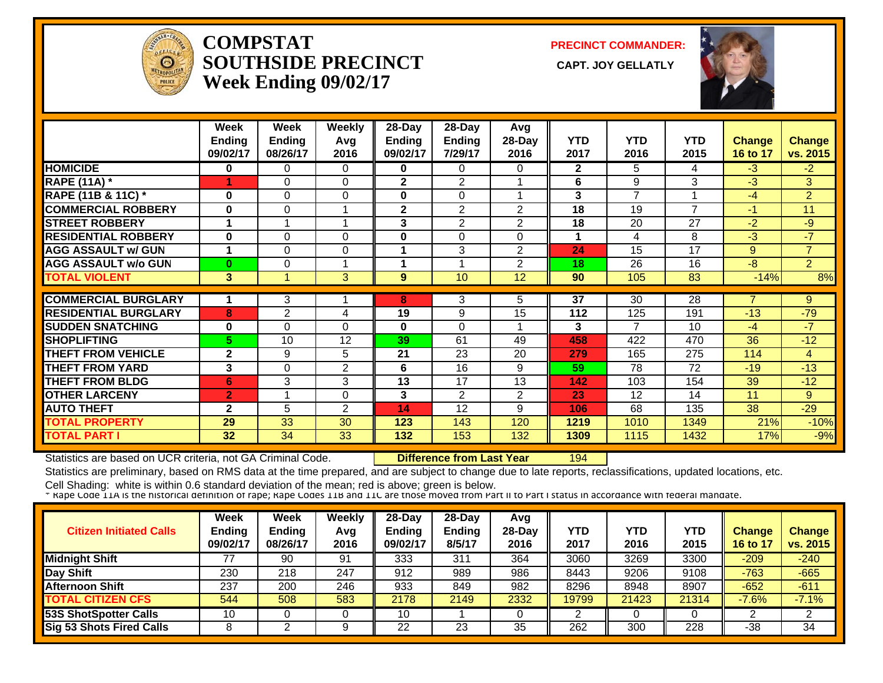

#### **COMPSTATSOUTHSIDE PRECINCT** CAPT. JOY GELLATLY **Week Ending 09/02/17**

**PRECINCT COMMANDER:**



|                             | Week<br><b>Ending</b><br>09/02/17 | Week<br><b>Ending</b><br>08/26/17 | <b>Weekly</b><br>Avg<br>2016 | 28-Day<br><b>Ending</b><br>09/02/17 | 28-Day<br><b>Ending</b><br>7/29/17 | Avg<br>28-Day<br>2016 | <b>YTD</b><br>2017 | <b>YTD</b><br>2016 | <b>YTD</b><br>2015 | <b>Change</b><br>16 to 17 | Change<br>vs. 2015 |
|-----------------------------|-----------------------------------|-----------------------------------|------------------------------|-------------------------------------|------------------------------------|-----------------------|--------------------|--------------------|--------------------|---------------------------|--------------------|
| <b>HOMICIDE</b>             | $\bf{0}$                          | $\mathbf{0}$                      | 0                            | 0                                   | $\mathbf{0}$                       | 0                     | $\mathbf{2}$       | 5.                 | 4                  | $-3$                      | $-2$               |
| <b>RAPE (11A)</b> *         |                                   | $\Omega$                          | $\Omega$                     | $\mathbf{2}$                        | 2                                  | 1                     | 6                  | 9                  | 3                  | $-3$                      | 3                  |
| RAPE (11B & 11C) *          | $\bf{0}$                          | $\Omega$                          | $\Omega$                     | $\bf{0}$                            | $\Omega$                           |                       | 3                  | $\overline{7}$     |                    | $-4$                      | $\overline{2}$     |
| <b>COMMERCIAL ROBBERY</b>   | $\bf{0}$                          | $\Omega$                          |                              | $\mathbf{2}$                        | 2                                  | $\overline{2}$        | 18                 | 19                 | $\overline{ }$     | -1                        | 11                 |
| <b>STREET ROBBERY</b>       |                                   |                                   |                              | 3                                   | $\overline{2}$                     | $\overline{2}$        | 18                 | 20                 | 27                 | $-2$                      | $-9$               |
| <b>RESIDENTIAL ROBBERY</b>  | $\bf{0}$                          | 0                                 | $\Omega$                     | 0                                   | 0                                  | 0                     |                    | 4                  | 8                  | $-3$                      | $-7$               |
| <b>AGG ASSAULT w/ GUN</b>   | 1                                 | $\Omega$                          | $\Omega$                     | 1                                   | 3                                  | $\overline{2}$        | 24                 | 15                 | 17                 | 9                         | $\overline{7}$     |
| <b>AGG ASSAULT w/o GUN</b>  | $\bf{0}$                          | 0                                 |                              | 1                                   |                                    | $\overline{2}$        | 18                 | 26                 | 16                 | -8                        | $\overline{2}$     |
| <b>TOTAL VIOLENT</b>        | 3                                 |                                   | 3                            | 9                                   | 10                                 | 12                    | 90                 | 105                | 83                 | $-14%$                    | 8%                 |
| <b>COMMERCIAL BURGLARY</b>  |                                   | 3                                 |                              | 8                                   | 3                                  | 5                     | 37                 | 30                 | 28                 |                           | 9                  |
| <b>RESIDENTIAL BURGLARY</b> | 8                                 | $\overline{2}$                    | 4                            | 19                                  | 9                                  | 15                    | 112                | 125                | 191                | $-13$                     | $-79$              |
| <b>SUDDEN SNATCHING</b>     | $\bf{0}$                          | $\Omega$                          | $\Omega$                     | 0                                   | $\Omega$                           | 4                     | 3                  | $\overline{7}$     | 10                 | $-4$                      | $-7$               |
| <b>SHOPLIFTING</b>          | 5.                                | 10                                | 12                           | 39                                  | 61                                 | 49                    | 458                | 422                | 470                | 36                        | $-12$              |
| <b>THEFT FROM VEHICLE</b>   | $\mathbf{2}$                      | 9                                 | 5                            | 21                                  | 23                                 | 20                    | 279                | 165                | 275                | 114                       | $\overline{4}$     |
| THEFT FROM YARD             | 3                                 | $\Omega$                          | 2                            | 6                                   | 16                                 | 9                     | 59                 | 78                 | 72                 | $-19$                     | $-13$              |
| <b>THEFT FROM BLDG</b>      | 6                                 | 3                                 | 3                            | 13                                  | 17                                 | 13                    | 142                | 103                | 154                | 39                        | $-12$              |
| <b>OTHER LARCENY</b>        | $\overline{2}$                    |                                   | $\Omega$                     | 3                                   | 2                                  | 2                     | 23                 | 12                 | 14                 | 11                        | 9                  |
| <b>AUTO THEFT</b>           | $\mathbf{2}$                      | 5                                 | 2                            | 14                                  | 12                                 | 9                     | 106                | 68                 | 135                | 38                        | $-29$              |
| <b>TOTAL PROPERTY</b>       | 29                                | 33                                | 30                           | 123                                 | 143                                | 120                   | 1219               | 1010               | 1349               | 21%                       | $-10%$             |
| <b>TOTAL PART I</b>         | 32                                | 34                                | 33                           | 132                                 | 153                                | 132                   | 1309               | 1115               | 1432               | 17%                       | $-9%$              |

Statistics are based on UCR criteria, not GA Criminal Code. **Difference from Last Year** 194

Statistics are preliminary, based on RMS data at the time prepared, and are subject to change due to late reports, reclassifications, updated locations, etc.

| <b>Citizen Initiated Calls</b>  | Week<br><b>Ending</b><br>09/02/17 | <b>Week</b><br><b>Ending</b><br>08/26/17 | Weekly<br>Avg<br>2016 | 28-Day<br>Ending<br>09/02/17 | $28$ -Day<br><b>Ending</b><br>8/5/17 | Avg<br>$28-Day$<br>2016 | YTD<br>2017 | YTD<br>2016 | <b>YTD</b><br>2015 | <b>Change</b><br>16 to 17 | <b>Change</b><br>vs. 2015 |
|---------------------------------|-----------------------------------|------------------------------------------|-----------------------|------------------------------|--------------------------------------|-------------------------|-------------|-------------|--------------------|---------------------------|---------------------------|
| <b>Midnight Shift</b>           | 77                                | 90                                       | 91                    | 333                          | 311                                  | 364                     | 3060        | 3269        | 3300               | $-209$                    | $-240$                    |
| Day Shift                       | 230                               | 218                                      | 247                   | 912                          | 989                                  | 986                     | 8443        | 9206        | 9108               | $-763$                    | $-665$                    |
| <b>Afternoon Shift</b>          | 237                               | 200                                      | 246                   | 933                          | 849                                  | 982                     | 8296        | 8948        | 8907               | $-652$                    | $-611$                    |
| <b>TOTAL CITIZEN CFS</b>        | 544                               | 508                                      | 583                   | 2178                         | 2149                                 | 2332                    | 19799       | 21423       | 21314              | $-7.6%$                   | $-7.1%$                   |
| <b>53S ShotSpotter Calls</b>    | 10                                |                                          |                       | 10                           |                                      |                         |             |             |                    |                           | ົ                         |
| <b>Sig 53 Shots Fired Calls</b> |                                   |                                          |                       | 22                           | 23                                   | 35                      | 262         | 300         | 228                | $-38$                     | 34                        |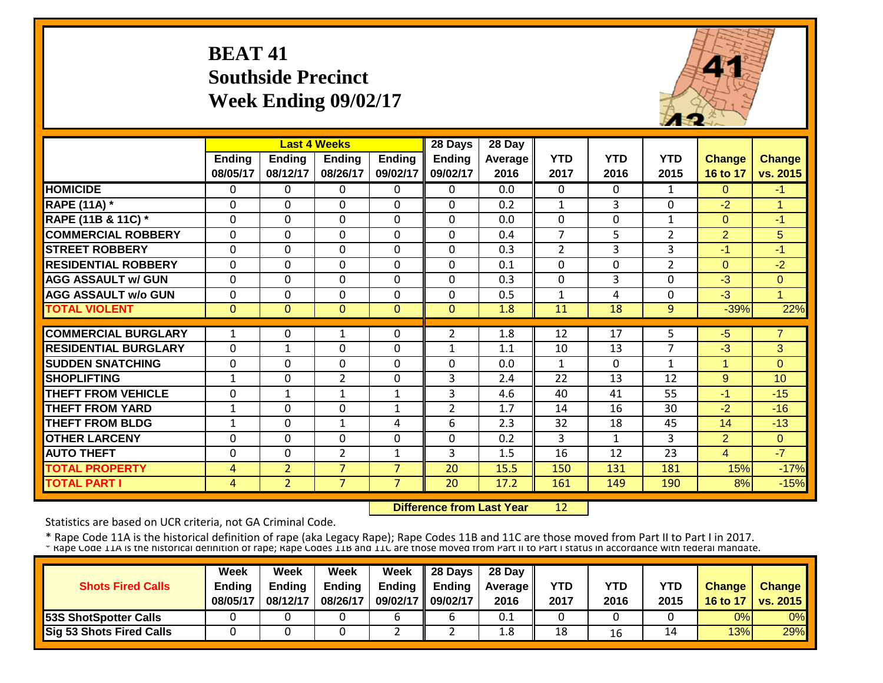### **BEAT 41 Southside Precinct Week Ending 09/02/17**



|                             |               |                | <b>Last 4 Weeks</b> |                | 28 Days        | 28 Day  |                |                |                |                |                      |
|-----------------------------|---------------|----------------|---------------------|----------------|----------------|---------|----------------|----------------|----------------|----------------|----------------------|
|                             | <b>Ending</b> | <b>Ending</b>  | <b>Ending</b>       | <b>Ending</b>  | <b>Ending</b>  | Average | <b>YTD</b>     | <b>YTD</b>     | <b>YTD</b>     | <b>Change</b>  | <b>Change</b>        |
|                             | 08/05/17      | 08/12/17       | 08/26/17            | 09/02/17       | 09/02/17       | 2016    | 2017           | 2016           | 2015           | 16 to 17       | vs. 2015             |
| <b>HOMICIDE</b>             | $\Omega$      | 0              | 0                   | 0              | 0              | 0.0     | $\Omega$       | $\mathbf{0}$   | 1              | $\Omega$       | $-1$                 |
| <b>RAPE (11A)</b> *         | $\Omega$      | 0              | $\Omega$            | $\Omega$       | $\Omega$       | 0.2     | $\mathbf{1}$   | 3              | $\Omega$       | $-2$           | 4                    |
| RAPE (11B & 11C) *          | $\mathbf{0}$  | 0              | $\mathbf 0$         | $\Omega$       | $\Omega$       | 0.0     | $\mathbf 0$    | $\Omega$       | $\mathbf{1}$   | $\Omega$       | $-1$                 |
| <b>COMMERCIAL ROBBERY</b>   | $\Omega$      | 0              | $\mathbf 0$         | $\Omega$       | $\mathbf 0$    | 0.4     | $\overline{7}$ | 5 <sup>1</sup> | $\overline{2}$ | $\overline{2}$ | 5                    |
| <b>STREET ROBBERY</b>       | $\Omega$      | 0              | $\Omega$            | 0              | $\Omega$       | 0.3     | $\overline{2}$ | 3              | 3              | $-1$           | -1                   |
| <b>RESIDENTIAL ROBBERY</b>  | $\Omega$      | 0              | $\Omega$            | $\Omega$       | $\Omega$       | 0.1     | $\Omega$       | $\Omega$       | $\overline{2}$ | $\Omega$       | $-2$                 |
| <b>AGG ASSAULT w/ GUN</b>   | $\Omega$      | 0              | 0                   | $\Omega$       | 0              | 0.3     | $\mathbf 0$    | 3              | $\Omega$       | $-3$           | $\mathbf{0}$         |
| <b>AGG ASSAULT w/o GUN</b>  | $\Omega$      | 0              | 0                   | $\Omega$       | $\Omega$       | 0.5     | $\mathbf{1}$   | 4              | $\Omega$       | $-3$           | $\blacktriangleleft$ |
| <b>TOTAL VIOLENT</b>        | $\mathbf{0}$  | $\Omega$       | $\overline{0}$      | $\Omega$       | $\Omega$       | 1.8     | 11             | 18             | 9              | $-39%$         | 22%                  |
|                             |               |                |                     |                |                |         |                |                |                |                |                      |
| <b>COMMERCIAL BURGLARY</b>  | 1             | 0              | 1                   | 0              | 2              | 1.8     | 12             | 17             | 5.             | $-5$           | $\overline{7}$       |
| <b>RESIDENTIAL BURGLARY</b> | $\Omega$      | 1              | 0                   | $\Omega$       | 1              | 1.1     | 10             | 13             | $\overline{7}$ | $-3$           | 3                    |
| <b>SUDDEN SNATCHING</b>     | $\Omega$      | $\Omega$       | $\Omega$            | $\Omega$       | $\Omega$       | 0.0     | 1              | $\Omega$       | $\mathbf{1}$   | 1              | $\Omega$             |
| <b>SHOPLIFTING</b>          | 1             | 0              | $\overline{2}$      | $\Omega$       | 3              | 2.4     | 22             | 13             | 12             | 9 <sup>°</sup> | 10                   |
| <b>THEFT FROM VEHICLE</b>   | $\Omega$      | 1              | 1                   | 1              | 3              | 4.6     | 40             | 41             | 55             | $-1$           | $-15$                |
| <b>THEFT FROM YARD</b>      | 1             | 0              | $\overline{0}$      | 1              | $\overline{2}$ | 1.7     | 14             | 16             | 30             | $-2$           | $-16$                |
| <b>THEFT FROM BLDG</b>      | $\mathbf{1}$  | 0              | 1                   | 4              | 6              | 2.3     | 32             | 18             | 45             | 14             | $-13$                |
| <b>OTHER LARCENY</b>        | $\Omega$      | 0              | $\Omega$            | $\Omega$       | $\Omega$       | 0.2     | 3              | 1              | 3              | $\overline{2}$ | $\Omega$             |
| <b>AUTO THEFT</b>           | $\Omega$      | 0              | $\overline{2}$      | 1              | 3              | 1.5     | 16             | 12             | 23             | $\overline{4}$ | $-7$                 |
| <b>TOTAL PROPERTY</b>       | 4             | $\overline{2}$ | $\overline{7}$      | $\overline{7}$ | 20             | 15.5    | 150            | 131            | 181            | 15%            | $-17%$               |
| <b>TOTAL PART I</b>         | 4             | $\overline{2}$ | $\overline{7}$      | $\overline{7}$ | 20             | 17.2    | 161            | 149            | 190            | 8%             | $-15%$               |

 **Difference from Last Year**12

Statistics are based on UCR criteria, not GA Criminal Code.

|                                 | Week          | Week          | Week          | <b>Week</b>          | $\parallel$ 28 Days       | 28 Day            |      |      |      |               |                 |
|---------------------------------|---------------|---------------|---------------|----------------------|---------------------------|-------------------|------|------|------|---------------|-----------------|
| <b>Shots Fired Calls</b>        | <b>Endina</b> | <b>Ending</b> | <b>Ending</b> |                      | Ending $\parallel$ Ending | <b>Average</b> II | YTD  | YTD  | YTD  | <b>Change</b> | <b>Change</b>   |
|                                 | 08/05/17      | 08/12/17      | 08/26/17      | 09/02/17    09/02/17 |                           | 2016              | 2017 | 2016 | 2015 | 16 to 17      | <b>vs. 2015</b> |
| <b>53S ShotSpotter Calls</b>    |               |               |               |                      |                           | 0.1               |      |      |      | 0%            | 0%              |
| <b>Sig 53 Shots Fired Calls</b> |               |               |               |                      |                           | 1.8               | 18   | 16   | 14   | 13%           | 29%             |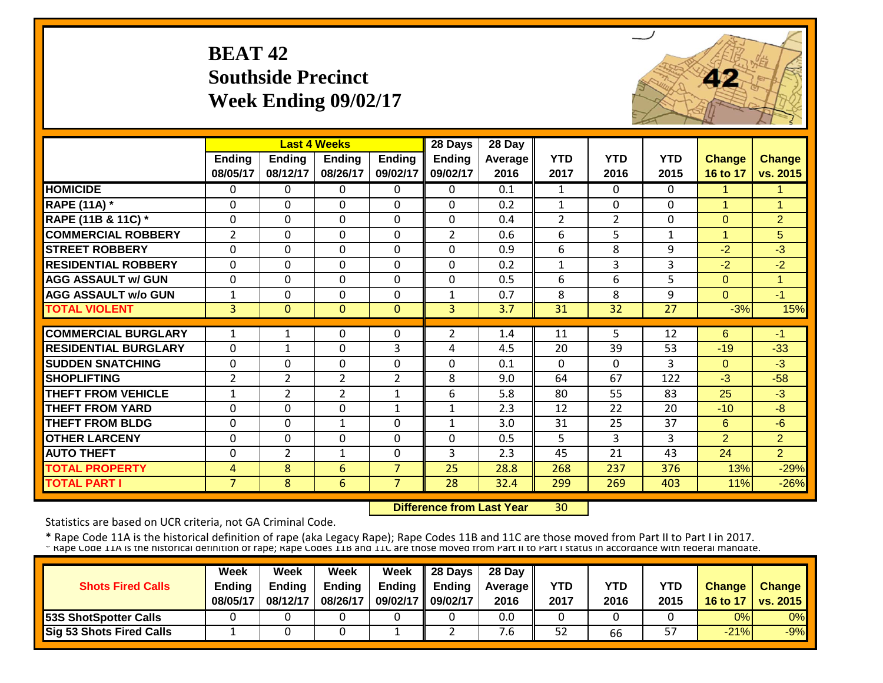#### **BEAT 42Southside Precinct Week Ending 09/02/17**



|                             |                |                | <b>Last 4 Weeks</b> |                | 28 Days        | 28 Day  |                |                |              |                      |                |
|-----------------------------|----------------|----------------|---------------------|----------------|----------------|---------|----------------|----------------|--------------|----------------------|----------------|
|                             | Ending         | <b>Ending</b>  | <b>Ending</b>       | <b>Ending</b>  | <b>Ending</b>  | Average | <b>YTD</b>     | <b>YTD</b>     | <b>YTD</b>   | <b>Change</b>        | <b>Change</b>  |
|                             | 08/05/17       | 08/12/17       | 08/26/17            | 09/02/17       | 09/02/17       | 2016    | 2017           | 2016           | 2015         | 16 to 17             | vs. 2015       |
| <b>HOMICIDE</b>             | $\Omega$       | 0              | $\Omega$            | $\Omega$       | 0              | 0.1     | $\mathbf{1}$   | $\Omega$       | 0            | 4                    | $\mathbf{1}$   |
| <b>RAPE (11A) *</b>         | $\Omega$       | 0              | $\Omega$            | $\Omega$       | $\Omega$       | 0.2     | $\mathbf{1}$   | $\Omega$       | $\Omega$     | $\blacktriangleleft$ | $\overline{1}$ |
| RAPE (11B & 11C) *          | $\mathbf 0$    | 0              | 0                   | $\mathbf 0$    | 0              | 0.4     | $\overline{2}$ | $\overline{2}$ | $\mathbf{0}$ | $\Omega$             | $\overline{2}$ |
| <b>COMMERCIAL ROBBERY</b>   | $\overline{2}$ | 0              | $\mathbf 0$         | $\mathbf 0$    | $\overline{2}$ | 0.6     | 6              | 5              | $\mathbf{1}$ | $\overline{1}$       | 5              |
| <b>STREET ROBBERY</b>       | $\mathbf{0}$   | 0              | $\Omega$            | $\Omega$       | 0              | 0.9     | 6              | 8              | 9            | $-2$                 | $-3$           |
| <b>RESIDENTIAL ROBBERY</b>  | $\Omega$       | 0              | $\Omega$            | $\Omega$       | $\Omega$       | 0.2     | $\mathbf{1}$   | 3              | 3            | $-2$                 | $-2$           |
| <b>AGG ASSAULT w/ GUN</b>   | $\Omega$       | 0              | $\Omega$            | $\Omega$       | $\Omega$       | 0.5     | 6              | 6              | 5            | $\Omega$             | 1              |
| <b>AGG ASSAULT w/o GUN</b>  | $\mathbf{1}$   | 0              | $\Omega$            | $\mathbf 0$    | $\mathbf{1}$   | 0.7     | 8              | 8              | 9            | $\Omega$             | $-1$           |
| <b>TOTAL VIOLENT</b>        | 3              | $\overline{0}$ | $\overline{0}$      | $\mathbf{0}$   | $\overline{3}$ | 3.7     | 31             | 32             | 27           | $-3%$                | 15%            |
|                             |                |                |                     |                |                |         |                |                |              |                      |                |
| <b>COMMERCIAL BURGLARY</b>  | $\mathbf{1}$   | $\mathbf{1}$   | 0                   | $\Omega$       | 2              | 1.4     | 11             | 5.             | 12           | 6                    | -1             |
| <b>RESIDENTIAL BURGLARY</b> | $\Omega$       | 1              | $\Omega$            | 3              | 4              | 4.5     | 20             | 39             | 53           | $-19$                | $-33$          |
| <b>SUDDEN SNATCHING</b>     | $\mathbf 0$    | 0              | $\Omega$            | $\mathbf 0$    | 0              | 0.1     | $\Omega$       | $\Omega$       | 3            | $\mathbf{0}$         | $-3$           |
| <b>SHOPLIFTING</b>          | $\overline{2}$ | $\overline{2}$ | $\overline{2}$      | $\overline{2}$ | 8              | 9.0     | 64             | 67             | 122          | $-3$                 | $-58$          |
| <b>THEFT FROM VEHICLE</b>   | $\mathbf{1}$   | $\overline{2}$ | $\overline{2}$      | $\mathbf{1}$   | 6              | 5.8     | 80             | 55             | 83           | 25                   | $-3$           |
| <b>THEFT FROM YARD</b>      | $\mathbf{0}$   | 0              | 0                   | $\mathbf{1}$   | $\mathbf{1}$   | 2.3     | 12             | 22             | 20           | $-10$                | $-8$           |
| <b>THEFT FROM BLDG</b>      | $\mathbf{0}$   | 0              | $\mathbf 1$         | 0              | 1              | 3.0     | 31             | 25             | 37           | 6                    | $-6$           |
| <b>OTHER LARCENY</b>        | $\Omega$       | 0              | 0                   | 0              | 0              | 0.5     | 5              | 3              | 3            | $\overline{2}$       | $\overline{2}$ |
| <b>AUTO THEFT</b>           | $\Omega$       | $\overline{2}$ | $\mathbf{1}$        | 0              | 3              | 2.3     | 45             | 21             | 43           | 24                   | $\overline{2}$ |
| <b>TOTAL PROPERTY</b>       | 4              | 8              | 6                   | $\overline{7}$ | 25             | 28.8    | 268            | 237            | 376          | 13%                  | $-29%$         |
| <b>TOTAL PART I</b>         | $\overline{7}$ | 8              | $6\phantom{1}$      | $\overline{7}$ | 28             | 32.4    | 299            | 269            | 403          | 11%                  | $-26%$         |

 **Difference from Last Year**30

Statistics are based on UCR criteria, not GA Criminal Code.

|                                 | Week          | Week          | Week          | <b>Week</b>          | $\parallel$ 28 Days       | 28 Day            |      |      |      |               |                 |
|---------------------------------|---------------|---------------|---------------|----------------------|---------------------------|-------------------|------|------|------|---------------|-----------------|
| <b>Shots Fired Calls</b>        | <b>Endina</b> | <b>Ending</b> | <b>Ending</b> |                      | Ending $\parallel$ Ending | <b>Average</b> II | YTD  | YTD  | YTD  | <b>Change</b> | <b>Change</b>   |
|                                 | 08/05/17      | 08/12/17      | 08/26/17      | 09/02/17    09/02/17 |                           | 2016              | 2017 | 2016 | 2015 | 16 to 17      | <b>vs. 2015</b> |
| <b>53S ShotSpotter Calls</b>    |               |               |               |                      |                           | 0.0               |      |      |      | 0%            | 0%              |
| <b>Sig 53 Shots Fired Calls</b> |               |               |               |                      |                           | .b                | 52   | 66   | 57   | $-21%$        | $-9%$           |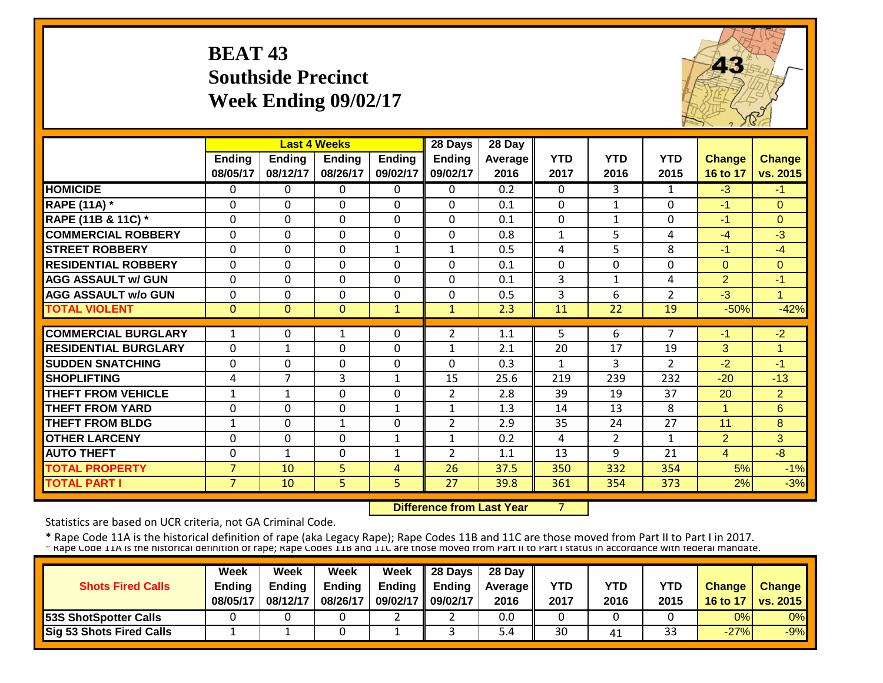#### **BEAT 43 Southside Precinct Week Ending 09/02/17**



|                             |                |                | <b>Last 4 Weeks</b> |               | 28 Days         | 28 Day  |                |                |                |                      |                |
|-----------------------------|----------------|----------------|---------------------|---------------|-----------------|---------|----------------|----------------|----------------|----------------------|----------------|
|                             | Ending         | <b>Ending</b>  | <b>Ending</b>       | <b>Ending</b> | <b>Ending</b>   | Average | <b>YTD</b>     | <b>YTD</b>     | <b>YTD</b>     | <b>Change</b>        | <b>Change</b>  |
|                             | 08/05/17       | 08/12/17       | 08/26/17            | 09/02/17      | 09/02/17        | 2016    | 2017           | 2016           | 2015           | 16 to 17             | vs. 2015       |
| <b>HOMICIDE</b>             | $\Omega$       | 0              | $\Omega$            | 0             | 0               | 0.2     | $\Omega$       | 3              | 1              | $-3$                 | $-1$           |
| <b>RAPE (11A) *</b>         | $\Omega$       | 0              | $\mathbf{0}$        | $\Omega$      | $\Omega$        | 0.1     | $\Omega$       | 1              | 0              | $-1$                 | $\Omega$       |
| RAPE (11B & 11C) *          | $\mathbf{0}$   | 0              | $\mathbf 0$         | $\Omega$      | 0               | 0.1     | $\Omega$       | $\mathbf{1}$   | 0              | $-1$                 | $\Omega$       |
| <b>COMMERCIAL ROBBERY</b>   | $\Omega$       | 0              | $\mathbf 0$         | $\Omega$      | 0               | 0.8     | $\mathbf{1}$   | 5 <sup>1</sup> | 4              | $-4$                 | $-3$           |
| <b>STREET ROBBERY</b>       | $\mathbf{0}$   | 0              | $\mathbf 0$         | $\mathbf{1}$  | $\mathbf{1}$    | 0.5     | 4              | 5              | 8              | $-1$                 | $-4$           |
| <b>RESIDENTIAL ROBBERY</b>  | $\Omega$       | 0              | 0                   | 0             | $\Omega$        | 0.1     | $\mathbf 0$    | $\Omega$       | 0              | $\Omega$             | $\Omega$       |
| <b>AGG ASSAULT w/ GUN</b>   | $\Omega$       | 0              | 0                   | $\Omega$      | $\Omega$        | 0.1     | 3              | 1              | 4              | $\overline{2}$       | $-1$           |
| <b>AGG ASSAULT w/o GUN</b>  | $\Omega$       | 0              | $\Omega$            | $\Omega$      | $\Omega$        | 0.5     | $\overline{3}$ | 6              | $\overline{2}$ | $-3$                 | $\blacksquare$ |
| <b>TOTAL VIOLENT</b>        | $\mathbf{0}$   | $\overline{0}$ | $\Omega$            | $\mathbf{1}$  | $\mathbf{1}$    | 2.3     | 11             | 22             | 19             | $-50%$               | $-42%$         |
|                             |                |                |                     |               |                 |         |                |                |                |                      |                |
| <b>COMMERCIAL BURGLARY</b>  | 1              | 0              | 1                   | 0             | 2               | 1.1     | 5              | 6              | 7              | $-1$                 | $-2$           |
| <b>RESIDENTIAL BURGLARY</b> | $\Omega$       | $\mathbf{1}$   | $\mathbf{0}$        | 0             | $\mathbf{1}$    | 2.1     | 20             | 17             | 19             | 3                    | 1              |
| <b>SUDDEN SNATCHING</b>     | $\mathbf{0}$   | 0              | $\mathbf 0$         | $\Omega$      | $\Omega$        | 0.3     | 1              | 3              | $\overline{2}$ | $-2$                 | $-1$           |
| <b>SHOPLIFTING</b>          | 4              | 7              | 3                   | 1             | 15              | 25.6    | 219            | 239            | 232            | $-20$                | $-13$          |
| <b>THEFT FROM VEHICLE</b>   | $\mathbf{1}$   | $\mathbf{1}$   | 0                   | $\Omega$      | $\overline{2}$  | 2.8     | 39             | 19             | 37             | 20                   | $\overline{2}$ |
| <b>THEFT FROM YARD</b>      | $\Omega$       | 0              | $\Omega$            | 1             | $\mathbf{1}$    | 1.3     | 14             | 13             | 8              | $\blacktriangleleft$ | 6              |
| <b>THEFT FROM BLDG</b>      | 1              | 0              | $\mathbf{1}$        | 0             | $\overline{2}$  | 2.9     | 35             | 24             | 27             | 11                   | 8              |
| <b>OTHER LARCENY</b>        | $\Omega$       | 0              | $\mathbf{0}$        | $\mathbf{1}$  | $\mathbf{1}$    | 0.2     | 4              | $\overline{2}$ | $\mathbf{1}$   | $\overline{2}$       | 3              |
| <b>AUTO THEFT</b>           | $\mathbf 0$    | 1              | $\mathbf 0$         | $\mathbf{1}$  | $\overline{2}$  | 1.1     | 13             | 9              | 21             | $\overline{4}$       | $-8$           |
| <b>TOTAL PROPERTY</b>       | $\overline{7}$ | 10             | 5 <sup>1</sup>      | 4             | 26              | 37.5    | 350            | 332            | 354            | 5%                   | $-1%$          |
| <b>TOTAL PART I</b>         | $\overline{7}$ | 10             | 5 <sup>1</sup>      | 5             | $\overline{27}$ | 39.8    | 361            | 354            | 373            | 2%                   | $-3%$          |

 **Difference from Last Year**

7

Statistics are based on UCR criteria, not GA Criminal Code.

|                                 | Week          | Week     | Week          | Week     | 28 Days       | 28 Day            |      |            |            |               |                 |
|---------------------------------|---------------|----------|---------------|----------|---------------|-------------------|------|------------|------------|---------------|-----------------|
| <b>Shots Fired Calls</b>        | <b>Ending</b> | Endina   | <b>Ending</b> | Ending   | <b>Ending</b> | <b>Average II</b> | YTD  | <b>YTD</b> | <b>YTD</b> | <b>Change</b> | Change          |
|                                 | 08/05/17      | 08/12/17 | 08/26/17      | 09/02/17 | 09/02/17      | 2016              | 2017 | 2016       | 2015       | 16 to 17      | <b>VS. 2015</b> |
| <b>153S ShotSpotter Calls</b>   |               |          |               |          |               | 0.0               |      |            |            | 0%            | 0%              |
| <b>Sig 53 Shots Fired Calls</b> |               |          | ີ             |          |               | .4د               | 30   | 41         | 33         | $-27%$        | $-9%$           |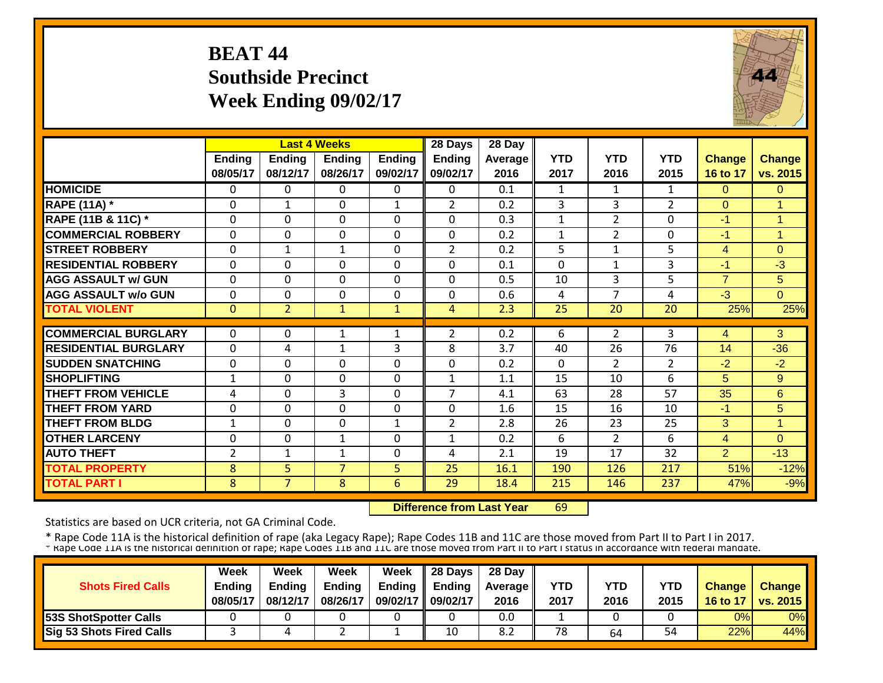### **BEAT 44 Southside Precinct Week Ending 09/02/17**



|                             |                    | <b>Last 4 Weeks</b>       |                           |                           | 28 Days                   | 28 Day          |                    |                       |                    |                           |                           |
|-----------------------------|--------------------|---------------------------|---------------------------|---------------------------|---------------------------|-----------------|--------------------|-----------------------|--------------------|---------------------------|---------------------------|
|                             | Ending<br>08/05/17 | <b>Ending</b><br>08/12/17 | <b>Ending</b><br>08/26/17 | <b>Ending</b><br>09/02/17 | <b>Ending</b><br>09/02/17 | Average<br>2016 | <b>YTD</b><br>2017 | <b>YTD</b><br>2016    | <b>YTD</b><br>2015 | <b>Change</b><br>16 to 17 | <b>Change</b><br>vs. 2015 |
| <b>HOMICIDE</b>             | $\Omega$           | 0                         | $\Omega$                  | $\Omega$                  | $\Omega$                  | 0.1             | 1                  | $\mathbf{1}$          | $\mathbf{1}$       | $\mathbf{0}$              | $\Omega$                  |
| <b>RAPE (11A)</b> *         | $\mathbf 0$        | $\mathbf{1}$              | 0                         | $\mathbf{1}$              | $\overline{2}$            | 0.2             | 3                  | 3                     | $\overline{2}$     | $\Omega$                  | $\overline{1}$            |
| RAPE (11B & 11C) *          | $\Omega$           | $\Omega$                  | $\Omega$                  | $\Omega$                  | $\Omega$                  | 0.3             | $\mathbf{1}$       | $\overline{2}$        | $\Omega$           | $-1$                      | $\overline{1}$            |
| <b>COMMERCIAL ROBBERY</b>   | $\Omega$           | 0                         | $\Omega$                  | $\Omega$                  | 0                         | 0.2             | $\mathbf{1}$       | $\overline{2}$        | 0                  | $-1$                      | $\overline{1}$            |
| <b>STREET ROBBERY</b>       | $\mathbf 0$        | $\mathbf{1}$              | $\mathbf{1}$              | $\Omega$                  | $\overline{2}$            | 0.2             | 5                  | $\mathbf{1}$          | 5                  | $\overline{4}$            | $\Omega$                  |
| <b>RESIDENTIAL ROBBERY</b>  | $\mathbf{0}$       | 0                         | $\Omega$                  | $\mathbf 0$               | 0                         | 0.1             | $\mathbf 0$        | $\mathbf{1}$          | 3                  | $-1$                      | $-3$                      |
| <b>AGG ASSAULT w/ GUN</b>   | $\Omega$           | 0                         | $\Omega$                  | $\Omega$                  | $\Omega$                  | 0.5             | 10                 | 3                     | 5                  | $\overline{7}$            | $5\phantom{.}$            |
| <b>AGG ASSAULT w/o GUN</b>  | $\Omega$           | 0                         | $\Omega$                  | 0                         | $\Omega$                  | 0.6             | 4                  | 7                     | 4                  | $-3$                      | $\Omega$                  |
| <b>TOTAL VIOLENT</b>        | $\Omega$           | 2                         | 1                         | $\mathbf{1}$              | 4                         | 2.3             | 25                 | 20                    | 20                 | 25%                       | 25%                       |
| <b>COMMERCIAL BURGLARY</b>  | $\Omega$           | 0                         | 1                         | 1                         | $\overline{2}$            | 0.2             | 6                  | $\mathbf{2}^{\prime}$ | 3                  |                           | 3                         |
| <b>RESIDENTIAL BURGLARY</b> |                    |                           |                           |                           |                           |                 |                    | 26                    | 76                 | 4                         |                           |
|                             | $\Omega$           | 4                         | 1                         | 3                         | 8                         | 3.7             | 40                 |                       |                    | 14                        | $-36$                     |
| <b>SUDDEN SNATCHING</b>     | 0                  | 0                         | $\Omega$                  | 0                         | 0                         | 0.2             | $\Omega$           | $\overline{2}$        | $\overline{2}$     | $-2$                      | $-2$                      |
| <b>SHOPLIFTING</b>          | 1                  | 0                         | $\Omega$                  | 0                         | $\mathbf{1}$              | 1.1             | 15                 | 10                    | 6                  | 5                         | 9                         |
| <b>THEFT FROM VEHICLE</b>   | 4                  | 0                         | 3                         | $\Omega$                  | 7                         | 4.1             | 63                 | 28                    | 57                 | 35                        | 6                         |
| <b>THEFT FROM YARD</b>      | $\Omega$           | 0                         | $\Omega$                  | 0                         | $\mathbf 0$               | 1.6             | 15                 | 16                    | 10                 | $-1$                      | 5                         |
| <b>THEFT FROM BLDG</b>      | 1                  | 0                         | $\Omega$                  | 1                         | $\overline{2}$            | 2.8             | 26                 | 23                    | 25                 | 3                         | 1                         |
| <b>OTHER LARCENY</b>        | $\Omega$           | 0                         | 1                         | $\Omega$                  | $\mathbf{1}$              | 0.2             | 6                  | $\overline{2}$        | 6                  | 4                         | $\Omega$                  |
| <b>AUTO THEFT</b>           | 2                  | $\mathbf{1}$              | 1                         | 0                         | 4                         | 2.1             | 19                 | 17                    | 32                 | $\overline{2}$            | $-13$                     |
| <b>TOTAL PROPERTY</b>       | 8                  | 5                         | $\overline{7}$            | 5                         | 25                        | 16.1            | 190                | 126                   | 217                | 51%                       | $-12%$                    |
| <b>TOTAL PART I</b>         | 8                  | $\overline{7}$            | 8                         | 6                         | 29                        | 18.4            | 215                | 146                   | 237                | 47%                       | $-9%$                     |

 **Difference from Last Year**69

Statistics are based on UCR criteria, not GA Criminal Code.

|                                 | Week          | Week          | Week     | Week              | $\parallel$ 28 Days       | 28 Day            |            |      |      |               |                 |
|---------------------------------|---------------|---------------|----------|-------------------|---------------------------|-------------------|------------|------|------|---------------|-----------------|
| <b>Shots Fired Calls</b>        | <b>Endina</b> | <b>Ending</b> | Ending   |                   | Ending $\parallel$ Ending | <b>Average</b> II | <b>YTD</b> | YTD  | YTD  | <b>Change</b> | <b>Change</b>   |
|                                 | 08/05/17      | 08/12/17      | 08/26/17 | 09/02/17 09/02/17 |                           | 2016              | 2017       | 2016 | 2015 | 16 to 17      | <b>vs. 2015</b> |
| <b>53S ShotSpotter Calls</b>    |               |               |          |                   |                           | 0.0               |            |      |      | 0%            | 0%              |
| <b>Sig 53 Shots Fired Calls</b> |               |               |          |                   | 10                        | 8.2               | 78         | 64   | 54   | 22%           | 44%             |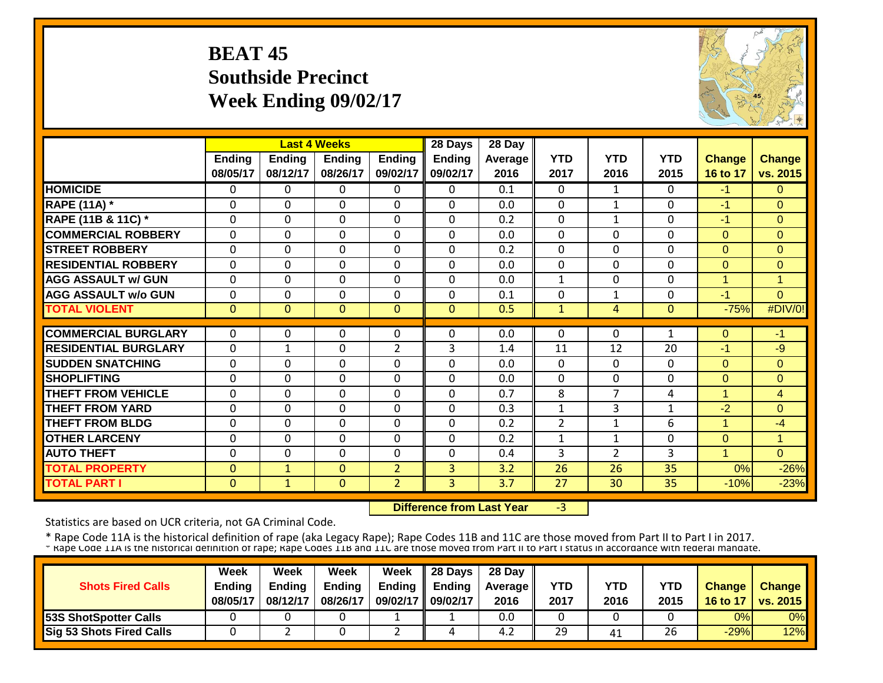# **BEAT 45 Southside Precinct Week Ending 09/02/17**



|                             |                    |                           | <b>Last 4 Weeks</b>       |                    | 28 Days                   | 28 Day                 |                    |                            |                    |                           |                           |
|-----------------------------|--------------------|---------------------------|---------------------------|--------------------|---------------------------|------------------------|--------------------|----------------------------|--------------------|---------------------------|---------------------------|
|                             | Ending<br>08/05/17 | <b>Ending</b><br>08/12/17 | <b>Ending</b><br>08/26/17 | Ending<br>09/02/17 | <b>Ending</b><br>09/02/17 | <b>Average</b><br>2016 | <b>YTD</b><br>2017 | <b>YTD</b><br>2016         | <b>YTD</b><br>2015 | <b>Change</b><br>16 to 17 | <b>Change</b><br>vs. 2015 |
| <b>HOMICIDE</b>             | $\mathbf{0}$       | 0                         | $\Omega$                  | $\Omega$           | $\Omega$                  | 0.1                    | $\mathbf{0}$       | $\mathbf{1}$               | 0                  | $-1$                      | $\Omega$                  |
| <b>RAPE (11A) *</b>         | $\mathbf 0$        | 0                         | $\mathbf 0$               | $\mathbf 0$        | $\mathbf{0}$              | 0.0                    | $\mathbf 0$        | $\mathbf{1}$               | 0                  | $-1$                      | $\Omega$                  |
| RAPE (11B & 11C) *          | $\mathbf 0$        | $\Omega$                  | $\Omega$                  | $\Omega$           | $\Omega$                  | 0.2                    | $\mathbf 0$        | $\mathbf{1}$               | $\Omega$           | $-1$                      | $\Omega$                  |
| <b>COMMERCIAL ROBBERY</b>   | $\Omega$           | $\Omega$                  | $\Omega$                  | $\Omega$           | $\mathbf 0$               | 0.0                    | $\Omega$           | $\Omega$                   | $\Omega$           | $\Omega$                  | $\Omega$                  |
| <b>STREET ROBBERY</b>       | $\mathbf 0$        | 0                         | $\mathbf 0$               | $\Omega$           | $\mathbf 0$               | 0.2                    | $\mathbf 0$        | $\Omega$                   | 0                  | $\Omega$                  | $\Omega$                  |
| <b>RESIDENTIAL ROBBERY</b>  | $\Omega$           | 0                         | $\Omega$                  | $\Omega$           | $\mathbf 0$               | 0.0                    | $\mathbf 0$        | $\Omega$                   | 0                  | $\Omega$                  | $\Omega$                  |
| <b>AGG ASSAULT w/ GUN</b>   | $\Omega$           | 0                         | $\Omega$                  | $\Omega$           | $\mathbf 0$               | 0.0                    | $\mathbf{1}$       | $\Omega$                   | 0                  | $\overline{1}$            | 1                         |
| <b>AGG ASSAULT w/o GUN</b>  | $\Omega$           | 0                         | $\Omega$                  | $\Omega$           | $\Omega$                  | 0.1                    | 0                  | $\mathbf{1}$               | 0                  | -1                        | $\Omega$                  |
| <b>TOTAL VIOLENT</b>        | $\mathbf 0$        | $\Omega$                  | $\Omega$                  | $\mathbf{0}$       | $\mathbf{0}$              | 0.5                    | $\mathbf{1}$       | 4                          | $\mathbf{0}$       | $-75%$                    | #DIV/0!                   |
| <b>COMMERCIAL BURGLARY</b>  | $\mathbf{0}$       | 0                         | 0                         | 0                  | $\Omega$                  | 0.0                    | $\mathbf 0$        | 0                          | 1                  | $\Omega$                  | $-1$                      |
| <b>RESIDENTIAL BURGLARY</b> | $\Omega$           |                           |                           | $\overline{2}$     | 3                         |                        |                    | 12                         | 20                 | $-1$                      | $-9$                      |
| <b>SUDDEN SNATCHING</b>     |                    | 1                         | 0                         |                    |                           | 1.4                    | 11                 | $\Omega$                   |                    |                           |                           |
|                             | $\Omega$           | 0                         | 0                         | 0                  | $\mathbf 0$               | 0.0                    | $\mathbf{0}$       |                            | 0                  | $\Omega$                  | $\Omega$                  |
| <b>SHOPLIFTING</b>          | $\Omega$           | 0                         | 0                         | 0                  | $\mathbf 0$<br>$\Omega$   | 0.0                    | $\Omega$           | $\Omega$<br>$\overline{7}$ | 0                  | $\Omega$<br>-1            | $\Omega$                  |
| <b>THEFT FROM VEHICLE</b>   | $\Omega$           | 0                         | 0                         | 0                  |                           | 0.7                    | 8                  |                            | 4                  |                           | 4                         |
| <b>THEFT FROM YARD</b>      | $\Omega$           | 0                         | $\mathbf 0$               | 0                  | $\mathbf 0$               | 0.3                    | 1                  | 3                          | $\mathbf{1}$       | $-2$<br>4                 | $\Omega$                  |
| <b>THEFT FROM BLDG</b>      | $\Omega$           | 0                         | $\Omega$                  | $\Omega$           | $\Omega$                  | 0.2                    | $\overline{2}$     | 1                          | 6                  |                           | $-4$                      |
| <b>OTHER LARCENY</b>        | $\Omega$           | $\Omega$                  | $\Omega$                  | $\Omega$           | $\Omega$                  | 0.2                    | 1                  | $\mathbf{1}$               | $\Omega$           | $\Omega$                  | 1                         |
| <b>AUTO THEFT</b>           | $\Omega$           | 0                         | $\Omega$                  | 0                  | $\Omega$                  | 0.4                    | 3                  | $\overline{2}$             | 3                  | 4                         | $\Omega$                  |
| <b>TOTAL PROPERTY</b>       | $\mathbf{0}$       | 1                         | $\mathbf{0}$              | $\overline{2}$     | 3                         | 3.2                    | 26                 | 26                         | 35                 | 0%                        | $-26%$                    |
| <b>TOTAL PART I</b>         | $\mathbf{0}$       | $\mathbf{1}$              | $\Omega$                  | $\overline{2}$     | $\overline{3}$            | 3.7                    | 27                 | 30                         | 35                 | $-10%$                    | $-23%$                    |

 **Difference from Last Year**‐3

Statistics are based on UCR criteria, not GA Criminal Code.

|                              | Week          | Week          | Week          | <b>Week</b>       | $\parallel$ 28 Days       | 28 Day            |      |      |      |               |                 |
|------------------------------|---------------|---------------|---------------|-------------------|---------------------------|-------------------|------|------|------|---------------|-----------------|
| <b>Shots Fired Calls</b>     | <b>Endina</b> | <b>Ending</b> | <b>Ending</b> |                   | Ending $\parallel$ Ending | <b>Average II</b> | YTD  | YTD  | YTD  | <b>Change</b> | <b>Change</b>   |
|                              | 08/05/17      | 08/12/17      | 08/26/17      | 09/02/17 09/02/17 |                           | 2016              | 2017 | 2016 | 2015 | 16 to 17      | <b>vs. 2015</b> |
| <b>53S ShotSpotter Calls</b> |               |               |               |                   |                           | 0.0               |      |      |      | 0%            | 0%              |
| Sig 53 Shots Fired Calls     |               |               |               |                   |                           | 4.2               | 29   | 41   | 26   | $-29%$        | 12%             |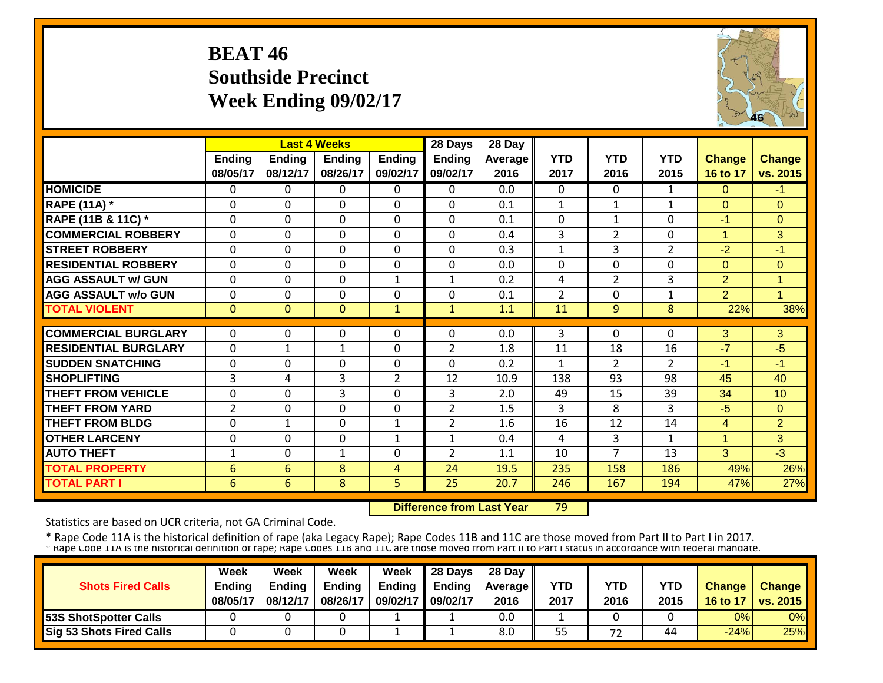#### **BEAT 46 Southside Precinct Week Ending 09/02/17**



|                             |                    |                           | <b>Last 4 Weeks</b> |                           | 28 Days                   | 28 Day             |                    |                    |                    |                           |                           |
|-----------------------------|--------------------|---------------------------|---------------------|---------------------------|---------------------------|--------------------|--------------------|--------------------|--------------------|---------------------------|---------------------------|
|                             | Ending<br>08/05/17 | <b>Ending</b><br>08/12/17 | Ending<br>08/26/17  | <b>Ending</b><br>09/02/17 | <b>Ending</b><br>09/02/17 | Average   <br>2016 | <b>YTD</b><br>2017 | <b>YTD</b><br>2016 | <b>YTD</b><br>2015 | <b>Change</b><br>16 to 17 | <b>Change</b><br>vs. 2015 |
| <b>HOMICIDE</b>             | $\mathbf{0}$       | 0                         | 0                   | $\Omega$                  | $\Omega$                  | 0.0                | $\Omega$           | $\Omega$           | $\mathbf{1}$       | $\Omega$                  | $-1$                      |
| <b>RAPE (11A)</b> *         | $\Omega$           | 0                         | $\Omega$            | $\Omega$                  | $\Omega$                  | 0.1                | $\mathbf{1}$       | $\mathbf{1}$       | 1                  | $\Omega$                  | $\Omega$                  |
| RAPE (11B & 11C) *          | $\mathbf 0$        | $\Omega$                  | $\Omega$            | $\Omega$                  | $\Omega$                  | 0.1                | $\Omega$           | $\mathbf{1}$       | 0                  | $-1$                      | $\Omega$                  |
| <b>COMMERCIAL ROBBERY</b>   | $\mathbf 0$        | 0                         | $\Omega$            | 0                         | 0                         | 0.4                | 3                  | $\overline{2}$     | 0                  | $\overline{1}$            | 3                         |
| <b>STREET ROBBERY</b>       | $\mathbf 0$        | 0                         | $\overline{0}$      | $\Omega$                  | $\Omega$                  | 0.3                | $\mathbf{1}$       | 3                  | $\overline{2}$     | $-2$                      | $-1$                      |
| <b>RESIDENTIAL ROBBERY</b>  | $\mathbf 0$        | 0                         | $\mathbf 0$         | $\mathbf 0$               | 0                         | 0.0                | $\mathbf 0$        | $\mathbf 0$        | 0                  | $\Omega$                  | $\Omega$                  |
| <b>AGG ASSAULT w/ GUN</b>   | $\Omega$           | 0                         | $\Omega$            | $\mathbf{1}$              | $\mathbf{1}$              | 0.2                | 4                  | $\overline{2}$     | 3                  | $\overline{2}$            | 1                         |
| <b>AGG ASSAULT w/o GUN</b>  | $\Omega$           | 0                         | $\Omega$            | $\Omega$                  | $\Omega$                  | 0.1                | $\overline{2}$     | $\Omega$           | 1                  | $\overline{2}$            | $\overline{1}$            |
| <b>TOTAL VIOLENT</b>        | $\mathbf{0}$       | $\Omega$                  | $\mathbf{0}$        | $\mathbf{1}$              | $\mathbf{1}$              | 1.1                | 11                 | 9                  | 8                  | 22%                       | 38%                       |
|                             |                    |                           |                     |                           |                           |                    |                    |                    |                    |                           |                           |
| <b>COMMERCIAL BURGLARY</b>  | $\Omega$           | 0                         | $\Omega$            | $\Omega$                  | $\Omega$                  | 0.0                | 3                  | $\Omega$           | 0                  | 3                         | 3                         |
| <b>RESIDENTIAL BURGLARY</b> | $\mathbf 0$        | 1                         | $\mathbf{1}$        | 0                         | 2                         | 1.8                | 11                 | 18                 | 16                 | $-7$                      | $-5$                      |
| <b>SUDDEN SNATCHING</b>     | $\mathbf 0$        | 0                         | $\mathbf 0$         | $\Omega$                  | $\Omega$                  | 0.2                | 1                  | $\overline{2}$     | $\overline{2}$     | $-1$                      | $-1$                      |
| <b>SHOPLIFTING</b>          | 3                  | 4                         | 3                   | $\overline{2}$            | 12                        | 10.9               | 138                | 93                 | 98                 | 45                        | 40                        |
| <b>THEFT FROM VEHICLE</b>   | $\Omega$           | 0                         | 3                   | $\Omega$                  | 3                         | 2.0                | 49                 | 15                 | 39                 | 34                        | 10                        |
| <b>THEFT FROM YARD</b>      | $\overline{2}$     | 0                         | $\mathbf 0$         | $\mathbf 0$               | $\overline{2}$            | 1.5                | 3                  | 8                  | 3                  | $-5$                      | $\mathbf{0}$              |
| <b>THEFT FROM BLDG</b>      | $\Omega$           | 1                         | $\Omega$            | 1                         | $\overline{2}$            | 1.6                | 16                 | 12                 | 14                 | 4                         | $\overline{2}$            |
| <b>OTHER LARCENY</b>        | $\Omega$           | 0                         | 0                   | 1                         | $\mathbf{1}$              | 0.4                | 4                  | 3                  | $\mathbf{1}$       | $\overline{1}$            | 3 <sup>1</sup>            |
| <b>AUTO THEFT</b>           | $\mathbf{1}$       | 0                         | 1                   | 0                         | $\overline{2}$            | 1.1                | 10                 | 7                  | 13                 | 3                         | $-3$                      |
| <b>TOTAL PROPERTY</b>       | 6                  | 6                         | 8                   | 4                         | 24                        | 19.5               | 235                | 158                | 186                | 49%                       | 26%                       |
| <b>TOTAL PART I</b>         | $6\overline{6}$    | 6                         | 8                   | 5                         | 25                        | 20.7               | 246                | 167                | 194                | 47%                       | 27%                       |

 **Difference from Last Year**79

Statistics are based on UCR criteria, not GA Criminal Code.

| <b>Shots Fired Calls</b>        | Week<br><b>Endina</b><br>08/05/17 | Week<br><b>Ending</b><br>08/12/17 | Week<br><b>Ending</b><br>08/26/17 | <b>Week</b><br>09/02/17    09/02/17 | $\parallel$ 28 Days<br>Ending $\parallel$ Ending | 28 Day<br><b>Average</b> II<br>2016 | YTD<br>2017 | YTD<br>2016 | YTD<br>2015 | <b>Change</b><br>16 to 17 | <b>Change</b><br><b>vs. 2015</b> |
|---------------------------------|-----------------------------------|-----------------------------------|-----------------------------------|-------------------------------------|--------------------------------------------------|-------------------------------------|-------------|-------------|-------------|---------------------------|----------------------------------|
| <b>53S ShotSpotter Calls</b>    |                                   |                                   |                                   |                                     |                                                  | 0.0                                 |             |             |             | 0%                        | 0%                               |
| <b>Sig 53 Shots Fired Calls</b> |                                   |                                   |                                   |                                     |                                                  | 8.0                                 | 55          | 72          | 44          | $-24%$                    | 25%                              |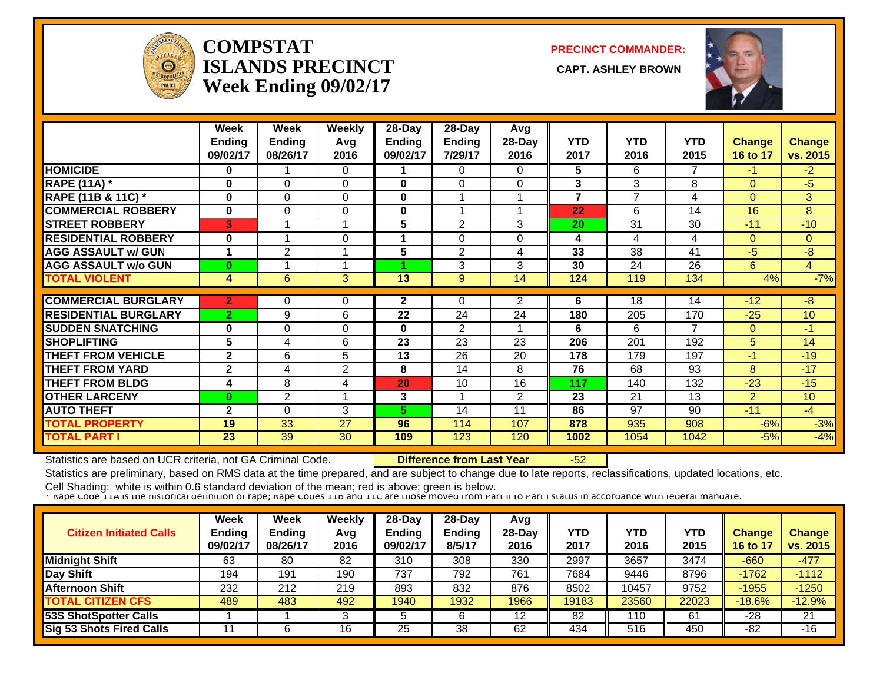

#### **COMPSTATISLANDS PRECINCT Week Ending 09/02/17**

**PRECINCT COMMANDER:**

**CAPT. ASHLEY BROWN** 



|                             | Week<br><b>Ending</b> | Week<br><b>Ending</b> | Weekly<br>Avg  | $28-Day$<br><b>Ending</b> | $28$ -Day<br><b>Ending</b> | Avg<br>28-Day  | <b>YTD</b>              | <b>YTD</b>     | <b>YTD</b>     | <b>Change</b>  | Change         |
|-----------------------------|-----------------------|-----------------------|----------------|---------------------------|----------------------------|----------------|-------------------------|----------------|----------------|----------------|----------------|
|                             | 09/02/17              | 08/26/17              | 2016           | 09/02/17                  | 7/29/17                    | 2016           | 2017                    | 2016           | 2015           | 16 to 17       | vs. 2015       |
| <b>HOMICIDE</b>             | 0                     |                       | 0              |                           | $\Omega$                   | 0              | 5                       | 6              | 7              | $-1$           | $-2$           |
| <b>RAPE (11A) *</b>         | 0                     | $\Omega$              | $\Omega$       | 0                         | $\Omega$                   | $\Omega$       | 3                       | 3              | 8              | $\Omega$       | $-5$           |
| RAPE (11B & 11C) *          | $\bf{0}$              | $\Omega$              | $\Omega$       | 0                         |                            |                | $\overline{\mathbf{z}}$ | $\overline{ }$ | 4              | $\Omega$       | 3              |
| <b>COMMERCIAL ROBBERY</b>   | 0                     | 0                     | 0              | 0                         |                            |                | 22                      | 6              | 14             | 16             | 8              |
| <b>STREET ROBBERY</b>       | 3                     |                       | 1              | 5                         | 2                          | 3              | 20                      | 31             | 30             | $-11$          | $-10$          |
| <b>RESIDENTIAL ROBBERY</b>  | 0                     |                       | 0              |                           | $\Omega$                   | 0              | 4                       | 4              | 4              | $\Omega$       | $\Omega$       |
| <b>AGG ASSAULT w/ GUN</b>   | 1                     | $\overline{2}$        |                | 5                         | 2                          | 4              | 33                      | 38             | 41             | $-5$           | $-8$           |
| <b>AGG ASSAULT w/o GUN</b>  | $\bf{0}$              |                       |                |                           | 3                          | 3              | 30                      | 24             | 26             | 6              | $\overline{4}$ |
| <b>TOTAL VIOLENT</b>        | 4                     | 6                     | 3              | 13                        | 9                          | 14             | 124                     | 119            | 134            | 4%             | $-7%$          |
|                             |                       |                       |                |                           |                            |                |                         | 18             | 14             | $-12$          |                |
| <b>COMMERCIAL BURGLARY</b>  | $\mathbf{2}$          | 0                     | 0              | 2                         | $\Omega$                   | $\overline{2}$ | 6                       |                |                |                | $-8$           |
| <b>RESIDENTIAL BURGLARY</b> | $\overline{2}$        | 9                     | 6              | 22                        | 24                         | 24             | 180                     | 205            | 170            | $-25$          | 10             |
| <b>SUDDEN SNATCHING</b>     | 0                     | 0                     | 0              | 0                         | $\overline{2}$             |                | 6                       | 6              | $\overline{7}$ | $\overline{0}$ | $-1$           |
| <b>SHOPLIFTING</b>          | 5                     | 4                     | 6              | 23                        | 23                         | 23             | 206                     | 201            | 192            | 5 <sup>5</sup> | 14             |
| <b>THEFT FROM VEHICLE</b>   | $\mathbf{2}$          | 6                     | 5              | 13                        | 26                         | 20             | 178                     | 179            | 197            | $-1$           | $-19$          |
| <b>THEFT FROM YARD</b>      | $\mathbf{2}$          | 4                     | $\overline{2}$ | 8                         | 14                         | 8              | 76                      | 68             | 93             | 8              | $-17$          |
| <b>THEFT FROM BLDG</b>      | 4                     | 8                     | 4              | 20                        | 10                         | 16             | 117                     | 140            | 132            | $-23$          | $-15$          |
| <b>OTHER LARCENY</b>        | $\bf{0}$              | $\overline{2}$        |                | 3                         |                            | $\overline{2}$ | 23                      | 21             | 13             | $\overline{2}$ | 10             |
| <b>AUTO THEFT</b>           | $\mathbf{2}$          | $\Omega$              | 3              | 5                         | 14                         | 11             | 86                      | 97             | 90             | $-11$          | $-4$           |
| <b>TOTAL PROPERTY</b>       | 19                    | 33                    | 27             | 96                        | 114                        | 107            | 878                     | 935            | 908            | $-6%$          | $-3%$          |
| TOTAL PART I                | 23                    | 39                    | 30             | 109                       | 123                        | 120            | 1002                    | 1054           | 1042           | $-5%$          | $-4%$          |

Statistics are based on UCR criteria, not GA Criminal Code. **Difference from Last Year** -52

Statistics are preliminary, based on RMS data at the time prepared, and are subject to change due to late reports, reclassifications, updated locations, etc.

| <b>Citizen Initiated Calls</b>  | Week<br><b>Ending</b><br>09/02/17 | Week<br><b>Ending</b><br>08/26/17 | Weekly<br>Avg<br>2016 | 28-Day<br>Ending<br>09/02/17 | 28-Day<br><b>Ending</b><br>8/5/17 | Avg<br>$28-Day$<br>2016 | YTD<br>2017 | YTD<br>2016 | YTD<br>2015 | Change<br>16 to 17 | <b>Change</b><br>vs. 2015 |
|---------------------------------|-----------------------------------|-----------------------------------|-----------------------|------------------------------|-----------------------------------|-------------------------|-------------|-------------|-------------|--------------------|---------------------------|
| <b>Midnight Shift</b>           | 63                                | 80                                | 82                    | 310                          | 308                               | 330                     | 2997        | 3657        | 3474        | $-660$             | $-477$                    |
| Day Shift                       | 194                               | 191                               | 190                   | 737                          | 792                               | 761                     | 7684        | 9446        | 8796        | $-1762$            | $-1112$                   |
| <b>Afternoon Shift</b>          | 232                               | 212                               | 219                   | 893                          | 832                               | 876                     | 8502        | 10457       | 9752        | $-1955$            | $-1250$                   |
| <b>TOTAL CITIZEN CFS</b>        | 489                               | 483                               | 492                   | 1940                         | 1932                              | 1966                    | 19183       | 23560       | 22023       | $-18.6%$           | $-12.9%$                  |
| <b>53S ShotSpotter Calls</b>    |                                   |                                   |                       |                              |                                   | 12                      | 82          | 110         | 61          | $-28$              | 21                        |
| <b>Sig 53 Shots Fired Calls</b> |                                   |                                   | 16                    | 25                           | 38                                | 62                      | 434         | 516         | 450         | $-82$              | -16                       |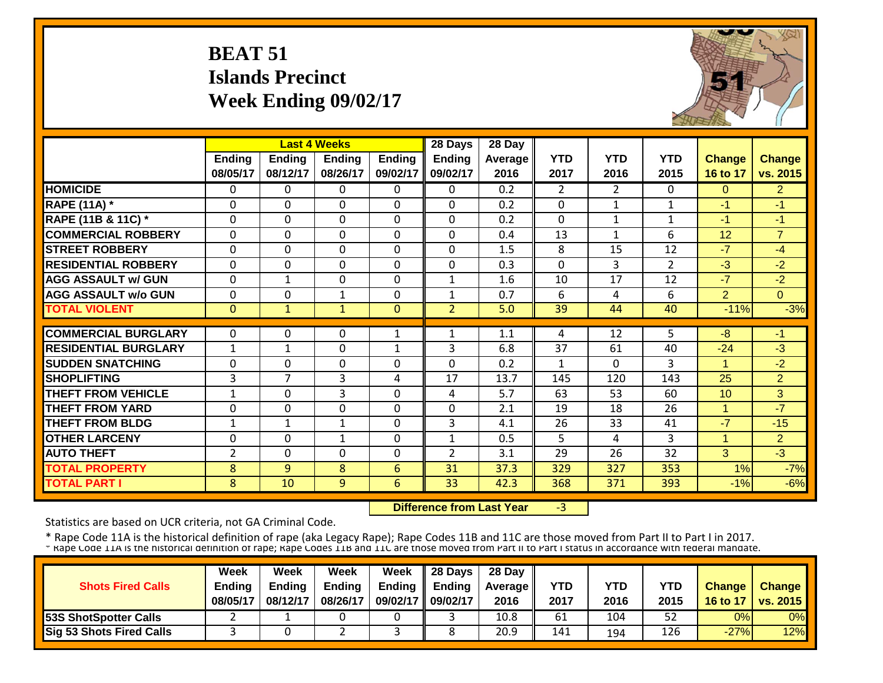# **BEAT 51 Islands Precinct Week Ending 09/02/17**



|                             |                           |                           | <b>Last 4 Weeks</b>       |                           | 28 Days                   | 28 Day          |                    |                    |                    |                           |                           |
|-----------------------------|---------------------------|---------------------------|---------------------------|---------------------------|---------------------------|-----------------|--------------------|--------------------|--------------------|---------------------------|---------------------------|
|                             | <b>Ending</b><br>08/05/17 | <b>Ending</b><br>08/12/17 | <b>Ending</b><br>08/26/17 | <b>Ending</b><br>09/02/17 | <b>Ending</b><br>09/02/17 | Average<br>2016 | <b>YTD</b><br>2017 | <b>YTD</b><br>2016 | <b>YTD</b><br>2015 | <b>Change</b><br>16 to 17 | <b>Change</b><br>vs. 2015 |
| <b>HOMICIDE</b>             | $\Omega$                  | 0                         | 0                         | $\Omega$                  | 0                         | 0.2             | $\overline{2}$     | $\mathbf{2}$       | $\Omega$           | $\Omega$                  | 2                         |
| <b>RAPE (11A) *</b>         | $\Omega$                  | 0                         | $\Omega$                  | $\Omega$                  | $\mathbf 0$               | 0.2             | $\mathbf 0$        | 1                  | $\mathbf{1}$       | $-1$                      | $-1$                      |
| RAPE (11B & 11C) *          | $\Omega$                  | 0                         | $\Omega$                  | $\mathbf 0$               | $\Omega$                  | 0.2             | $\Omega$           | $\mathbf{1}$       | $\mathbf{1}$       | $-1$                      | $-1$                      |
| <b>COMMERCIAL ROBBERY</b>   | $\mathbf 0$               | 0                         | $\mathbf 0$               | $\mathbf 0$               | $\mathbf 0$               | 0.4             | 13                 | $\mathbf{1}$       | 6                  | 12                        | $\overline{7}$            |
| <b>STREET ROBBERY</b>       | $\Omega$                  | $\Omega$                  | $\Omega$                  | $\Omega$                  | $\Omega$                  | 1.5             | 8                  | 15                 | 12                 | $-7$                      | $-4$                      |
| <b>RESIDENTIAL ROBBERY</b>  | $\Omega$                  | $\Omega$                  | $\Omega$                  | $\Omega$                  | $\mathbf 0$               | 0.3             | $\Omega$           | 3                  | $\overline{2}$     | $-3$                      | $-2$                      |
| <b>AGG ASSAULT w/ GUN</b>   | $\mathbf 0$               | $\mathbf{1}$              | $\Omega$                  | $\mathbf 0$               | $\mathbf{1}$              | 1.6             | 10                 | 17                 | 12                 | $-7$                      | $-2$                      |
| <b>AGG ASSAULT w/o GUN</b>  | $\mathbf 0$               | 0                         | $\mathbf{1}$              | $\mathbf 0$               | 1                         | 0.7             | 6                  | 4                  | 6                  | $\overline{2}$            | $\Omega$                  |
| <b>TOTAL VIOLENT</b>        | $\mathbf{0}$              | $\mathbf{1}$              | $\mathbf{1}$              | $\mathbf{0}$              | $\overline{2}$            | 5.0             | 39                 | 44                 | 40                 | $-11%$                    | $-3%$                     |
|                             |                           |                           |                           |                           |                           |                 |                    |                    |                    |                           |                           |
| <b>COMMERCIAL BURGLARY</b>  | $\Omega$                  | 0                         | $\Omega$                  | $\mathbf{1}$              | $\mathbf{1}$              | 1.1             | 4                  | 12                 | 5                  | $-8$                      | $-1$                      |
| <b>RESIDENTIAL BURGLARY</b> | $\mathbf{1}$              | 1                         | $\mathbf 0$               | 1                         | 3                         | 6.8             | 37                 | 61                 | 40                 | $-24$                     | $-3$                      |
| <b>SUDDEN SNATCHING</b>     | $\mathbf{0}$              | 0                         | $\Omega$                  | $\Omega$                  | $\Omega$                  | 0.2             | $\mathbf{1}$       | $\Omega$           | 3                  | $\blacktriangleleft$      | $-2$                      |
| <b>SHOPLIFTING</b>          | $\overline{3}$            | $\overline{7}$            | 3                         | 4                         | 17                        | 13.7            | 145                | 120                | 143                | 25                        | $\overline{2}$            |
| <b>THEFT FROM VEHICLE</b>   | $\mathbf{1}$              | 0                         | 3                         | $\mathbf 0$               | 4                         | 5.7             | 63                 | 53                 | 60                 | 10                        | 3                         |
| <b>THEFT FROM YARD</b>      | $\Omega$                  | 0                         | $\mathbf 0$               | $\Omega$                  | $\mathbf 0$               | 2.1             | 19                 | 18                 | 26                 | $\overline{1}$            | $-7$                      |
| <b>THEFT FROM BLDG</b>      | 1                         | 1                         | 1                         | 0                         | 3                         | 4.1             | 26                 | 33                 | 41                 | $-7$                      | $-15$                     |
| <b>OTHER LARCENY</b>        | $\Omega$                  | 0                         | 1                         | 0                         | $\mathbf{1}$              | 0.5             | 5                  | 4                  | 3                  | $\blacktriangleleft$      | $\overline{2}$            |
| <b>AUTO THEFT</b>           | $\overline{2}$            | 0                         | $\Omega$                  | 0                         | 2                         | 3.1             | 29                 | 26                 | 32                 | 3                         | $-3$                      |
| <b>TOTAL PROPERTY</b>       | 8                         | 9                         | 8                         | 6                         | 31                        | 37.3            | 329                | 327                | 353                | 1%                        | $-7%$                     |
| <b>TOTAL PART I</b>         | 8                         | 10                        | 9                         | 6                         | 33                        | 42.3            | 368                | 371                | 393                | $-1%$                     | $-6%$                     |

 **Difference from Last Year**‐3

Statistics are based on UCR criteria, not GA Criminal Code.

|                                 | Week          | Week          | Week          | <b>Week</b>          | $\parallel$ 28 Days       | 28 Day            |            |      |      |               |                 |
|---------------------------------|---------------|---------------|---------------|----------------------|---------------------------|-------------------|------------|------|------|---------------|-----------------|
| <b>Shots Fired Calls</b>        | <b>Ending</b> | <b>Ending</b> | <b>Ending</b> |                      | Ending $\parallel$ Ending | <b>Average</b> II | <b>YTD</b> | YTD  | YTD  | <b>Change</b> | <b>Change</b>   |
|                                 | 08/05/17      | 08/12/17      | 08/26/17      | 09/02/17    09/02/17 |                           | 2016              | 2017       | 2016 | 2015 | 16 to 17      | <b>vs. 2015</b> |
| <b>53S ShotSpotter Calls</b>    |               |               |               |                      |                           | 10.8              | 61         | 104  | 52   | 0%            | 0%              |
| <b>Sig 53 Shots Fired Calls</b> |               |               |               |                      |                           | 20.9              | 141        | 194  | 126  | $-27%$        | 12%             |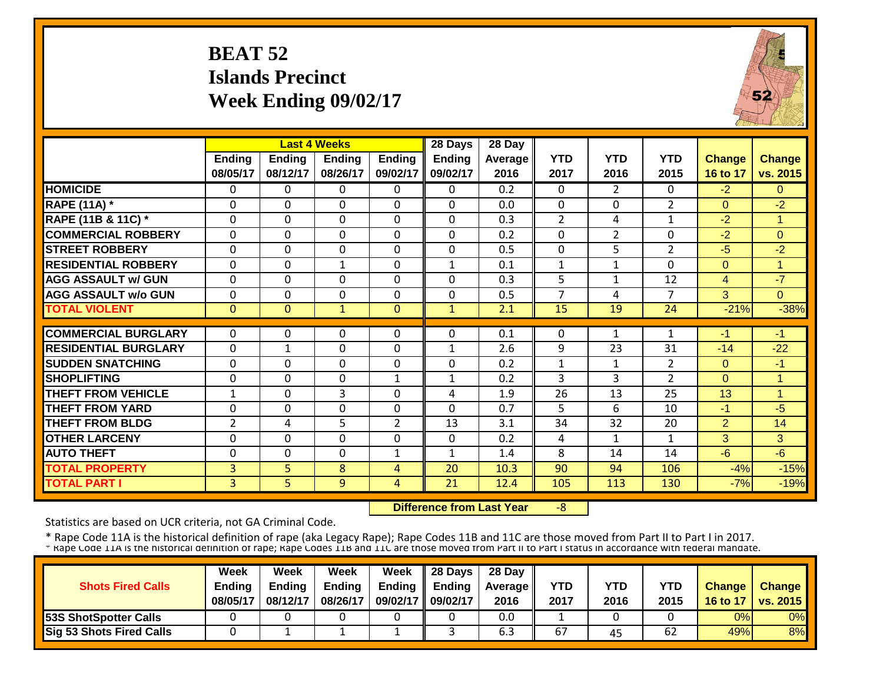# **BEAT 52 Islands Precinct Week Ending 09/02/17**



|                             |                    |                    | <b>Last 4 Weeks</b>       |                    | 28 Days                   | 28 Day          |                    |                       |                    |                           |                           |
|-----------------------------|--------------------|--------------------|---------------------------|--------------------|---------------------------|-----------------|--------------------|-----------------------|--------------------|---------------------------|---------------------------|
|                             | Ending<br>08/05/17 | Ending<br>08/12/17 | <b>Ending</b><br>08/26/17 | Ending<br>09/02/17 | <b>Ending</b><br>09/02/17 | Average<br>2016 | <b>YTD</b><br>2017 | <b>YTD</b><br>2016    | <b>YTD</b><br>2015 | <b>Change</b><br>16 to 17 | <b>Change</b><br>vs. 2015 |
| <b>HOMICIDE</b>             | $\Omega$           | 0                  | $\Omega$                  | $\Omega$           | 0                         | 0.2             | $\Omega$           | $\mathbf{2}^{\prime}$ | 0                  | $-2$                      | $\Omega$                  |
| <b>RAPE (11A) *</b>         | $\Omega$           | 0                  | $\Omega$                  | $\Omega$           | $\Omega$                  | 0.0             | $\Omega$           | $\Omega$              | $\overline{2}$     | $\Omega$                  | $-2$                      |
| RAPE (11B & 11C) *          | $\mathbf 0$        | 0                  | $\mathbf{0}$              | $\Omega$           | $\Omega$                  | 0.3             | $\overline{2}$     | 4                     | $\mathbf{1}$       | $-2$                      | 1                         |
| <b>COMMERCIAL ROBBERY</b>   | $\mathbf 0$        | 0                  | $\Omega$                  | 0                  | $\mathbf 0$               | 0.2             | $\mathbf 0$        | $\overline{2}$        | 0                  | $-2$                      | $\overline{0}$            |
| <b>STREET ROBBERY</b>       | $\mathbf{0}$       | 0                  | $\Omega$                  | $\Omega$           | $\Omega$                  | 0.5             | $\Omega$           | 5                     | $\overline{2}$     | $-5$                      | $-2$                      |
| <b>RESIDENTIAL ROBBERY</b>  | $\Omega$           | 0                  | 1                         | $\Omega$           | $\mathbf{1}$              | 0.1             | 1                  | 1                     | $\Omega$           | $\Omega$                  | 4                         |
| <b>AGG ASSAULT w/ GUN</b>   | $\Omega$           | 0                  | $\Omega$                  | $\Omega$           | $\Omega$                  | 0.3             | 5                  | 1                     | 12                 | $\overline{4}$            | $-7$                      |
| <b>AGG ASSAULT w/o GUN</b>  | $\Omega$           | 0                  | $\Omega$                  | $\Omega$           | $\mathbf 0$               | 0.5             | 7                  | 4                     | $\overline{7}$     | 3                         | $\Omega$                  |
| <b>TOTAL VIOLENT</b>        | $\mathbf{0}$       | $\Omega$           | $\mathbf{1}$              | $\mathbf{0}$       | $\mathbf{1}$              | 2.1             | 15                 | 19                    | 24                 | $-21%$                    | $-38%$                    |
| <b>COMMERCIAL BURGLARY</b>  | $\Omega$           | 0                  | 0                         | 0                  | 0                         | 0.1             | 0                  | 1                     | 1                  | -1                        | $-1$                      |
| <b>RESIDENTIAL BURGLARY</b> | $\Omega$           | 1                  | $\Omega$                  | 0                  | 1                         | 2.6             | 9                  | 23                    | 31                 | $-14$                     | $-22$                     |
| <b>SUDDEN SNATCHING</b>     | $\Omega$           | 0                  | $\Omega$                  | $\Omega$           | $\Omega$                  | 0.2             | 1                  | 1                     | $\overline{2}$     | $\Omega$                  | $-1$                      |
| <b>SHOPLIFTING</b>          | $\mathbf{0}$       | 0                  | 0                         | $\mathbf{1}$       | $\mathbf{1}$              | 0.2             | 3                  | 3                     | $\overline{2}$     | $\Omega$                  | -1                        |
| <b>THEFT FROM VEHICLE</b>   | $\mathbf 1$        | 0                  | 3                         | $\Omega$           | 4                         | 1.9             | 26                 | 13                    | 25                 | 13                        | -1                        |
| <b>THEFT FROM YARD</b>      | $\Omega$           | $\Omega$           | $\Omega$                  | $\Omega$           | $\Omega$                  | 0.7             | 5                  | 6                     | 10                 | -1                        | $-5$                      |
| <b>THEFT FROM BLDG</b>      | $\overline{2}$     | 4                  | 5                         | $\overline{2}$     | 13                        | 3.1             | 34                 | 32                    | 20                 | 2                         | 14                        |
| <b>OTHER LARCENY</b>        | $\Omega$           | 0                  | $\Omega$                  | $\Omega$           | $\Omega$                  | 0.2             | 4                  | 1                     | $\mathbf{1}$       | 3                         | 3                         |
| <b>AUTO THEFT</b>           | $\mathbf{0}$       | 0                  | $\Omega$                  | $\mathbf{1}$       | $\mathbf{1}$              | 1.4             | 8                  | 14                    | 14                 | $-6$                      | $-6$                      |
| <b>TOTAL PROPERTY</b>       | 3                  | 5.                 | 8                         | 4                  | 20                        | 10.3            | 90                 | 94                    | 106                | $-4%$                     | $-15%$                    |
| <b>TOTAL PART I</b>         | $\overline{3}$     | 5.                 | 9                         | 4                  | 21                        | 12.4            | 105                | 113                   | 130                | $-7%$                     | $-19%$                    |

 **Difference from Last Year** $-8$ 

Statistics are based on UCR criteria, not GA Criminal Code.

|                                 | Week          | Week          | Week          | <b>Week</b>          | $\parallel$ 28 Days       | 28 Day            |      |      |      |               |                 |
|---------------------------------|---------------|---------------|---------------|----------------------|---------------------------|-------------------|------|------|------|---------------|-----------------|
| <b>Shots Fired Calls</b>        | <b>Endina</b> | <b>Ending</b> | <b>Ending</b> |                      | Ending $\parallel$ Ending | <b>Average</b> II | YTD  | YTD  | YTD  | <b>Change</b> | <b>Change</b>   |
|                                 | 08/05/17      | 08/12/17      | 08/26/17      | 09/02/17    09/02/17 |                           | 2016              | 2017 | 2016 | 2015 | 16 to 17      | <b>vs. 2015</b> |
| <b>53S ShotSpotter Calls</b>    |               |               |               |                      |                           | 0.0               |      |      |      | 0%            | 0%              |
| <b>Sig 53 Shots Fired Calls</b> |               |               |               |                      |                           | <b>b.3</b>        | 67   | 45   | 62   | 49%           | 8%              |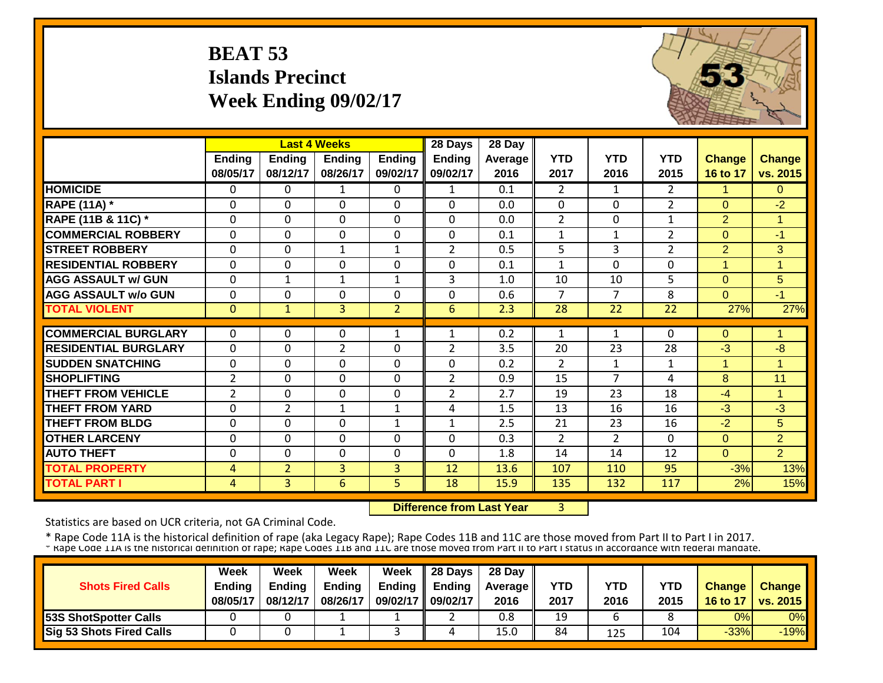# **BEAT 53 Islands Precinct Week Ending 09/02/17**



|                             |                |                | <b>Last 4 Weeks</b> |                | 28 Days        | 28 Day  |                |                |                |                      |                |
|-----------------------------|----------------|----------------|---------------------|----------------|----------------|---------|----------------|----------------|----------------|----------------------|----------------|
|                             | <b>Ending</b>  | <b>Ending</b>  | <b>Endina</b>       | <b>Ending</b>  | <b>Ending</b>  | Average | <b>YTD</b>     | <b>YTD</b>     | <b>YTD</b>     | <b>Change</b>        | <b>Change</b>  |
|                             | 08/05/17       | 08/12/17       | 08/26/17            | 09/02/17       | 09/02/17       | 2016    | 2017           | 2016           | 2015           | 16 to 17             | vs. 2015       |
| <b>HOMICIDE</b>             | $\mathbf{0}$   | 0              | $\mathbf{1}$        | $\Omega$       | $\mathbf{1}$   | 0.1     | $\overline{2}$ | $\mathbf{1}$   | $\overline{2}$ | $\blacktriangleleft$ | $\Omega$       |
| <b>RAPE (11A) *</b>         | $\Omega$       | 0              | $\mathbf 0$         | $\Omega$       | $\mathbf{0}$   | 0.0     | $\mathbf{0}$   | $\Omega$       | $\overline{2}$ | $\Omega$             | $-2$           |
| RAPE (11B & 11C) *          | $\Omega$       | 0              | $\mathbf 0$         | $\Omega$       | $\mathbf{0}$   | 0.0     | $\overline{2}$ | $\Omega$       | $\mathbf{1}$   | $\overline{2}$       | 1              |
| <b>COMMERCIAL ROBBERY</b>   | $\Omega$       | $\Omega$       | $\Omega$            | $\Omega$       | $\mathbf 0$    | 0.1     | $\mathbf{1}$   | $\mathbf{1}$   | $\overline{2}$ | $\Omega$             | $-1$           |
| <b>STREET ROBBERY</b>       | $\mathbf 0$    | 0              | $\mathbf{1}$        | $\mathbf{1}$   | $\overline{2}$ | 0.5     | 5              | 3              | $\overline{2}$ | $\overline{2}$       | 3              |
| <b>RESIDENTIAL ROBBERY</b>  | $\mathbf 0$    | 0              | 0                   | $\mathbf 0$    | $\mathbf{0}$   | 0.1     | $\mathbf{1}$   | $\Omega$       | 0              | 4                    | 1              |
| <b>AGG ASSAULT w/ GUN</b>   | $\Omega$       | $\mathbf{1}$   | $\mathbf{1}$        | $\mathbf{1}$   | 3              | 1.0     | 10             | 10             | 5              | $\Omega$             | 5 <sup>1</sup> |
| <b>AGG ASSAULT w/o GUN</b>  | $\mathbf 0$    | 0              | 0                   | 0              | $\mathbf{0}$   | 0.6     | $\overline{7}$ | $\overline{7}$ | 8              | $\Omega$             | $-1$           |
| <b>TOTAL VIOLENT</b>        | $\mathbf{0}$   | $\mathbf{1}$   | 3                   | $\overline{2}$ | 6              | 2.3     | 28             | 22             | 22             | 27%                  | 27%            |
|                             |                |                |                     |                |                |         |                |                |                |                      |                |
| <b>COMMERCIAL BURGLARY</b>  | $\mathbf{0}$   | 0              | 0                   | 1              | $\mathbf{1}$   | 0.2     | $\mathbf{1}$   | 1              | 0              | $\Omega$             | 1              |
| <b>RESIDENTIAL BURGLARY</b> | $\Omega$       | 0              | $\overline{2}$      | 0              | 2              | 3.5     | 20             | 23             | 28             | $-3$                 | $-8$           |
| <b>SUDDEN SNATCHING</b>     | $\Omega$       | 0              | $\Omega$            | $\Omega$       | $\mathbf{0}$   | 0.2     | 2              | $\mathbf{1}$   | 1              | 1                    | $\mathbf{1}$   |
| <b>SHOPLIFTING</b>          | 2              | 0              | $\Omega$            | 0              | $\overline{2}$ | 0.9     | 15             | 7              | 4              | 8                    | 11             |
| <b>THEFT FROM VEHICLE</b>   | $\overline{2}$ | 0              | 0                   | 0              | $\overline{2}$ | 2.7     | 19             | 23             | 18             | $-4$                 | 1              |
| <b>THEFT FROM YARD</b>      | $\Omega$       | $\overline{2}$ | $\mathbf{1}$        | 1              | 4              | 1.5     | 13             | 16             | 16             | $-3$                 | $-3$           |
| <b>THEFT FROM BLDG</b>      | $\Omega$       | $\Omega$       | $\Omega$            | $\mathbf{1}$   | $\mathbf{1}$   | 2.5     | 21             | 23             | 16             | $-2$                 | 5 <sup>5</sup> |
| <b>OTHER LARCENY</b>        | $\Omega$       | 0              | $\Omega$            | $\Omega$       | $\mathbf{0}$   | 0.3     | $\overline{2}$ | $\overline{2}$ | $\Omega$       | $\Omega$             | $\overline{2}$ |
| <b>AUTO THEFT</b>           | $\Omega$       | 0              | $\Omega$            | $\Omega$       | $\mathbf{0}$   | 1.8     | 14             | 14             | 12             | $\Omega$             | $\overline{2}$ |
| <b>TOTAL PROPERTY</b>       | 4              | $\overline{2}$ | $\overline{3}$      | 3              | 12             | 13.6    | 107            | 110            | 95             | $-3%$                | 13%            |
| <b>TOTAL PART I</b>         | 4              | $\overline{3}$ | 6                   | 5              | 18             | 15.9    | 135            | 132            | 117            | 2%                   | 15%            |

 **Difference from Last Year**

3

Statistics are based on UCR criteria, not GA Criminal Code.

|                                 | Week          | Week     | Week          | Week     | 28 Days       | 28 Day            |      |            |      |               |                 |
|---------------------------------|---------------|----------|---------------|----------|---------------|-------------------|------|------------|------|---------------|-----------------|
| <b>Shots Fired Calls</b>        | <b>Ending</b> | Endina   | <b>Ending</b> | Ending   | <b>Ending</b> | <b>Average II</b> | YTD  | <b>YTD</b> | YTD  | <b>Change</b> | <b>Change</b>   |
|                                 | 08/05/17      | 08/12/17 | 08/26/17      | 09/02/17 | 09/02/17      | 2016              | 2017 | 2016       | 2015 | 16 to 17      | <b>VS. 2015</b> |
| <b>153S ShotSpotter Calls</b>   |               |          |               |          |               | 0.8               | 19   |            |      | 0%            | 0%              |
| <b>Sig 53 Shots Fired Calls</b> |               |          |               |          |               | 15.0              | 84   | 125        | 104  | $-33%$        | $-19%$          |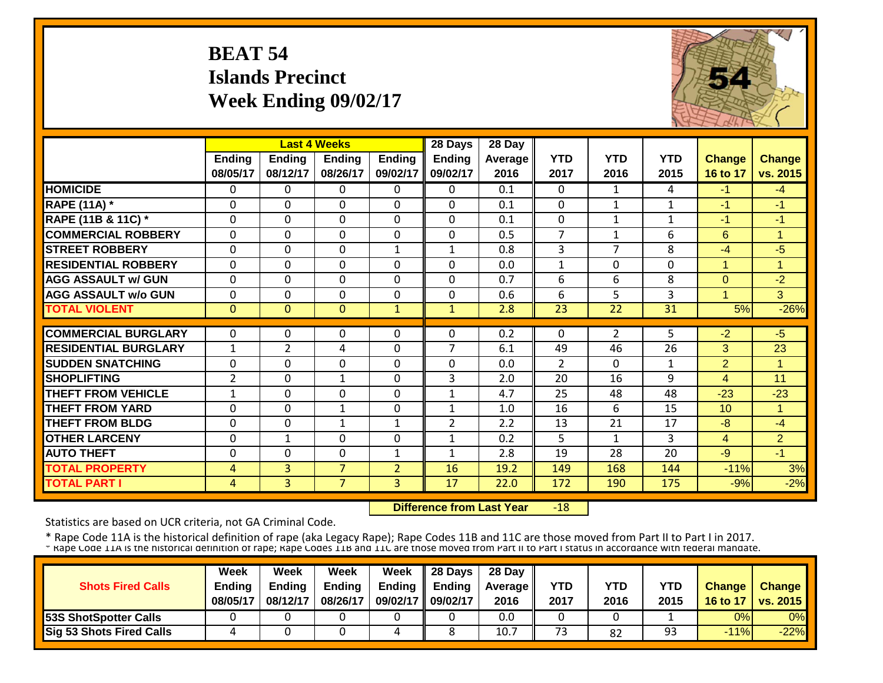# **BEAT 54 Islands Precinct Week Ending 09/02/17**



|                             |                    |                           | <b>Last 4 Weeks</b>       |                           | 28 Days                   | 28 Day          |                    |                    |                    |                           |                           |
|-----------------------------|--------------------|---------------------------|---------------------------|---------------------------|---------------------------|-----------------|--------------------|--------------------|--------------------|---------------------------|---------------------------|
|                             | Ending<br>08/05/17 | <b>Ending</b><br>08/12/17 | <b>Ending</b><br>08/26/17 | <b>Ending</b><br>09/02/17 | <b>Ending</b><br>09/02/17 | Average<br>2016 | <b>YTD</b><br>2017 | <b>YTD</b><br>2016 | <b>YTD</b><br>2015 | <b>Change</b><br>16 to 17 | <b>Change</b><br>vs. 2015 |
| <b>HOMICIDE</b>             | $\Omega$           | 0                         | 0                         | $\Omega$                  | $\Omega$                  | 0.1             | $\mathbf{0}$       | $\mathbf{1}$       | 4                  | $-1$                      | $-4$                      |
| <b>RAPE (11A)</b> *         | $\Omega$           | 0                         | $\Omega$                  | $\Omega$                  | 0                         | 0.1             | $\Omega$           | $\mathbf{1}$       | $\mathbf{1}$       | $-1$                      | $-1$                      |
| RAPE (11B & 11C) *          | $\mathbf 0$        | 0                         | $\mathbf 0$               | $\Omega$                  | 0                         | 0.1             | $\mathbf 0$        | $\mathbf{1}$       | $\mathbf{1}$       | $-1$                      | $-1$                      |
| <b>COMMERCIAL ROBBERY</b>   | $\Omega$           | $\Omega$                  | $\Omega$                  | $\Omega$                  | 0                         | 0.5             | $\overline{7}$     | $\mathbf{1}$       | 6                  | 6                         | -1                        |
| <b>STREET ROBBERY</b>       | $\mathbf 0$        | 0                         | $\mathbf 0$               | 1                         | $\mathbf{1}$              | 0.8             | 3                  | 7                  | 8                  | $-4$                      | $-5$                      |
| <b>RESIDENTIAL ROBBERY</b>  | $\Omega$           | 0                         | $\Omega$                  | $\mathbf 0$               | $\Omega$                  | 0.0             | $\mathbf{1}$       | $\Omega$           | 0                  | $\overline{1}$            | 4                         |
| <b>AGG ASSAULT w/ GUN</b>   | $\Omega$           | 0                         | $\Omega$                  | $\Omega$                  | $\mathbf 0$               | 0.7             | 6                  | 6                  | 8                  | $\mathbf{0}$              | $-2$                      |
| <b>AGG ASSAULT w/o GUN</b>  | $\mathbf 0$        | 0                         | 0                         | 0                         | $\mathbf 0$               | 0.6             | 6                  | 5 <sup>1</sup>     | 3                  | -1                        | 3                         |
| <b>TOTAL VIOLENT</b>        | $\mathbf{0}$       | $\Omega$                  | $\Omega$                  | $\mathbf{1}$              | $\mathbf{1}$              | 2.8             | 23                 | 22                 | 31                 | 5%                        | $-26%$                    |
| <b>COMMERCIAL BURGLARY</b>  | $\Omega$           | 0                         | 0                         | 0                         | 0                         | 0.2             | $\Omega$           | $\overline{2}$     | 5                  | $-2$                      | $-5$                      |
| <b>RESIDENTIAL BURGLARY</b> | $\mathbf{1}$       | $\overline{2}$            | 4                         | 0                         | $\overline{7}$            | 6.1             | 49                 | 46                 | 26                 | 3                         | 23                        |
| <b>SUDDEN SNATCHING</b>     | $\mathbf 0$        | 0                         | 0                         | 0                         |                           | 0.0             | $\overline{2}$     | $\Omega$           | $\mathbf{1}$       | $\overline{2}$            |                           |
| <b>SHOPLIFTING</b>          | $\overline{2}$     | 0                         |                           | $\Omega$                  | 0<br>3                    | 2.0             | 20                 | 16                 | 9                  | 4                         | 11                        |
| <b>THEFT FROM VEHICLE</b>   | $\mathbf{1}$       | 0                         | 1<br>0                    | 0                         | $\mathbf{1}$              | 4.7             | 25                 | 48                 | 48                 | $-23$                     | $-23$                     |
| <b>THEFT FROM YARD</b>      | $\Omega$           | 0                         | 1                         | 0                         | $\mathbf{1}$              | 1.0             | 16                 | 6                  | 15                 | 10 <sup>°</sup>           | 1                         |
| <b>THEFT FROM BLDG</b>      | $\Omega$           | 0                         | 1                         | $\mathbf{1}$              | 2                         | 2.2             | 13                 | 21                 | 17                 | -8                        | $-4$                      |
| <b>OTHER LARCENY</b>        | $\Omega$           | 1                         | $\Omega$                  | 0                         | $\mathbf{1}$              | 0.2             | 5                  | 1                  | 3                  | 4                         | $\overline{2}$            |
| <b>AUTO THEFT</b>           | $\Omega$           | 0                         | $\Omega$                  | 1                         | $\mathbf{1}$              | 2.8             | 19                 | 28                 | 20                 | -9                        | $-1$                      |
| <b>TOTAL PROPERTY</b>       | 4                  | 3                         | $\overline{7}$            | $\overline{2}$            | 16                        | 19.2            |                    | 168                | 144                | $-11%$                    | 3%                        |
| <b>TOTAL PART I</b>         | $\overline{4}$     | 3                         | $\overline{7}$            | 3                         | 17                        | 22.0            | 149<br>172         | 190                | 175                | $-9%$                     | $-2%$                     |
|                             |                    |                           |                           |                           |                           |                 |                    |                    |                    |                           |                           |

 **Difference from Last Year** $-18$ 

Statistics are based on UCR criteria, not GA Criminal Code.

|                                 | <b>Week</b>   | Week     | Week          | Week          | 28 Days  | 28 Day            |      |      |      |               |                 |
|---------------------------------|---------------|----------|---------------|---------------|----------|-------------------|------|------|------|---------------|-----------------|
| <b>Shots Fired Calls</b>        | <b>Ending</b> | Endina   | <b>Ending</b> | <b>Ending</b> | Endina   | <b>Average II</b> | YTD  | YTD  | YTD  | <b>Change</b> | <b>Change</b>   |
|                                 | 08/05/17      | 08/12/17 | 08/26/17      | 09/02/17      | 09/02/17 | 2016              | 2017 | 2016 | 2015 | 16 to 17      | <b>VS. 2015</b> |
| 53S ShotSpotter Calls           |               |          |               |               |          | 0.0               |      |      |      | 0%            | 0%              |
| <b>Sig 53 Shots Fired Calls</b> |               |          |               | 4             |          | 10.7              | 73   | 82   | 93   | $-11%$        | $-22%$          |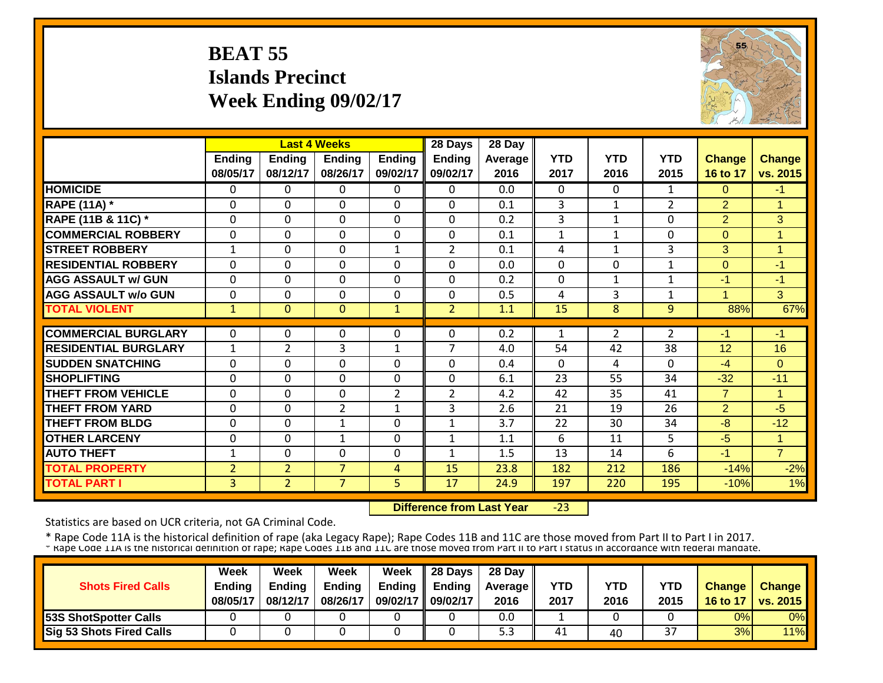# **BEAT 55 Islands Precinct Week Ending 09/02/17**



|                             |                    |                           | <b>Last 4 Weeks</b>       |                    | 28 Days                   | 28 Day                 |                    |                    |                    |                           |                           |
|-----------------------------|--------------------|---------------------------|---------------------------|--------------------|---------------------------|------------------------|--------------------|--------------------|--------------------|---------------------------|---------------------------|
|                             | Ending<br>08/05/17 | <b>Ending</b><br>08/12/17 | <b>Ending</b><br>08/26/17 | Ending<br>09/02/17 | <b>Ending</b><br>09/02/17 | <b>Average</b><br>2016 | <b>YTD</b><br>2017 | <b>YTD</b><br>2016 | <b>YTD</b><br>2015 | <b>Change</b><br>16 to 17 | <b>Change</b><br>vs. 2015 |
| <b>HOMICIDE</b>             | $\mathbf{0}$       | 0                         | $\Omega$                  | $\Omega$           | $\Omega$                  | 0.0                    | $\Omega$           | $\Omega$           | $\mathbf{1}$       | $\Omega$                  | $-1$                      |
| <b>RAPE (11A) *</b>         | $\Omega$           | 0                         | 0                         | $\Omega$           | $\mathbf{0}$              | 0.1                    | 3                  | $\mathbf{1}$       | $\overline{2}$     | $\overline{2}$            | 1                         |
| RAPE (11B & 11C) *          | $\mathbf 0$        | 0                         | $\mathbf 0$               | $\Omega$           | $\mathbf{0}$              | 0.2                    | 3                  | $\mathbf{1}$       | 0                  | $\overline{2}$            | 3                         |
| <b>COMMERCIAL ROBBERY</b>   | $\mathbf 0$        | 0                         | $\Omega$                  | $\Omega$           | $\mathbf 0$               | 0.1                    | $\mathbf{1}$       | $\mathbf{1}$       | 0                  | $\Omega$                  | 1                         |
| <b>STREET ROBBERY</b>       | $\mathbf{1}$       | 0                         | $\mathbf 0$               | 1                  | $\overline{2}$            | 0.1                    | 4                  | 1                  | 3                  | 3                         | $\overline{1}$            |
| <b>RESIDENTIAL ROBBERY</b>  | $\Omega$           | $\Omega$                  | $\Omega$                  | $\Omega$           | $\mathbf{0}$              | 0.0                    | $\mathbf 0$        | $\Omega$           | $\mathbf{1}$       | $\mathbf{0}$              | $-1$                      |
| <b>AGG ASSAULT w/ GUN</b>   | $\mathbf 0$        | 0                         | $\mathbf 0$               | $\mathbf 0$        | $\mathbf 0$               | 0.2                    | $\mathbf 0$        | 1                  | $\mathbf{1}$       | $-1$                      | $-1$                      |
| <b>AGG ASSAULT w/o GUN</b>  | $\Omega$           | 0                         | $\Omega$                  | $\Omega$           | $\mathbf{0}$              | 0.5                    | 4                  | 3                  | $\mathbf{1}$       | 4                         | 3                         |
| <b>TOTAL VIOLENT</b>        | $\mathbf{1}$       | $\Omega$                  | $\Omega$                  | $\mathbf{1}$       | $\overline{2}$            | 1.1                    | 15                 | 8                  | 9                  | 88%                       | 67%                       |
|                             |                    |                           |                           |                    |                           |                        |                    |                    |                    |                           |                           |
| <b>COMMERCIAL BURGLARY</b>  | $\Omega$           | 0                         | $\Omega$                  | $\Omega$           | $\Omega$                  | 0.2                    | $\mathbf{1}$       | $\overline{2}$     | $\overline{2}$     | -1                        | $-1$                      |
| <b>RESIDENTIAL BURGLARY</b> | $\mathbf{1}$       | $\overline{2}$            | 3                         | $\mathbf{1}$       | $\overline{7}$            | 4.0                    | 54                 | 42                 | 38                 | 12                        | 16                        |
| <b>SUDDEN SNATCHING</b>     | $\Omega$           | 0                         | $\Omega$                  | 0                  | $\Omega$                  | 0.4                    | $\mathbf{0}$       | 4                  | 0                  | $-4$                      | $\Omega$                  |
| <b>SHOPLIFTING</b>          | $\Omega$           | 0                         | $\Omega$                  | 0                  | $\mathbf{0}$              | 6.1                    | 23                 | 55                 | 34                 | $-32$                     | $-11$                     |
| <b>THEFT FROM VEHICLE</b>   | $\Omega$           | 0                         | 0                         | $\overline{2}$     | $\overline{2}$            | 4.2                    | 42                 | 35                 | 41                 | $\overline{7}$            | $\mathbf{1}$              |
| <b>THEFT FROM YARD</b>      | $\Omega$           | 0                         | $\overline{2}$            | 1                  | 3                         | 2.6                    | 21                 | 19                 | 26                 | $\overline{2}$            | $-5$                      |
| <b>THEFT FROM BLDG</b>      | $\Omega$           | 0                         | 1                         | $\Omega$           | $\mathbf{1}$              | 3.7                    | 22                 | 30                 | 34                 | -8                        | $-12$                     |
| <b>OTHER LARCENY</b>        | $\Omega$           | 0                         | $\mathbf{1}$              | $\Omega$           | $\mathbf{1}$              | 1.1                    | 6                  | 11                 | 5                  | $-5$                      | $\mathbf{1}$              |
| <b>AUTO THEFT</b>           | $\mathbf{1}$       | 0                         | $\mathbf 0$               | 0                  | $\mathbf{1}$              | 1.5                    | 13                 | 14                 | 6                  | -1                        | $\overline{7}$            |
| <b>TOTAL PROPERTY</b>       | $\overline{2}$     | 2                         | 7                         | 4                  | 15                        | 23.8                   | 182                | 212                | 186                | $-14%$                    | $-2%$                     |
| <b>TOTAL PART I</b>         | 3                  | $\overline{2}$            | $\overline{7}$            | 5                  | 17                        | 24.9                   | 197                | 220                | 195                | $-10%$                    | $1\%$                     |

 **Difference from Last Year**‐23

Statistics are based on UCR criteria, not GA Criminal Code.

|                                 | Week          | Week     | Week          | Week     | 28 Days       | 28 Day            |      |            |            |               |                 |
|---------------------------------|---------------|----------|---------------|----------|---------------|-------------------|------|------------|------------|---------------|-----------------|
| <b>Shots Fired Calls</b>        | <b>Ending</b> | Endina   | <b>Ending</b> | Ending   | <b>Ending</b> | <b>Average II</b> | YTD  | <b>YTD</b> | <b>YTD</b> | <b>Change</b> | Change          |
|                                 | 08/05/17      | 08/12/17 | 08/26/17      | 09/02/17 | 09/02/17      | 2016              | 2017 | 2016       | 2015       | 16 to 17      | <b>VS. 2015</b> |
| <b>153S ShotSpotter Calls</b>   |               |          |               |          |               | 0.0               |      |            |            | 0%            | 0%              |
| <b>Sig 53 Shots Fired Calls</b> |               |          |               |          |               | ں ب               | 41   | 40         | 37         | 3%            | 11%             |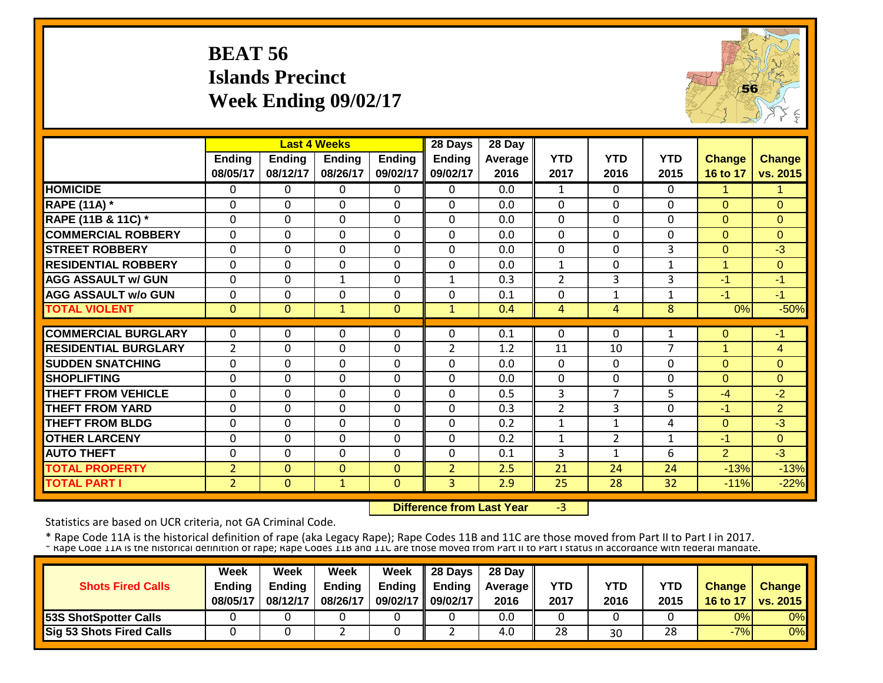# **BEAT 56 Islands Precinct Week Ending 09/02/17**



|                             |                | <b>Last 4 Weeks</b> |               |               | 28 Days        | 28 Day  |                |                |                |                |                    |
|-----------------------------|----------------|---------------------|---------------|---------------|----------------|---------|----------------|----------------|----------------|----------------|--------------------|
|                             | Ending         | <b>Ending</b>       | <b>Ending</b> | <b>Ending</b> | <b>Ending</b>  | Average | <b>YTD</b>     | <b>YTD</b>     | <b>YTD</b>     | <b>Change</b>  | <b>Change</b>      |
|                             | 08/05/17       | 08/12/17            | 08/26/17      | 09/02/17      | 09/02/17       | 2016    | 2017           | 2016           | 2015           | 16 to 17       | vs. 2015           |
| <b>HOMICIDE</b>             | 0              | 0                   | 0             | 0             | 0              | 0.0     | $\mathbf{1}$   | $\Omega$       | 0              | $\mathbf{1}$   | 1                  |
| <b>RAPE (11A) *</b>         | $\Omega$       | $\Omega$            | $\Omega$      | $\Omega$      | $\Omega$       | 0.0     | $\Omega$       | $\Omega$       | $\Omega$       | $\Omega$       | $\Omega$           |
| RAPE (11B & 11C) *          | $\mathbf 0$    | $\Omega$            | $\Omega$      | $\Omega$      | $\Omega$       | 0.0     | $\Omega$       | $\Omega$       | $\Omega$       | $\Omega$       | $\Omega$           |
| <b>COMMERCIAL ROBBERY</b>   | $\Omega$       | $\Omega$            | $\Omega$      | $\Omega$      | $\Omega$       | 0.0     | $\Omega$       | $\Omega$       | 0              | $\Omega$       | $\Omega$           |
| <b>STREET ROBBERY</b>       | 0              | 0                   | $\mathbf 0$   | $\mathbf 0$   | 0              | 0.0     | $\overline{0}$ | $\Omega$       | 3              | $\mathbf{0}$   | $\overline{\cdot}$ |
| <b>RESIDENTIAL ROBBERY</b>  | $\Omega$       | 0                   | 0             | $\Omega$      | $\Omega$       | 0.0     | $\mathbf{1}$   | 0              | $\mathbf{1}$   | $\overline{1}$ | $\Omega$           |
| <b>AGG ASSAULT w/ GUN</b>   | $\Omega$       | 0                   | $\mathbf 1$   | $\Omega$      | $\mathbf{1}$   | 0.3     | $\overline{2}$ | 3              | 3              | $-1$           | $-1$               |
| <b>AGG ASSAULT w/o GUN</b>  | $\Omega$       | 0                   | 0             | $\Omega$      | $\Omega$       | 0.1     | $\Omega$       | 1              | $\mathbf{1}$   | $-1$           | $-1$               |
| <b>TOTAL VIOLENT</b>        | $\Omega$       | $\Omega$            | $\mathbf{1}$  | $\Omega$      | $\mathbf{1}$   | 0.4     | $\overline{4}$ | 4              | 8              | 0%             | $-50%$             |
|                             |                |                     |               |               |                |         |                |                |                |                |                    |
| <b>COMMERCIAL BURGLARY</b>  | $\Omega$       | 0                   | $\mathbf 0$   | 0             | 0              | 0.1     | $\Omega$       | $\Omega$       | $\mathbf{1}$   | $\Omega$       | $-1$               |
| <b>RESIDENTIAL BURGLARY</b> | $\overline{2}$ | 0                   | $\mathbf 0$   | $\Omega$      | $\overline{2}$ | 1.2     | 11             | 10             | $\overline{7}$ | 4              | $\overline{4}$     |
| <b>SUDDEN SNATCHING</b>     | $\Omega$       | $\Omega$            | $\Omega$      | 0             | $\Omega$       | 0.0     | $\Omega$       | $\Omega$       | $\Omega$       | $\Omega$       | $\Omega$           |
| <b>SHOPLIFTING</b>          | $\Omega$       | $\Omega$            | 0             | $\Omega$      | $\Omega$       | 0.0     | $\Omega$       | $\Omega$       | $\Omega$       | $\Omega$       | $\Omega$           |
| <b>THEFT FROM VEHICLE</b>   | $\Omega$       | 0                   | $\Omega$      | $\Omega$      | $\Omega$       | 0.5     | 3              | 7              | 5              | -4             | $-2$               |
| <b>THEFT FROM YARD</b>      | $\Omega$       | $\Omega$            | $\Omega$      | $\Omega$      | $\Omega$       | 0.3     | 2              | 3              | 0              | $-1$           | $\overline{2}$     |
| <b>THEFT FROM BLDG</b>      | $\Omega$       | $\Omega$            | $\Omega$      | $\Omega$      | $\Omega$       | 0.2     | $\mathbf{1}$   | 1              | 4              | $\Omega$       | $-3$               |
| <b>OTHER LARCENY</b>        | $\Omega$       | $\Omega$            | $\Omega$      | $\Omega$      | $\Omega$       | 0.2     | 1              | $\overline{2}$ | $\mathbf{1}$   | $-1$           | $\Omega$           |
| <b>AUTO THEFT</b>           | $\Omega$       | 0                   | $\Omega$      | $\Omega$      | $\Omega$       | 0.1     | 3              | 1              | 6              | 2              | $-3$               |
| <b>TOTAL PROPERTY</b>       | $\overline{2}$ | $\Omega$            | $\mathbf{0}$  | $\mathbf{0}$  | 2              | 2.5     | 21             | 24             | 24             | $-13%$         | $-13%$             |
| <b>TOTAL PART I</b>         | $\overline{2}$ | $\overline{0}$      | $\mathbf{1}$  | $\mathbf{0}$  | 3              | 2.9     | 25             | 28             | 32             | $-11%$         | $-22%$             |

 **Difference from Last Year** $-3$ 

Statistics are based on UCR criteria, not GA Criminal Code.

|                                 | Week          | Week          | Week          | <b>Week</b>          | $\parallel$ 28 Days       | 28 Day            |      |      |      |               |                 |
|---------------------------------|---------------|---------------|---------------|----------------------|---------------------------|-------------------|------|------|------|---------------|-----------------|
| <b>Shots Fired Calls</b>        | <b>Endina</b> | <b>Ending</b> | <b>Ending</b> |                      | Ending $\parallel$ Ending | <b>Average</b> II | YTD  | YTD  | YTD  | <b>Change</b> | <b>Change</b>   |
|                                 | 08/05/17      | 08/12/17      | 08/26/17      | 09/02/17    09/02/17 |                           | 2016              | 2017 | 2016 | 2015 | 16 to 17      | <b>vs. 2015</b> |
| <b>53S ShotSpotter Calls</b>    |               |               |               |                      |                           | 0.0               |      |      |      | 0%            | 0%              |
| <b>Sig 53 Shots Fired Calls</b> |               |               |               |                      |                           | 4.0               | 28   | 30   | 28   | $-7%$         | 0%              |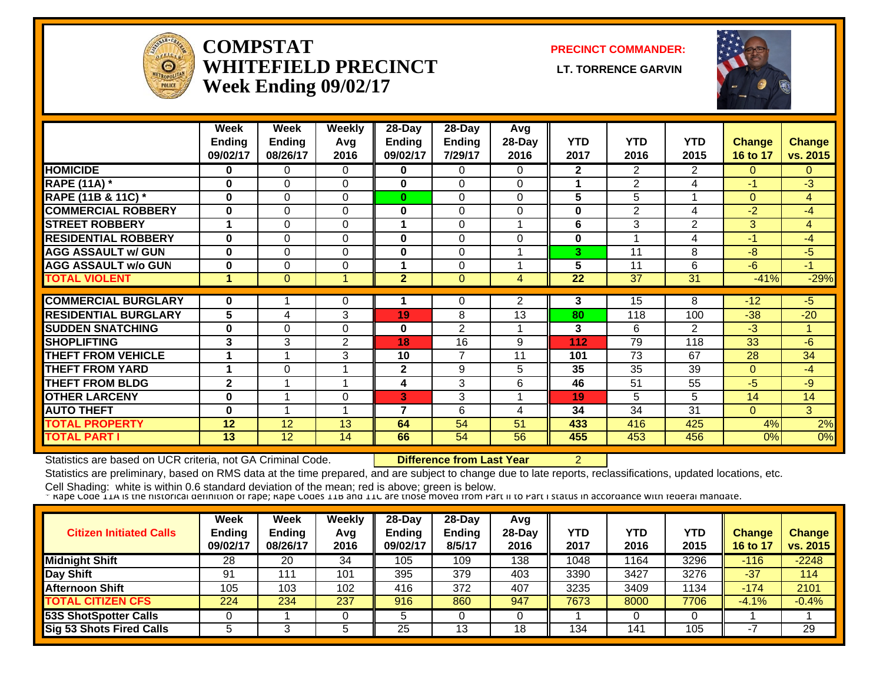

#### **COMPSTATWHITEFIELD PRECINCT Week Ending 09/02/17**

**PRECINCT COMMANDER:**

**LT. TORRENCE GARVIN** 



|                               | Week          | Week          | <b>Weekly</b>  | $28 - Day$     | $28-Day$       | Avg            |              |                |                |              |                |
|-------------------------------|---------------|---------------|----------------|----------------|----------------|----------------|--------------|----------------|----------------|--------------|----------------|
|                               | <b>Ending</b> | <b>Ending</b> | Avg            | Ending         | Ending         | 28-Day         | <b>YTD</b>   | <b>YTD</b>     | <b>YTD</b>     | Change       | Change         |
|                               | 09/02/17      | 08/26/17      | 2016           | 09/02/17       | 7/29/17        | 2016           | 2017         | 2016           | 2015           | 16 to 17     | vs. 2015       |
| <b>HOMICIDE</b>               | 0             | 0             | $\Omega$       | $\bf{0}$       | $\Omega$       | $\Omega$       | $\mathbf{2}$ | $\overline{2}$ | $\overline{2}$ | $\mathbf{0}$ | $\overline{0}$ |
| <b>RAPE (11A) *</b>           | $\bf{0}$      | $\Omega$      | 0              | 0              | $\Omega$       | $\Omega$       | 1            | $\overline{2}$ | 4              | $-1$         | $-3$           |
| <b>RAPE (11B &amp; 11C) *</b> | $\bf{0}$      | 0             | $\Omega$       | $\bf{0}$       | $\Omega$       | $\Omega$       | 5            | 5              | 1              | $\Omega$     | $\overline{4}$ |
| <b>COMMERCIAL ROBBERY</b>     | $\bf{0}$      | $\Omega$      | $\Omega$       | $\bf{0}$       | $\Omega$       | $\Omega$       | $\bf{0}$     | 2              | 4              | $-2$         | $-4$           |
| <b>STREET ROBBERY</b>         | 1             | $\Omega$      | $\Omega$       |                | $\Omega$       |                | 6            | 3              | 2              | 3            | 4              |
| <b>RESIDENTIAL ROBBERY</b>    | $\bf{0}$      | $\Omega$      | 0              | $\bf{0}$       | $\Omega$       | $\Omega$       | 0            |                | 4              | -1           | $-4$           |
| <b>AGG ASSAULT w/ GUN</b>     | $\bf{0}$      | $\Omega$      | $\Omega$       | $\bf{0}$       | $\Omega$       |                | 3            | 11             | 8              | $-8$         | $-5$           |
| <b>AGG ASSAULT w/o GUN</b>    | $\bf{0}$      | 0             | 0              |                | 0              |                | 5            | 11             | 6              | $-6$         | $-1$           |
| <b>TOTAL VIOLENT</b>          | 1             | $\Omega$      | 4              | $\overline{2}$ | $\mathbf{0}$   | $\overline{4}$ | 22           | 37             | 31             | $-41%$       | $-29%$         |
|                               |               |               |                |                |                |                |              |                |                |              |                |
| <b>COMMERCIAL BURGLARY</b>    | 0             |               | 0              |                | 0              | $\overline{2}$ | 3            | 15             | 8              | $-12$        | $-5$           |
| <b>RESIDENTIAL BURGLARY</b>   | 5             | 4             | 3              | 19             | 8              | 13             | 80           | 118            | 100            | $-38$        | $-20$          |
| <b>SUDDEN SNATCHING</b>       | $\bf{0}$      | $\Omega$      | $\Omega$       | $\bf{0}$       | $\overline{2}$ |                | 3            | 6              | $\overline{2}$ | $-3$         | 1              |
| <b>SHOPLIFTING</b>            | 3             | 3             | $\overline{2}$ | 18             | 16             | 9              | 112          | 79             | 118            | 33           | -6             |
| <b>THEFT FROM VEHICLE</b>     | 1             |               | 3              | 10             | 7              | 11             | 101          | 73             | 67             | 28           | 34             |
| <b>THEFT FROM YARD</b>        | 1             | $\Omega$      |                | $\mathbf 2$    | 9              | 5              | 35           | 35             | 39             | $\Omega$     | $-4$           |
| <b>THEFT FROM BLDG</b>        | $\mathbf{2}$  |               | -1             | 4              | 3              | 6              | 46           | 51             | 55             | $-5$         | $-9$           |
| <b>OTHER LARCENY</b>          | 0             |               | 0              | 3.             | 3              |                | 19           | 5.             | 5              | 14           | 14             |
| <b>AUTO THEFT</b>             | $\bf{0}$      |               |                | 7              | 6              | 4              | 34           | 34             | 31             | $\Omega$     | 3              |
| <b>TOTAL PROPERTY</b>         | 12            | 12            | 13             | 64             | 54             | 51             | 433          | 416            | 425            | 4%           | 2%             |
| <b>TOTAL PART I</b>           | 13            | 12            | 14             | 66             | 54             | 56             | 455          | 453            | 456            | 0%           | 0%             |

Statistics are based on UCR criteria, not GA Criminal Code. **Difference from Last Year** 2

Statistics are preliminary, based on RMS data at the time prepared, and are subject to change due to late reports, reclassifications, updated locations, etc.

| <b>Citizen Initiated Calls</b> | Week<br><b>Ending</b><br>09/02/17 | <b>Week</b><br><b>Ending</b><br>08/26/17 | Weekly<br>Avg<br>2016 | $28-Dav$<br><b>Ending</b><br>09/02/17 | $28-Dav$<br><b>Ending</b><br>8/5/17 | Avg<br>28-Day<br>2016 | YTD<br>2017 | YTD<br>2016 | <b>YTD</b><br>2015 | <b>Change</b><br>16 to 17 | <b>Change</b><br>vs. 2015 |
|--------------------------------|-----------------------------------|------------------------------------------|-----------------------|---------------------------------------|-------------------------------------|-----------------------|-------------|-------------|--------------------|---------------------------|---------------------------|
| <b>Midnight Shift</b>          | 28                                | 20                                       | 34                    | 105                                   | 109                                 | 138                   | 1048        | 1164        | 3296               | $-116$                    | $-2248$                   |
| Day Shift                      | 91                                | 111                                      | 101                   | 395                                   | 379                                 | 403                   | 3390        | 3427        | 3276               | $-37$                     | 114                       |
| <b>Afternoon Shift</b>         | 105                               | 103                                      | 102                   | 416                                   | 372                                 | 407                   | 3235        | 3409        | 1134               | $-174$                    | 2101                      |
| <b>TOTAL CITIZEN CFS</b>       | 224                               | 234                                      | 237                   | 916                                   | 860                                 | 947                   | 7673        | 8000        | 7706               | $-4.1%$                   | $-0.4%$                   |
| 53S ShotSpotter Calls          |                                   |                                          |                       |                                       |                                     |                       |             |             |                    |                           |                           |
| Sig 53 Shots Fired Calls       |                                   |                                          |                       | 25                                    | 13                                  | 18                    | 134         | 141         | 105                |                           | 29                        |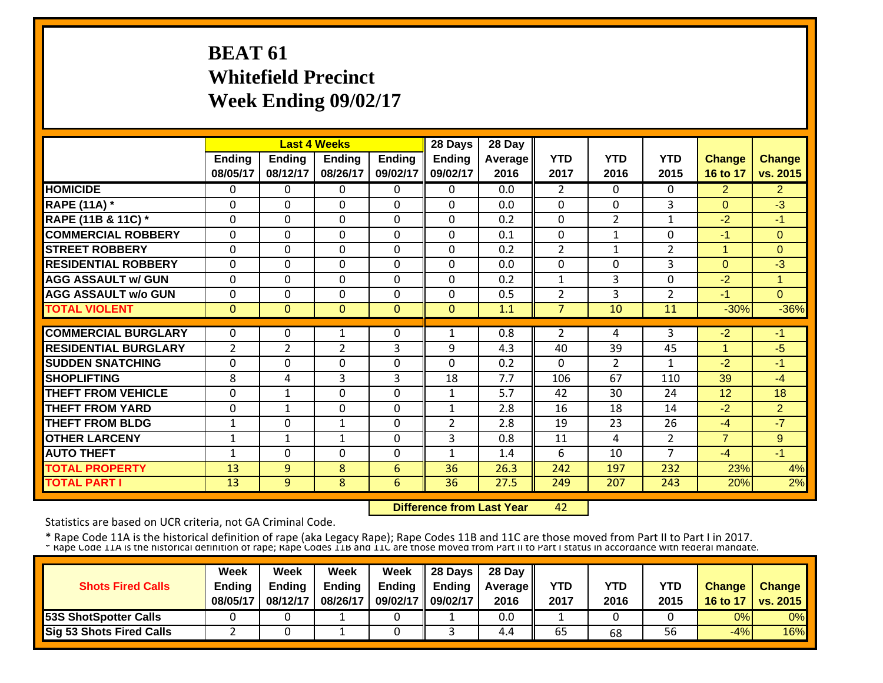# **BEAT 61 Whitefield Precinct Week Ending 09/02/17**

|                             |                |                | <b>Last 4 Weeks</b> |              | 28 Days        | 28 Day  |                |                |                |                |                |
|-----------------------------|----------------|----------------|---------------------|--------------|----------------|---------|----------------|----------------|----------------|----------------|----------------|
|                             | Ending         | Ending         | <b>Ending</b>       | Ending       | Ending         | Average | <b>YTD</b>     | <b>YTD</b>     | <b>YTD</b>     | <b>Change</b>  | <b>Change</b>  |
|                             | 08/05/17       | 08/12/17       | 08/26/17            | 09/02/17     | 09/02/17       | 2016    | 2017           | 2016           | 2015           | 16 to 17       | vs. 2015       |
| <b>HOMICIDE</b>             | 0              | 0              | $\Omega$            | $\Omega$     | $\Omega$       | 0.0     | $\overline{2}$ | $\Omega$       | $\Omega$       | $\overline{2}$ | $\overline{2}$ |
| <b>RAPE (11A) *</b>         | $\Omega$       | $\Omega$       | $\Omega$            | $\Omega$     | $\Omega$       | 0.0     | $\mathbf{0}$   | $\Omega$       | 3              | $\Omega$       | $-3$           |
| RAPE (11B & 11C) *          | $\Omega$       | $\Omega$       | $\Omega$            | $\Omega$     | $\mathbf{0}$   | 0.2     | $\Omega$       | $\overline{2}$ | $\mathbf{1}$   | $-2$           | $-1$           |
| <b>COMMERCIAL ROBBERY</b>   | $\Omega$       | $\Omega$       | $\Omega$            | $\Omega$     | $\mathbf{0}$   | 0.1     | $\Omega$       | $\mathbf{1}$   | $\Omega$       | $-1$           | $\Omega$       |
| <b>STREET ROBBERY</b>       | $\Omega$       | $\Omega$       | $\Omega$            | $\Omega$     | 0              | 0.2     | $\overline{2}$ | $\mathbf{1}$   | $\overline{2}$ | 1              | $\Omega$       |
| <b>RESIDENTIAL ROBBERY</b>  | $\Omega$       | $\Omega$       | $\Omega$            | $\Omega$     | $\Omega$       | 0.0     | $\Omega$       | 0              | 3              | $\Omega$       | $-3$           |
| <b>AGG ASSAULT w/ GUN</b>   | $\Omega$       | $\mathbf{0}$   | $\mathbf 0$         | $\mathbf 0$  | $\Omega$       | 0.2     | $\mathbf{1}$   | 3              | 0              | $-2$           | $\mathbf{1}$   |
| <b>AGG ASSAULT w/o GUN</b>  | 0              | $\mathbf{0}$   | $\Omega$            | $\mathbf 0$  | $\Omega$       | 0.5     | $\overline{2}$ | 3              | $\overline{2}$ | -1             | $\Omega$       |
| <b>TOTAL VIOLENT</b>        | $\mathbf{0}$   | $\Omega$       | $\Omega$            | $\mathbf{0}$ | $\Omega$       | 1.1     | 7              | 10             | 11             | $-30%$         | $-36%$         |
|                             |                |                |                     |              |                |         |                |                |                |                |                |
| <b>COMMERCIAL BURGLARY</b>  | $\Omega$       | $\Omega$       | 1                   | 0            | 1              | 0.8     | 2              | 4              | 3              | $-2$           | $-1$           |
| <b>RESIDENTIAL BURGLARY</b> | $\overline{2}$ | $\overline{2}$ | $\overline{2}$      | 3            | 9              | 4.3     | 40             | 39             | 45             | $\overline{1}$ | $-5$           |
| <b>SUDDEN SNATCHING</b>     | 0              | $\Omega$       | $\Omega$            | $\Omega$     | $\Omega$       | 0.2     | 0              | 2              | 1              | $-2$           | $-1$           |
| <b>SHOPLIFTING</b>          | 8              | 4              | 3                   | 3            | 18             | 7.7     | 106            | 67             | 110            | 39             | $-4$           |
| <b>THEFT FROM VEHICLE</b>   | $\Omega$       | $\mathbf{1}$   | $\Omega$            | $\Omega$     | 1              | 5.7     | 42             | 30             | 24             | 12             | 18             |
| <b>THEFT FROM YARD</b>      | 0              | $\mathbf{1}$   | $\Omega$            | $\Omega$     | $\mathbf{1}$   | 2.8     | 16             | 18             | 14             | $-2$           | $\overline{2}$ |
| <b>THEFT FROM BLDG</b>      | $\mathbf{1}$   | $\mathbf{0}$   | $\mathbf{1}$        | $\Omega$     | $\overline{2}$ | 2.8     | 19             | 23             | 26             | $-4$           | $-7$           |
| <b>OTHER LARCENY</b>        | 1              | $\mathbf{1}$   | $\mathbf{1}$        | $\Omega$     | 3              | 0.8     | 11             | 4              | $\overline{2}$ | $\overline{7}$ | $\overline{9}$ |
| <b>AUTO THEFT</b>           | $\mathbf 1$    | $\Omega$       | $\Omega$            | $\mathbf 0$  | 1              | 1.4     | 6              | 10             | $\overline{7}$ | $-4$           | $-1$           |
| <b>TOTAL PROPERTY</b>       | 13             | 9              | 8                   | 6            | 36             | 26.3    | 242            | 197            | 232            | 23%            | 4%             |
| <b>TOTAL PART I</b>         | 13             | 9              | 8                   | 6            | 36             | 27.5    | 249            | 207            | 243            | 20%            | 2%             |

 **Difference from Last Year**42

Statistics are based on UCR criteria, not GA Criminal Code.

\* Rape Code 11A is the historical definition of rape (aka Legacy Rape); Rape Codes 11B and 11C are those moved from Part II to Part I in 2017.<br>\* Rape Code 11A is the historical definition of rape; Rape Codes 11B and 11C ar

|                          | Week          | Week          | Week          | Week        | 28 Days       | 28 Day            |      |            |      |               |                     |
|--------------------------|---------------|---------------|---------------|-------------|---------------|-------------------|------|------------|------|---------------|---------------------|
| <b>Shots Fired Calls</b> | <b>Ending</b> | <b>Ending</b> | <b>Ending</b> | Ending      | <b>Ending</b> | <b>Average</b> II | YTD  | <b>YTD</b> | YTD  | <b>Change</b> | <b>Change</b>       |
|                          | 08/05/17      | 08/12/17      | 08/26/17      | 09/02/17 II | 09/02/17      | 2016              | 2017 | 2016       | 2015 |               | 16 to 17   vs. 2015 |
| 53S ShotSpotter Calls    |               |               |               |             |               | 0.0               |      |            |      | 0%            | $0\%$               |
| Sig 53 Shots Fired Calls |               |               |               |             |               | 4.4               | 65   | 68         | 56   | $-4%$         | 16%                 |